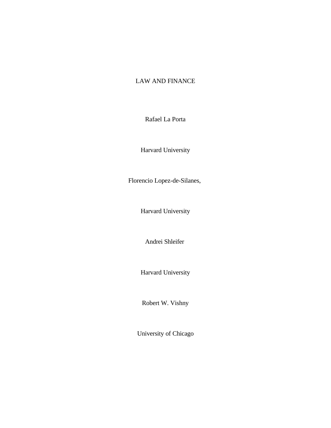# LAW AND FINANCE

Rafael La Porta

Harvard University

Florencio Lopez-de-Silanes,

Harvard University

Andrei Shleifer

Harvard University

Robert W. Vishny

University of Chicago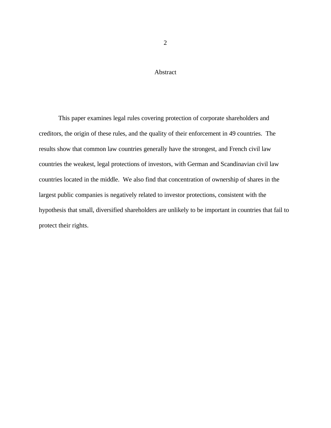# Abstract

This paper examines legal rules covering protection of corporate shareholders and creditors, the origin of these rules, and the quality of their enforcement in 49 countries. The results show that common law countries generally have the strongest, and French civil law countries the weakest, legal protections of investors, with German and Scandinavian civil law countries located in the middle. We also find that concentration of ownership of shares in the largest public companies is negatively related to investor protections, consistent with the hypothesis that small, diversified shareholders are unlikely to be important in countries that fail to protect their rights.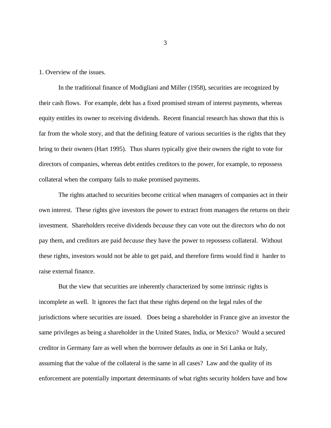1. Overview of the issues.

In the traditional finance of Modigliani and Miller (1958), securities are recognized by their cash flows. For example, debt has a fixed promised stream of interest payments, whereas equity entitles its owner to receiving dividends. Recent financial research has shown that this is far from the whole story, and that the defining feature of various securities is the rights that they bring to their owners (Hart 1995). Thus shares typically give their owners the right to vote for directors of companies, whereas debt entitles creditors to the power, for example, to repossess collateral when the company fails to make promised payments.

The rights attached to securities become critical when managers of companies act in their own interest. These rights give investors the power to extract from managers the returns on their investment. Shareholders receive dividends *because* they can vote out the directors who do not pay them, and creditors are paid *because* they have the power to repossess collateral. Without these rights, investors would not be able to get paid, and therefore firms would find it harder to raise external finance.

But the view that securities are inherently characterized by some intrinsic rights is incomplete as well. It ignores the fact that these rights depend on the legal rules of the jurisdictions where securities are issued. Does being a shareholder in France give an investor the same privileges as being a shareholder in the United States, India, or Mexico? Would a secured creditor in Germany fare as well when the borrower defaults as one in Sri Lanka or Italy, assuming that the value of the collateral is the same in all cases? Law and the quality of its enforcement are potentially important determinants of what rights security holders have and how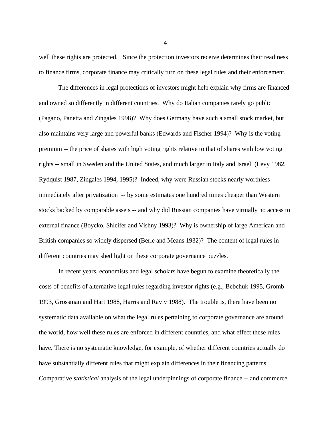well these rights are protected. Since the protection investors receive determines their readiness to finance firms, corporate finance may critically turn on these legal rules and their enforcement.

The differences in legal protections of investors might help explain why firms are financed and owned so differently in different countries. Why do Italian companies rarely go public (Pagano, Panetta and Zingales 1998)? Why does Germany have such a small stock market, but also maintains very large and powerful banks (Edwards and Fischer 1994)? Why is the voting premium -- the price of shares with high voting rights relative to that of shares with low voting rights -- small in Sweden and the United States, and much larger in Italy and Israel (Levy 1982, Rydquist 1987, Zingales 1994, 1995)? Indeed, why were Russian stocks nearly worthless immediately after privatization -- by some estimates one hundred times cheaper than Western stocks backed by comparable assets -- and why did Russian companies have virtually no access to external finance (Boycko, Shleifer and Vishny 1993)? Why is ownership of large American and British companies so widely dispersed (Berle and Means 1932)? The content of legal rules in different countries may shed light on these corporate governance puzzles.

In recent years, economists and legal scholars have begun to examine theoretically the costs of benefits of alternative legal rules regarding investor rights (e.g., Bebchuk 1995, Gromb 1993, Grossman and Hart 1988, Harris and Raviv 1988). The trouble is, there have been no systematic data available on what the legal rules pertaining to corporate governance are around the world, how well these rules are enforced in different countries, and what effect these rules have. There is no systematic knowledge, for example, of whether different countries actually do have substantially different rules that might explain differences in their financing patterns. Comparative *statistical* analysis of the legal underpinnings of corporate finance -- and commerce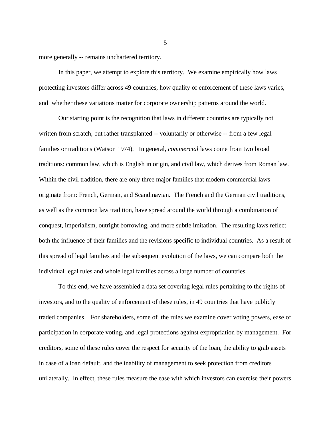more generally -- remains unchartered territory.

In this paper, we attempt to explore this territory. We examine empirically how laws protecting investors differ across 49 countries, how quality of enforcement of these laws varies, and whether these variations matter for corporate ownership patterns around the world.

Our starting point is the recognition that laws in different countries are typically not written from scratch, but rather transplanted -- voluntarily or otherwise -- from a few legal families or traditions (Watson 1974). In general, *commercial* laws come from two broad traditions: common law, which is English in origin, and civil law, which derives from Roman law. Within the civil tradition, there are only three major families that modern commercial laws originate from: French, German, and Scandinavian. The French and the German civil traditions, as well as the common law tradition, have spread around the world through a combination of conquest, imperialism, outright borrowing, and more subtle imitation. The resulting laws reflect both the influence of their families and the revisions specific to individual countries. As a result of this spread of legal families and the subsequent evolution of the laws, we can compare both the individual legal rules and whole legal families across a large number of countries.

To this end, we have assembled a data set covering legal rules pertaining to the rights of investors, and to the quality of enforcement of these rules, in 49 countries that have publicly traded companies. For shareholders, some of the rules we examine cover voting powers, ease of participation in corporate voting, and legal protections against expropriation by management. For creditors, some of these rules cover the respect for security of the loan, the ability to grab assets in case of a loan default, and the inability of management to seek protection from creditors unilaterally. In effect, these rules measure the ease with which investors can exercise their powers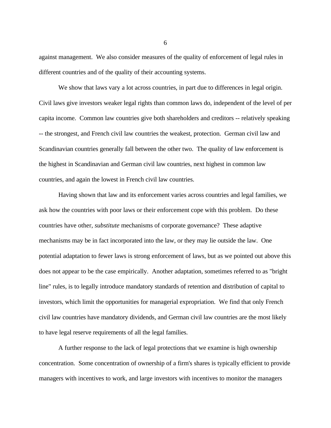against management. We also consider measures of the quality of enforcement of legal rules in different countries and of the quality of their accounting systems.

We show that laws vary a lot across countries, in part due to differences in legal origin. Civil laws give investors weaker legal rights than common laws do, independent of the level of per capita income. Common law countries give both shareholders and creditors -- relatively speaking -- the strongest, and French civil law countries the weakest, protection. German civil law and Scandinavian countries generally fall between the other two. The quality of law enforcement is the highest in Scandinavian and German civil law countries, next highest in common law countries, and again the lowest in French civil law countries.

Having shown that law and its enforcement varies across countries and legal families, we ask how the countries with poor laws or their enforcement cope with this problem. Do these countries have other, *substitute* mechanisms of corporate governance? These adaptive mechanisms may be in fact incorporated into the law, or they may lie outside the law. One potential adaptation to fewer laws is strong enforcement of laws, but as we pointed out above this does not appear to be the case empirically. Another adaptation, sometimes referred to as "bright line" rules, is to legally introduce mandatory standards of retention and distribution of capital to investors, which limit the opportunities for managerial expropriation. We find that only French civil law countries have mandatory dividends, and German civil law countries are the most likely to have legal reserve requirements of all the legal families.

A further response to the lack of legal protections that we examine is high ownership concentration. Some concentration of ownership of a firm's shares is typically efficient to provide managers with incentives to work, and large investors with incentives to monitor the managers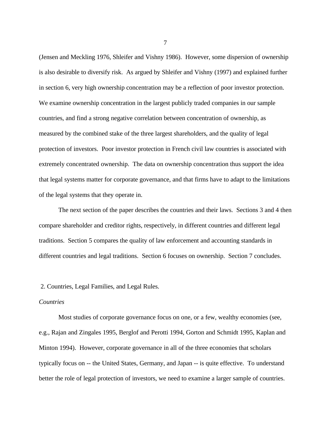(Jensen and Meckling 1976, Shleifer and Vishny 1986). However, some dispersion of ownership is also desirable to diversify risk. As argued by Shleifer and Vishny (1997) and explained further in section 6, very high ownership concentration may be a reflection of poor investor protection. We examine ownership concentration in the largest publicly traded companies in our sample countries, and find a strong negative correlation between concentration of ownership, as measured by the combined stake of the three largest shareholders, and the quality of legal protection of investors. Poor investor protection in French civil law countries is associated with extremely concentrated ownership. The data on ownership concentration thus support the idea that legal systems matter for corporate governance, and that firms have to adapt to the limitations of the legal systems that they operate in.

The next section of the paper describes the countries and their laws. Sections 3 and 4 then compare shareholder and creditor rights, respectively, in different countries and different legal traditions. Section 5 compares the quality of law enforcement and accounting standards in different countries and legal traditions. Section 6 focuses on ownership. Section 7 concludes.

## 2. Countries, Legal Families, and Legal Rules.

# *Countries*

Most studies of corporate governance focus on one, or a few, wealthy economies (see, e.g., Rajan and Zingales 1995, Berglof and Perotti 1994, Gorton and Schmidt 1995, Kaplan and Minton 1994). However, corporate governance in all of the three economies that scholars typically focus on -- the United States, Germany, and Japan -- is quite effective. To understand better the role of legal protection of investors, we need to examine a larger sample of countries.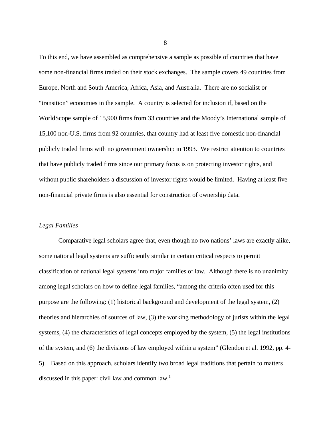To this end, we have assembled as comprehensive a sample as possible of countries that have some non-financial firms traded on their stock exchanges. The sample covers 49 countries from Europe, North and South America, Africa, Asia, and Australia. There are no socialist or "transition" economies in the sample. A country is selected for inclusion if, based on the WorldScope sample of 15,900 firms from 33 countries and the Moody's International sample of 15,100 non-U.S. firms from 92 countries, that country had at least five domestic non-financial publicly traded firms with no government ownership in 1993. We restrict attention to countries that have publicly traded firms since our primary focus is on protecting investor rights, and without public shareholders a discussion of investor rights would be limited. Having at least five non-financial private firms is also essential for construction of ownership data.

## *Legal Families*

Comparative legal scholars agree that, even though no two nations' laws are exactly alike, some national legal systems are sufficiently similar in certain critical respects to permit classification of national legal systems into major families of law. Although there is no unanimity among legal scholars on how to define legal families, "among the criteria often used for this purpose are the following: (1) historical background and development of the legal system, (2) theories and hierarchies of sources of law, (3) the working methodology of jurists within the legal systems, (4) the characteristics of legal concepts employed by the system, (5) the legal institutions of the system, and (6) the divisions of law employed within a system" (Glendon et al. 1992, pp. 4- 5). Based on this approach, scholars identify two broad legal traditions that pertain to matters discussed in this paper: civil law and common law.<sup>1</sup>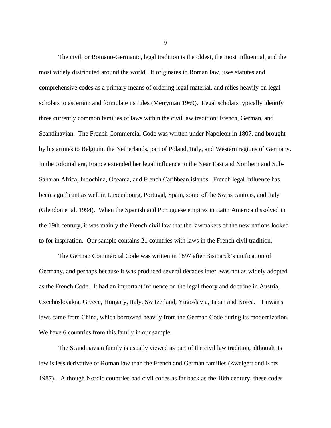The civil, or Romano-Germanic, legal tradition is the oldest, the most influential, and the most widely distributed around the world. It originates in Roman law, uses statutes and comprehensive codes as a primary means of ordering legal material, and relies heavily on legal scholars to ascertain and formulate its rules (Merryman 1969). Legal scholars typically identify three currently common families of laws within the civil law tradition: French, German, and Scandinavian. The French Commercial Code was written under Napoleon in 1807, and brought by his armies to Belgium, the Netherlands, part of Poland, Italy, and Western regions of Germany. In the colonial era, France extended her legal influence to the Near East and Northern and Sub-Saharan Africa, Indochina, Oceania, and French Caribbean islands. French legal influence has been significant as well in Luxembourg, Portugal, Spain, some of the Swiss cantons, and Italy (Glendon et al. 1994). When the Spanish and Portuguese empires in Latin America dissolved in the 19th century, it was mainly the French civil law that the lawmakers of the new nations looked to for inspiration. Our sample contains 21 countries with laws in the French civil tradition.

 The German Commercial Code was written in 1897 after Bismarck's unification of Germany, and perhaps because it was produced several decades later, was not as widely adopted as the French Code. It had an important influence on the legal theory and doctrine in Austria, Czechoslovakia, Greece, Hungary, Italy, Switzerland, Yugoslavia, Japan and Korea. Taiwan's laws came from China, which borrowed heavily from the German Code during its modernization. We have 6 countries from this family in our sample.

The Scandinavian family is usually viewed as part of the civil law tradition, although its law is less derivative of Roman law than the French and German families (Zweigert and Kotz 1987). Although Nordic countries had civil codes as far back as the 18th century, these codes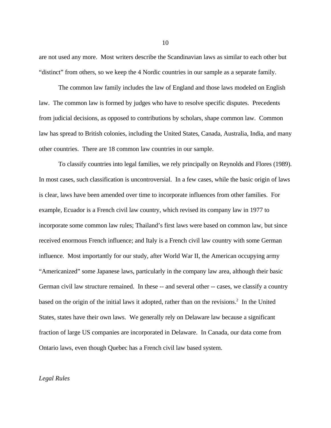are not used any more. Most writers describe the Scandinavian laws as similar to each other but "distinct" from others, so we keep the 4 Nordic countries in our sample as a separate family.

The common law family includes the law of England and those laws modeled on English law. The common law is formed by judges who have to resolve specific disputes. Precedents from judicial decisions, as opposed to contributions by scholars, shape common law. Common law has spread to British colonies, including the United States, Canada, Australia, India, and many other countries. There are 18 common law countries in our sample.

To classify countries into legal families, we rely principally on Reynolds and Flores (1989). In most cases, such classification is uncontroversial. In a few cases, while the basic origin of laws is clear, laws have been amended over time to incorporate influences from other families. For example, Ecuador is a French civil law country, which revised its company law in 1977 to incorporate some common law rules; Thailand's first laws were based on common law, but since received enormous French influence; and Italy is a French civil law country with some German influence. Most importantly for our study, after World War II, the American occupying army "Americanized" some Japanese laws, particularly in the company law area, although their basic German civil law structure remained. In these -- and several other -- cases, we classify a country based on the origin of the initial laws it adopted, rather than on the revisions.<sup>2</sup> In the United States, states have their own laws. We generally rely on Delaware law because a significant fraction of large US companies are incorporated in Delaware. In Canada, our data come from Ontario laws, even though Quebec has a French civil law based system.

# *Legal Rules*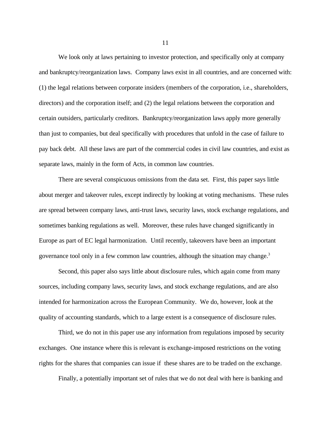We look only at laws pertaining to investor protection, and specifically only at company and bankruptcy/reorganization laws. Company laws exist in all countries, and are concerned with: (1) the legal relations between corporate insiders (members of the corporation, i.e., shareholders, directors) and the corporation itself; and (2) the legal relations between the corporation and certain outsiders, particularly creditors. Bankruptcy/reorganization laws apply more generally than just to companies, but deal specifically with procedures that unfold in the case of failure to pay back debt. All these laws are part of the commercial codes in civil law countries, and exist as separate laws, mainly in the form of Acts, in common law countries.

There are several conspicuous omissions from the data set. First, this paper says little about merger and takeover rules, except indirectly by looking at voting mechanisms. These rules are spread between company laws, anti-trust laws, security laws, stock exchange regulations, and sometimes banking regulations as well. Moreover, these rules have changed significantly in Europe as part of EC legal harmonization. Until recently, takeovers have been an important governance tool only in a few common law countries, although the situation may change.<sup>3</sup>

Second, this paper also says little about disclosure rules, which again come from many sources, including company laws, security laws, and stock exchange regulations, and are also intended for harmonization across the European Community. We do, however, look at the quality of accounting standards, which to a large extent is a consequence of disclosure rules.

Third, we do not in this paper use any information from regulations imposed by security exchanges. One instance where this is relevant is exchange-imposed restrictions on the voting rights for the shares that companies can issue if these shares are to be traded on the exchange.

Finally, a potentially important set of rules that we do not deal with here is banking and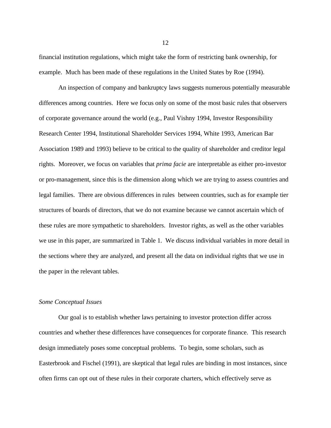financial institution regulations, which might take the form of restricting bank ownership, for example. Much has been made of these regulations in the United States by Roe (1994).

An inspection of company and bankruptcy laws suggests numerous potentially measurable differences among countries. Here we focus only on some of the most basic rules that observers of corporate governance around the world (e.g., Paul Vishny 1994, Investor Responsibility Research Center 1994, Institutional Shareholder Services 1994, White 1993, American Bar Association 1989 and 1993) believe to be critical to the quality of shareholder and creditor legal rights. Moreover, we focus on variables that *prima facie* are interpretable as either pro-investor or pro-management, since this is the dimension along which we are trying to assess countries and legal families. There are obvious differences in rules between countries, such as for example tier structures of boards of directors, that we do not examine because we cannot ascertain which of these rules are more sympathetic to shareholders. Investor rights, as well as the other variables we use in this paper, are summarized in Table 1. We discuss individual variables in more detail in the sections where they are analyzed, and present all the data on individual rights that we use in the paper in the relevant tables.

# *Some Conceptual Issues*

Our goal is to establish whether laws pertaining to investor protection differ across countries and whether these differences have consequences for corporate finance. This research design immediately poses some conceptual problems. To begin, some scholars, such as Easterbrook and Fischel (1991), are skeptical that legal rules are binding in most instances, since often firms can opt out of these rules in their corporate charters, which effectively serve as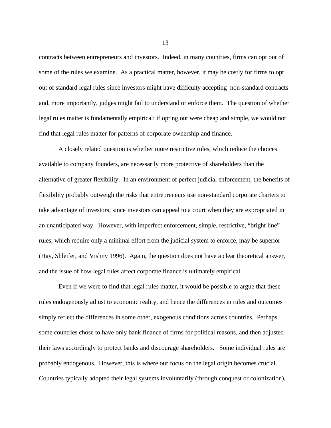contracts between entrepreneurs and investors. Indeed, in many countries, firms can opt out of some of the rules we examine. As a practical matter, however, it may be costly for firms to opt out of standard legal rules since investors might have difficulty accepting non-standard contracts and, more importantly, judges might fail to understand or enforce them. The question of whether legal rules matter is fundamentally empirical: if opting out were cheap and simple, we would not find that legal rules matter for patterns of corporate ownership and finance.

A closely related question is whether more restrictive rules, which reduce the choices available to company founders, are necessarily more protective of shareholders than the alternative of greater flexibility. In an environment of perfect judicial enforcement, the benefits of flexibility probably outweigh the risks that entrepreneurs use non-standard corporate charters to take advantage of investors, since investors can appeal to a court when they are expropriated in an unanticipated way. However, with imperfect enforcement, simple, restrictive, "bright line" rules, which require only a minimal effort from the judicial system to enforce, may be superior (Hay, Shleifer, and Vishny 1996). Again, the question does not have a clear theoretical answer, and the issue of how legal rules affect corporate finance is ultimately empirical.

Even if we were to find that legal rules matter, it would be possible to argue that these rules endogenously adjust to economic reality, and hence the differences in rules and outcomes simply reflect the differences in some other, exogenous conditions across countries. Perhaps some countries chose to have only bank finance of firms for political reasons, and then adjusted their laws accordingly to protect banks and discourage shareholders. Some individual rules are probably endogenous. However, this is where our focus on the legal origin becomes crucial. Countries typically adopted their legal systems involuntarily (through conquest or colonization),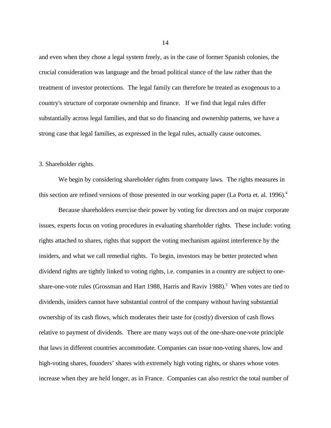and even when they chose a legal system freely, as in the case of former Spanish colonies, the crucial consideration was language and the broad political stance of the law rather than the treatment of investor protections. The legal family can therefore be treated as exogenous to a country's structure of corporate ownership and finance. If we find that legal rules differ substantially across legal families, and that so do financing and ownership patterns, we have a strong case that legal families, as expressed in the legal rules, actually cause outcomes.

# 3. Shareholder rights.

We begin by considering shareholder rights from company laws. The rights measures in this section are refined versions of those presented in our working paper (La Porta et. al. 1996).<sup>4</sup>

Because shareholders exercise their power by voting for directors and on major corporate issues, experts focus on voting procedures in evaluating shareholder rights. These include: voting rights attached to shares, rights that support the voting mechanism against interference by the insiders, and what we call remedial rights. To begin, investors may be better protected when dividend rights are tightly linked to voting rights, i.e. companies in a country are subject to oneshare-one-vote rules (Grossman and Hart 1988, Harris and Raviv 1988).<sup>5</sup> When votes are tied to dividends, insiders cannot have substantial control of the company without having substantial ownership of its cash flows, which moderates their taste for (costly) diversion of cash flows relative to payment of dividends. There are many ways out of the one-share-one-vote principle that laws in different countries accommodate. Companies can issue non-voting shares, low and high-voting shares, founders' shares with extremely high voting rights, or shares whose votes increase when they are held longer, as in France. Companies can also restrict the total number of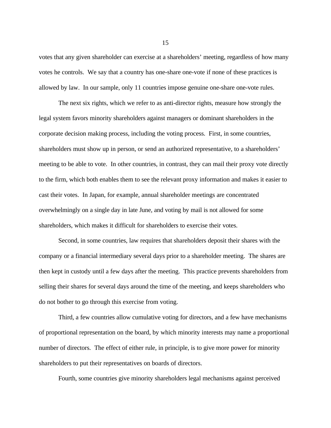votes that any given shareholder can exercise at a shareholders' meeting, regardless of how many votes he controls. We say that a country has one-share one-vote if none of these practices is allowed by law. In our sample, only 11 countries impose genuine one-share one-vote rules.

The next six rights, which we refer to as anti-director rights, measure how strongly the legal system favors minority shareholders against managers or dominant shareholders in the corporate decision making process, including the voting process. First, in some countries, shareholders must show up in person, or send an authorized representative, to a shareholders' meeting to be able to vote. In other countries, in contrast, they can mail their proxy vote directly to the firm, which both enables them to see the relevant proxy information and makes it easier to cast their votes. In Japan, for example, annual shareholder meetings are concentrated overwhelmingly on a single day in late June, and voting by mail is not allowed for some shareholders, which makes it difficult for shareholders to exercise their votes.

Second, in some countries, law requires that shareholders deposit their shares with the company or a financial intermediary several days prior to a shareholder meeting. The shares are then kept in custody until a few days after the meeting. This practice prevents shareholders from selling their shares for several days around the time of the meeting, and keeps shareholders who do not bother to go through this exercise from voting.

Third, a few countries allow cumulative voting for directors, and a few have mechanisms of proportional representation on the board, by which minority interests may name a proportional number of directors. The effect of either rule, in principle, is to give more power for minority shareholders to put their representatives on boards of directors.

Fourth, some countries give minority shareholders legal mechanisms against perceived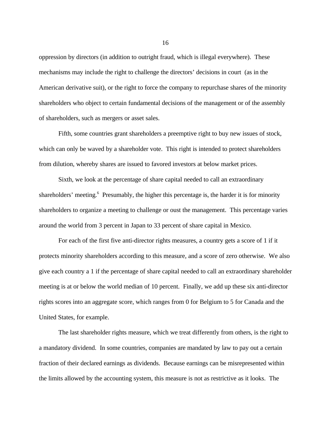oppression by directors (in addition to outright fraud, which is illegal everywhere). These mechanisms may include the right to challenge the directors' decisions in court (as in the American derivative suit), or the right to force the company to repurchase shares of the minority shareholders who object to certain fundamental decisions of the management or of the assembly of shareholders, such as mergers or asset sales.

Fifth, some countries grant shareholders a preemptive right to buy new issues of stock, which can only be waved by a shareholder vote. This right is intended to protect shareholders from dilution, whereby shares are issued to favored investors at below market prices.

Sixth, we look at the percentage of share capital needed to call an extraordinary shareholders' meeting.<sup>6</sup> Presumably, the higher this percentage is, the harder it is for minority shareholders to organize a meeting to challenge or oust the management. This percentage varies around the world from 3 percent in Japan to 33 percent of share capital in Mexico.

For each of the first five anti-director rights measures, a country gets a score of 1 if it protects minority shareholders according to this measure, and a score of zero otherwise. We also give each country a 1 if the percentage of share capital needed to call an extraordinary shareholder meeting is at or below the world median of 10 percent. Finally, we add up these six anti-director rights scores into an aggregate score, which ranges from 0 for Belgium to 5 for Canada and the United States, for example.

The last shareholder rights measure, which we treat differently from others, is the right to a mandatory dividend. In some countries, companies are mandated by law to pay out a certain fraction of their declared earnings as dividends. Because earnings can be misrepresented within the limits allowed by the accounting system, this measure is not as restrictive as it looks. The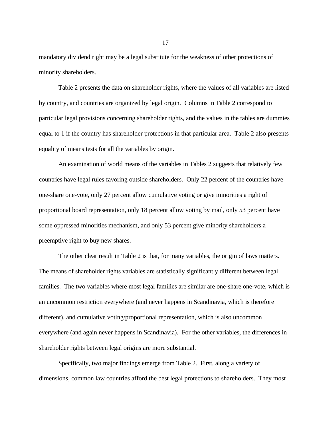mandatory dividend right may be a legal substitute for the weakness of other protections of minority shareholders.

Table 2 presents the data on shareholder rights, where the values of all variables are listed by country, and countries are organized by legal origin. Columns in Table 2 correspond to particular legal provisions concerning shareholder rights, and the values in the tables are dummies equal to 1 if the country has shareholder protections in that particular area. Table 2 also presents equality of means tests for all the variables by origin.

An examination of world means of the variables in Tables 2 suggests that relatively few countries have legal rules favoring outside shareholders. Only 22 percent of the countries have one-share one-vote, only 27 percent allow cumulative voting or give minorities a right of proportional board representation, only 18 percent allow voting by mail, only 53 percent have some oppressed minorities mechanism, and only 53 percent give minority shareholders a preemptive right to buy new shares.

The other clear result in Table 2 is that, for many variables, the origin of laws matters. The means of shareholder rights variables are statistically significantly different between legal families. The two variables where most legal families are similar are one-share one-vote, which is an uncommon restriction everywhere (and never happens in Scandinavia, which is therefore different), and cumulative voting/proportional representation, which is also uncommon everywhere (and again never happens in Scandinavia). For the other variables, the differences in shareholder rights between legal origins are more substantial.

Specifically, two major findings emerge from Table 2. First, along a variety of dimensions, common law countries afford the best legal protections to shareholders. They most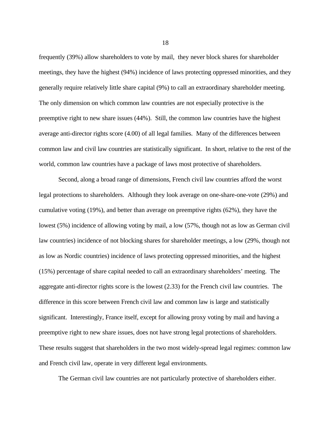frequently (39%) allow shareholders to vote by mail, they never block shares for shareholder meetings, they have the highest (94%) incidence of laws protecting oppressed minorities, and they generally require relatively little share capital (9%) to call an extraordinary shareholder meeting. The only dimension on which common law countries are not especially protective is the preemptive right to new share issues (44%). Still, the common law countries have the highest average anti-director rights score (4.00) of all legal families. Many of the differences between common law and civil law countries are statistically significant. In short, relative to the rest of the world, common law countries have a package of laws most protective of shareholders.

Second, along a broad range of dimensions, French civil law countries afford the worst legal protections to shareholders. Although they look average on one-share-one-vote (29%) and cumulative voting (19%), and better than average on preemptive rights (62%), they have the lowest (5%) incidence of allowing voting by mail, a low (57%, though not as low as German civil law countries) incidence of not blocking shares for shareholder meetings, a low (29%, though not as low as Nordic countries) incidence of laws protecting oppressed minorities, and the highest (15%) percentage of share capital needed to call an extraordinary shareholders' meeting. The aggregate anti-director rights score is the lowest (2.33) for the French civil law countries. The difference in this score between French civil law and common law is large and statistically significant. Interestingly, France itself, except for allowing proxy voting by mail and having a preemptive right to new share issues, does not have strong legal protections of shareholders. These results suggest that shareholders in the two most widely-spread legal regimes: common law and French civil law, operate in very different legal environments.

The German civil law countries are not particularly protective of shareholders either.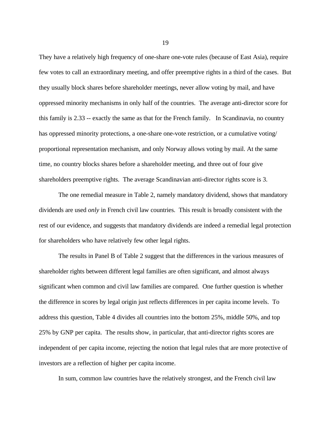They have a relatively high frequency of one-share one-vote rules (because of East Asia), require few votes to call an extraordinary meeting, and offer preemptive rights in a third of the cases. But they usually block shares before shareholder meetings, never allow voting by mail, and have oppressed minority mechanisms in only half of the countries. The average anti-director score for this family is 2.33 -- exactly the same as that for the French family. In Scandinavia, no country has oppressed minority protections, a one-share one-vote restriction, or a cumulative voting/ proportional representation mechanism, and only Norway allows voting by mail. At the same time, no country blocks shares before a shareholder meeting, and three out of four give shareholders preemptive rights. The average Scandinavian anti-director rights score is 3.

The one remedial measure in Table 2, namely mandatory dividend, shows that mandatory dividends are used *only* in French civil law countries. This result is broadly consistent with the rest of our evidence, and suggests that mandatory dividends are indeed a remedial legal protection for shareholders who have relatively few other legal rights.

The results in Panel B of Table 2 suggest that the differences in the various measures of shareholder rights between different legal families are often significant, and almost always significant when common and civil law families are compared. One further question is whether the difference in scores by legal origin just reflects differences in per capita income levels. To address this question, Table 4 divides all countries into the bottom 25%, middle 50%, and top 25% by GNP per capita. The results show, in particular, that anti-director rights scores are independent of per capita income, rejecting the notion that legal rules that are more protective of investors are a reflection of higher per capita income.

In sum, common law countries have the relatively strongest, and the French civil law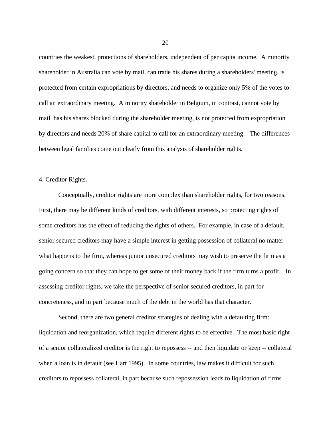countries the weakest, protections of shareholders, independent of per capita income. A minority shareholder in Australia can vote by mail, can trade his shares during a shareholders' meeting, is protected from certain expropriations by directors, and needs to organize only 5% of the votes to call an extraordinary meeting. A minority shareholder in Belgium, in contrast, cannot vote by mail, has his shares blocked during the shareholder meeting, is not protected from expropriation by directors and needs 20% of share capital to call for an extraordinary meeting. The differences between legal families come out clearly from this analysis of shareholder rights.

# 4. Creditor Rights.

Conceptually, creditor rights are more complex than shareholder rights, for two reasons. First, there may be different kinds of creditors, with different interests, so protecting rights of some creditors has the effect of reducing the rights of others. For example, in case of a default, senior secured creditors may have a simple interest in getting possession of collateral no matter what happens to the firm, whereas junior unsecured creditors may wish to preserve the firm as a going concern so that they can hope to get some of their money back if the firm turns a profit. In assessing creditor rights, we take the perspective of senior secured creditors, in part for concreteness, and in part because much of the debt in the world has that character.

Second, there are two general creditor strategies of dealing with a defaulting firm: liquidation and reorganization, which require different rights to be effective. The most basic right of a senior collateralized creditor is the right to repossess -- and then liquidate or keep -- collateral when a loan is in default (see Hart 1995). In some countries, law makes it difficult for such creditors to repossess collateral, in part because such repossession leads to liquidation of firms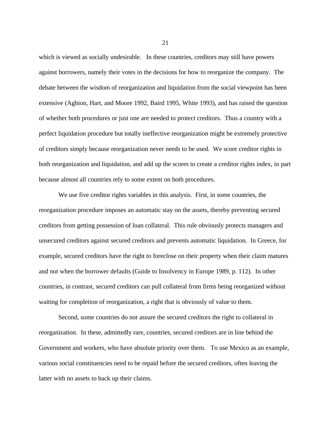which is viewed as socially undesirable. In these countries, creditors may still have powers against borrowers, namely their votes in the decisions for how to reorganize the company. The debate between the wisdom of reorganization and liquidation from the social viewpoint has been extensive (Aghion, Hart, and Moore 1992, Baird 1995, White 1993), and has raised the question of whether both procedures or just one are needed to protect creditors. Thus a country with a perfect liquidation procedure but totally ineffective reorganization might be extremely protective of creditors simply because reorganization never needs to be used. We score creditor rights in both reorganization and liquidation, and add up the scores to create a creditor rights index, in part because almost all countries rely to some extent on both procedures.

We use five creditor rights variables in this analysis. First, in some countries, the reorganization procedure imposes an automatic stay on the assets, thereby preventing secured creditors from getting possession of loan collateral. This rule obviously protects managers and unsecured creditors against secured creditors and prevents automatic liquidation. In Greece, for example, secured creditors have the right to foreclose on their property when their claim matures and not when the borrower defaults (Guide to Insolvency in Europe 1989, p. 112). In other countries, in contrast, secured creditors can pull collateral from firms being reorganized without waiting for completion of reorganization, a right that is obviously of value to them.

Second, some countries do not assure the secured creditors the right to collateral in reorganization. In these, admittedly rare, countries, secured creditors are in line behind the Government and workers, who have absolute priority over them. To use Mexico as an example, various social constituencies need to be repaid before the secured creditors, often leaving the latter with no assets to back up their claims.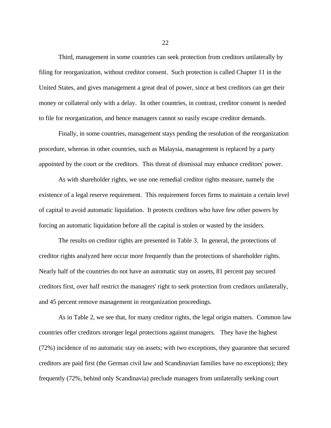Third, management in some countries can seek protection from creditors unilaterally by filing for reorganization, without creditor consent. Such protection is called Chapter 11 in the United States, and gives management a great deal of power, since at best creditors can get their money or collateral only with a delay. In other countries, in contrast, creditor consent is needed to file for reorganization, and hence managers cannot so easily escape creditor demands.

Finally, in some countries, management stays pending the resolution of the reorganization procedure, whereas in other countries, such as Malaysia, management is replaced by a party appointed by the court or the creditors. This threat of dismissal may enhance creditors' power.

As with shareholder rights, we use one remedial creditor rights measure, namely the existence of a legal reserve requirement. This requirement forces firms to maintain a certain level of capital to avoid automatic liquidation. It protects creditors who have few other powers by forcing an automatic liquidation before all the capital is stolen or wasted by the insiders.

The results on creditor rights are presented in Table 3. In general, the protections of creditor rights analyzed here occur more frequently than the protections of shareholder rights. Nearly half of the countries do not have an automatic stay on assets, 81 percent pay secured creditors first, over half restrict the managers' right to seek protection from creditors unilaterally, and 45 percent remove management in reorganization proceedings.

As in Table 2, we see that, for many creditor rights, the legal origin matters. Common law countries offer creditors stronger legal protections against managers. They have the highest (72%) incidence of no automatic stay on assets; with two exceptions, they guarantee that secured creditors are paid first (the German civil law and Scandinavian families have no exceptions); they frequently (72%, behind only Scandinavia) preclude managers from unilaterally seeking court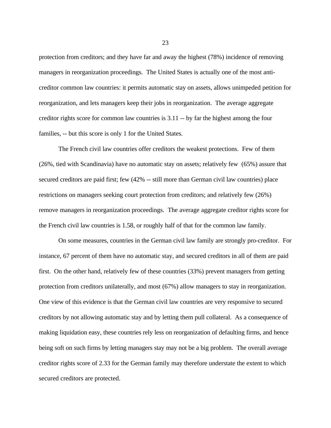protection from creditors; and they have far and away the highest (78%) incidence of removing managers in reorganization proceedings. The United States is actually one of the most anticreditor common law countries: it permits automatic stay on assets, allows unimpeded petition for reorganization, and lets managers keep their jobs in reorganization. The average aggregate creditor rights score for common law countries is 3.11 -- by far the highest among the four families, -- but this score is only 1 for the United States.

The French civil law countries offer creditors the weakest protections. Few of them (26%, tied with Scandinavia) have no automatic stay on assets; relatively few (65%) assure that secured creditors are paid first; few (42% -- still more than German civil law countries) place restrictions on managers seeking court protection from creditors; and relatively few (26%) remove managers in reorganization proceedings. The average aggregate creditor rights score for the French civil law countries is 1.58, or roughly half of that for the common law family.

On some measures, countries in the German civil law family are strongly pro-creditor. For instance, 67 percent of them have no automatic stay, and secured creditors in all of them are paid first. On the other hand, relatively few of these countries (33%) prevent managers from getting protection from creditors unilaterally, and most (67%) allow managers to stay in reorganization. One view of this evidence is that the German civil law countries are very responsive to secured creditors by not allowing automatic stay and by letting them pull collateral. As a consequence of making liquidation easy, these countries rely less on reorganization of defaulting firms, and hence being soft on such firms by letting managers stay may not be a big problem. The overall average creditor rights score of 2.33 for the German family may therefore understate the extent to which secured creditors are protected.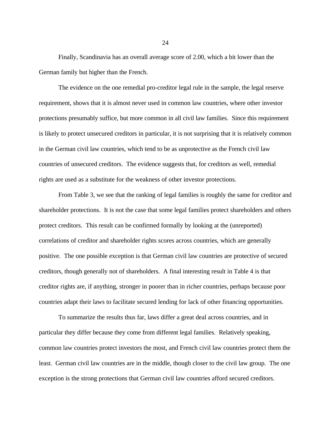Finally, Scandinavia has an overall average score of 2.00, which a bit lower than the German family but higher than the French.

The evidence on the one remedial pro-creditor legal rule in the sample, the legal reserve requirement, shows that it is almost never used in common law countries, where other investor protections presumably suffice, but more common in all civil law families. Since this requirement is likely to protect unsecured creditors in particular, it is not surprising that it is relatively common in the German civil law countries, which tend to be as unprotective as the French civil law countries of unsecured creditors. The evidence suggests that, for creditors as well, remedial rights are used as a substitute for the weakness of other investor protections.

From Table 3, we see that the ranking of legal families is roughly the same for creditor and shareholder protections. It is not the case that some legal families protect shareholders and others protect creditors. This result can be confirmed formally by looking at the (unreported) correlations of creditor and shareholder rights scores across countries, which are generally positive. The one possible exception is that German civil law countries are protective of secured creditors, though generally not of shareholders. A final interesting result in Table 4 is that creditor rights are, if anything, stronger in poorer than in richer countries, perhaps because poor countries adapt their laws to facilitate secured lending for lack of other financing opportunities.

 To summarize the results thus far, laws differ a great deal across countries, and in particular they differ because they come from different legal families. Relatively speaking, common law countries protect investors the most, and French civil law countries protect them the least. German civil law countries are in the middle, though closer to the civil law group. The one exception is the strong protections that German civil law countries afford secured creditors.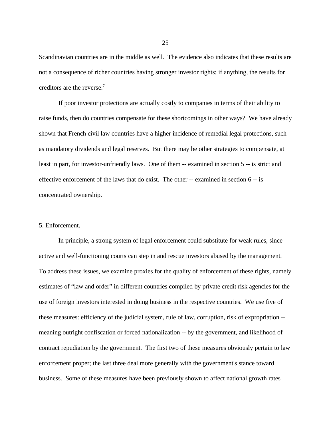Scandinavian countries are in the middle as well. The evidence also indicates that these results are not a consequence of richer countries having stronger investor rights; if anything, the results for creditors are the reverse.<sup>7</sup>

If poor investor protections are actually costly to companies in terms of their ability to raise funds, then do countries compensate for these shortcomings in other ways? We have already shown that French civil law countries have a higher incidence of remedial legal protections, such as mandatory dividends and legal reserves. But there may be other strategies to compensate, at least in part, for investor-unfriendly laws. One of them -- examined in section 5 -- is strict and effective enforcement of the laws that do exist. The other -- examined in section 6 -- is concentrated ownership.

## 5. Enforcement.

In principle, a strong system of legal enforcement could substitute for weak rules, since active and well-functioning courts can step in and rescue investors abused by the management. To address these issues, we examine proxies for the quality of enforcement of these rights, namely estimates of "law and order" in different countries compiled by private credit risk agencies for the use of foreign investors interested in doing business in the respective countries. We use five of these measures: efficiency of the judicial system, rule of law, corruption, risk of expropriation - meaning outright confiscation or forced nationalization -- by the government, and likelihood of contract repudiation by the government. The first two of these measures obviously pertain to law enforcement proper; the last three deal more generally with the government's stance toward business. Some of these measures have been previously shown to affect national growth rates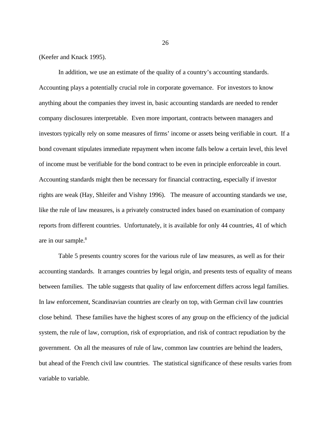(Keefer and Knack 1995).

In addition, we use an estimate of the quality of a country's accounting standards. Accounting plays a potentially crucial role in corporate governance. For investors to know anything about the companies they invest in, basic accounting standards are needed to render company disclosures interpretable. Even more important, contracts between managers and investors typically rely on some measures of firms' income or assets being verifiable in court. If a bond covenant stipulates immediate repayment when income falls below a certain level, this level of income must be verifiable for the bond contract to be even in principle enforceable in court. Accounting standards might then be necessary for financial contracting, especially if investor rights are weak (Hay, Shleifer and Vishny 1996). The measure of accounting standards we use, like the rule of law measures, is a privately constructed index based on examination of company reports from different countries. Unfortunately, it is available for only 44 countries, 41 of which are in our sample.<sup>8</sup>

Table 5 presents country scores for the various rule of law measures, as well as for their accounting standards. It arranges countries by legal origin, and presents tests of equality of means between families. The table suggests that quality of law enforcement differs across legal families. In law enforcement, Scandinavian countries are clearly on top, with German civil law countries close behind. These families have the highest scores of any group on the efficiency of the judicial system, the rule of law, corruption, risk of expropriation, and risk of contract repudiation by the government. On all the measures of rule of law, common law countries are behind the leaders, but ahead of the French civil law countries. The statistical significance of these results varies from variable to variable.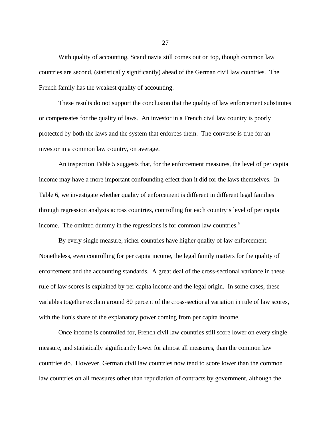With quality of accounting, Scandinavia still comes out on top, though common law countries are second, (statistically significantly) ahead of the German civil law countries. The French family has the weakest quality of accounting.

These results do not support the conclusion that the quality of law enforcement substitutes or compensates for the quality of laws. An investor in a French civil law country is poorly protected by both the laws and the system that enforces them. The converse is true for an investor in a common law country, on average.

An inspection Table 5 suggests that, for the enforcement measures, the level of per capita income may have a more important confounding effect than it did for the laws themselves. In Table 6, we investigate whether quality of enforcement is different in different legal families through regression analysis across countries, controlling for each country's level of per capita income. The omitted dummy in the regressions is for common law countries.<sup>9</sup>

By every single measure, richer countries have higher quality of law enforcement. Nonetheless, even controlling for per capita income, the legal family matters for the quality of enforcement and the accounting standards. A great deal of the cross-sectional variance in these rule of law scores is explained by per capita income and the legal origin. In some cases, these variables together explain around 80 percent of the cross-sectional variation in rule of law scores, with the lion's share of the explanatory power coming from per capita income.

Once income is controlled for, French civil law countries still score lower on every single measure, and statistically significantly lower for almost all measures, than the common law countries do. However, German civil law countries now tend to score lower than the common law countries on all measures other than repudiation of contracts by government, although the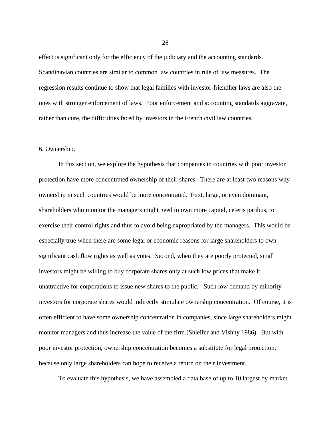effect is significant only for the efficiency of the judiciary and the accounting standards. Scandinavian countries are similar to common law countries in rule of law measures. The regression results continue to show that legal families with investor-friendlier laws are also the ones with stronger enforcement of laws. Poor enforcement and accounting standards aggravate, rather than cure, the difficulties faced by investors in the French civil law countries.

# 6. Ownership.

In this section, we explore the hypothesis that companies in countries with poor investor protection have more concentrated ownership of their shares. There are at least two reasons why ownership in such countries would be more concentrated. First, large, or even dominant, shareholders who monitor the managers might need to own more capital, ceteris paribus, to exercise their control rights and thus to avoid being expropriated by the managers. This would be especially true when there are some legal or economic reasons for large shareholders to own significant cash flow rights as well as votes. Second, when they are poorly protected, small investors might be willing to buy corporate shares only at such low prices that make it unattractive for corporations to issue new shares to the public. Such low demand by minority investors for corporate shares would indirectly stimulate ownership concentration. Of course, it is often efficient to have some ownership concentration in companies, since large shareholders might monitor managers and thus increase the value of the firm (Shleifer and Vishny 1986). But with poor investor protection, ownership concentration becomes a substitute for legal protection, because only large shareholders can hope to receive a return on their investment.

To evaluate this hypothesis, we have assembled a data base of up to 10 largest by market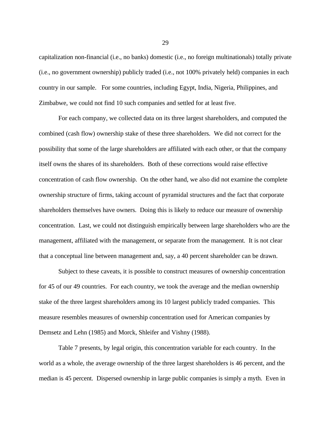capitalization non-financial (i.e., no banks) domestic (i.e., no foreign multinationals) totally private (i.e., no government ownership) publicly traded (i.e., not 100% privately held) companies in each country in our sample. For some countries, including Egypt, India, Nigeria, Philippines, and Zimbabwe, we could not find 10 such companies and settled for at least five.

For each company, we collected data on its three largest shareholders, and computed the combined (cash flow) ownership stake of these three shareholders. We did not correct for the possibility that some of the large shareholders are affiliated with each other, or that the company itself owns the shares of its shareholders. Both of these corrections would raise effective concentration of cash flow ownership. On the other hand, we also did not examine the complete ownership structure of firms, taking account of pyramidal structures and the fact that corporate shareholders themselves have owners. Doing this is likely to reduce our measure of ownership concentration. Last, we could not distinguish empirically between large shareholders who are the management, affiliated with the management, or separate from the management. It is not clear that a conceptual line between management and, say, a 40 percent shareholder can be drawn.

 Subject to these caveats, it is possible to construct measures of ownership concentration for 45 of our 49 countries. For each country, we took the average and the median ownership stake of the three largest shareholders among its 10 largest publicly traded companies. This measure resembles measures of ownership concentration used for American companies by Demsetz and Lehn (1985) and Morck, Shleifer and Vishny (1988).

Table 7 presents, by legal origin, this concentration variable for each country. In the world as a whole, the average ownership of the three largest shareholders is 46 percent, and the median is 45 percent. Dispersed ownership in large public companies is simply a myth. Even in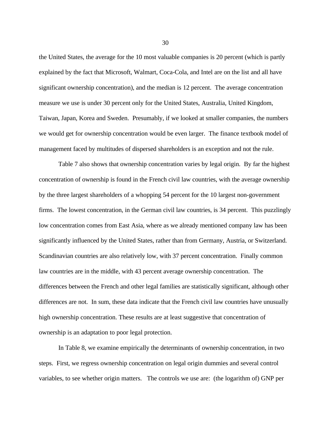the United States, the average for the 10 most valuable companies is 20 percent (which is partly explained by the fact that Microsoft, Walmart, Coca-Cola, and Intel are on the list and all have significant ownership concentration), and the median is 12 percent. The average concentration measure we use is under 30 percent only for the United States, Australia, United Kingdom, Taiwan, Japan, Korea and Sweden. Presumably, if we looked at smaller companies, the numbers we would get for ownership concentration would be even larger. The finance textbook model of management faced by multitudes of dispersed shareholders is an exception and not the rule.

Table 7 also shows that ownership concentration varies by legal origin. By far the highest concentration of ownership is found in the French civil law countries, with the average ownership by the three largest shareholders of a whopping 54 percent for the 10 largest non-government firms. The lowest concentration, in the German civil law countries, is 34 percent. This puzzlingly low concentration comes from East Asia, where as we already mentioned company law has been significantly influenced by the United States, rather than from Germany, Austria, or Switzerland. Scandinavian countries are also relatively low, with 37 percent concentration. Finally common law countries are in the middle, with 43 percent average ownership concentration. The differences between the French and other legal families are statistically significant, although other differences are not. In sum, these data indicate that the French civil law countries have unusually high ownership concentration. These results are at least suggestive that concentration of ownership is an adaptation to poor legal protection.

In Table 8, we examine empirically the determinants of ownership concentration, in two steps. First, we regress ownership concentration on legal origin dummies and several control variables, to see whether origin matters. The controls we use are: (the logarithm of) GNP per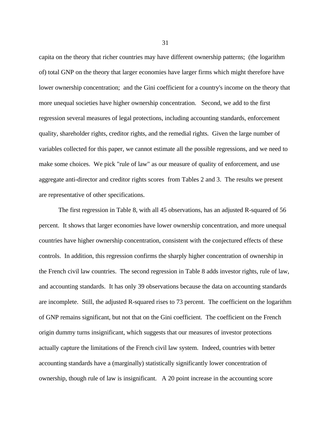capita on the theory that richer countries may have different ownership patterns; (the logarithm of) total GNP on the theory that larger economies have larger firms which might therefore have lower ownership concentration; and the Gini coefficient for a country's income on the theory that more unequal societies have higher ownership concentration. Second, we add to the first regression several measures of legal protections, including accounting standards, enforcement quality, shareholder rights, creditor rights, and the remedial rights. Given the large number of variables collected for this paper, we cannot estimate all the possible regressions, and we need to make some choices. We pick "rule of law" as our measure of quality of enforcement, and use aggregate anti-director and creditor rights scores from Tables 2 and 3. The results we present are representative of other specifications.

The first regression in Table 8, with all 45 observations, has an adjusted R-squared of 56 percent. It shows that larger economies have lower ownership concentration, and more unequal countries have higher ownership concentration, consistent with the conjectured effects of these controls. In addition, this regression confirms the sharply higher concentration of ownership in the French civil law countries. The second regression in Table 8 adds investor rights, rule of law, and accounting standards. It has only 39 observations because the data on accounting standards are incomplete. Still, the adjusted R-squared rises to 73 percent. The coefficient on the logarithm of GNP remains significant, but not that on the Gini coefficient. The coefficient on the French origin dummy turns insignificant, which suggests that our measures of investor protections actually capture the limitations of the French civil law system. Indeed, countries with better accounting standards have a (marginally) statistically significantly lower concentration of ownership, though rule of law is insignificant. A 20 point increase in the accounting score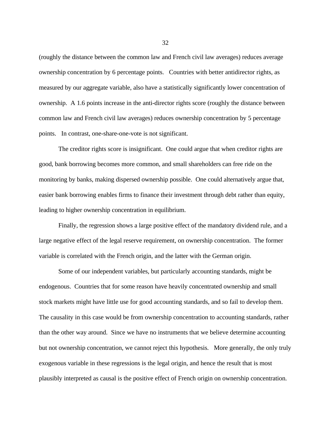(roughly the distance between the common law and French civil law averages) reduces average ownership concentration by 6 percentage points. Countries with better antidirector rights, as measured by our aggregate variable, also have a statistically significantly lower concentration of ownership. A 1.6 points increase in the anti-director rights score (roughly the distance between common law and French civil law averages) reduces ownership concentration by 5 percentage points. In contrast, one-share-one-vote is not significant.

The creditor rights score is insignificant. One could argue that when creditor rights are good, bank borrowing becomes more common, and small shareholders can free ride on the monitoring by banks, making dispersed ownership possible. One could alternatively argue that, easier bank borrowing enables firms to finance their investment through debt rather than equity, leading to higher ownership concentration in equilibrium.

Finally, the regression shows a large positive effect of the mandatory dividend rule, and a large negative effect of the legal reserve requirement, on ownership concentration. The former variable is correlated with the French origin, and the latter with the German origin.

Some of our independent variables, but particularly accounting standards, might be endogenous. Countries that for some reason have heavily concentrated ownership and small stock markets might have little use for good accounting standards, and so fail to develop them. The causality in this case would be from ownership concentration to accounting standards, rather than the other way around. Since we have no instruments that we believe determine accounting but not ownership concentration, we cannot reject this hypothesis. More generally, the only truly exogenous variable in these regressions is the legal origin, and hence the result that is most plausibly interpreted as causal is the positive effect of French origin on ownership concentration.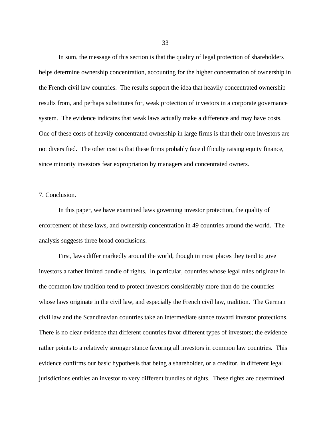In sum, the message of this section is that the quality of legal protection of shareholders helps determine ownership concentration, accounting for the higher concentration of ownership in the French civil law countries. The results support the idea that heavily concentrated ownership results from, and perhaps substitutes for, weak protection of investors in a corporate governance system. The evidence indicates that weak laws actually make a difference and may have costs. One of these costs of heavily concentrated ownership in large firms is that their core investors are not diversified. The other cost is that these firms probably face difficulty raising equity finance, since minority investors fear expropriation by managers and concentrated owners.

# 7. Conclusion.

In this paper, we have examined laws governing investor protection, the quality of enforcement of these laws, and ownership concentration in 49 countries around the world. The analysis suggests three broad conclusions.

First, laws differ markedly around the world, though in most places they tend to give investors a rather limited bundle of rights. In particular, countries whose legal rules originate in the common law tradition tend to protect investors considerably more than do the countries whose laws originate in the civil law, and especially the French civil law, tradition. The German civil law and the Scandinavian countries take an intermediate stance toward investor protections. There is no clear evidence that different countries favor different types of investors; the evidence rather points to a relatively stronger stance favoring all investors in common law countries. This evidence confirms our basic hypothesis that being a shareholder, or a creditor, in different legal jurisdictions entitles an investor to very different bundles of rights. These rights are determined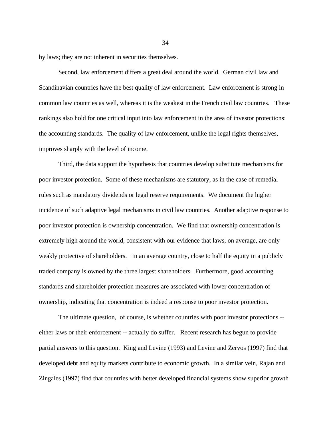by laws; they are not inherent in securities themselves.

Second, law enforcement differs a great deal around the world. German civil law and Scandinavian countries have the best quality of law enforcement. Law enforcement is strong in common law countries as well, whereas it is the weakest in the French civil law countries. These rankings also hold for one critical input into law enforcement in the area of investor protections: the accounting standards. The quality of law enforcement, unlike the legal rights themselves, improves sharply with the level of income.

Third, the data support the hypothesis that countries develop substitute mechanisms for poor investor protection. Some of these mechanisms are statutory, as in the case of remedial rules such as mandatory dividends or legal reserve requirements. We document the higher incidence of such adaptive legal mechanisms in civil law countries. Another adaptive response to poor investor protection is ownership concentration. We find that ownership concentration is extremely high around the world, consistent with our evidence that laws, on average, are only weakly protective of shareholders. In an average country, close to half the equity in a publicly traded company is owned by the three largest shareholders. Furthermore, good accounting standards and shareholder protection measures are associated with lower concentration of ownership, indicating that concentration is indeed a response to poor investor protection.

The ultimate question, of course, is whether countries with poor investor protections - either laws or their enforcement -- actually do suffer. Recent research has begun to provide partial answers to this question. King and Levine (1993) and Levine and Zervos (1997) find that developed debt and equity markets contribute to economic growth. In a similar vein, Rajan and Zingales (1997) find that countries with better developed financial systems show superior growth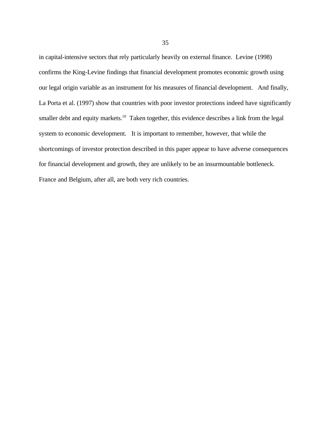in capital-intensive sectors that rely particularly heavily on external finance. Levine (1998) confirms the King-Levine findings that financial development promotes economic growth using our legal origin variable as an instrument for his measures of financial development. And finally, La Porta et al. (1997) show that countries with poor investor protections indeed have significantly smaller debt and equity markets.<sup>10</sup> Taken together, this evidence describes a link from the legal system to economic development. It is important to remember, however, that while the shortcomings of investor protection described in this paper appear to have adverse consequences for financial development and growth, they are unlikely to be an insurmountable bottleneck. France and Belgium, after all, are both very rich countries.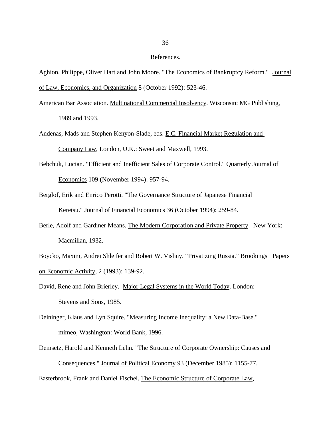## References.

Aghion, Philippe, Oliver Hart and John Moore. "The Economics of Bankruptcy Reform." Journal of Law, Economics, and Organization 8 (October 1992): 523-46.

- American Bar Association. Multinational Commercial Insolvency. Wisconsin: MG Publishing, 1989 and 1993.
- Andenas, Mads and Stephen Kenyon-Slade, eds. E.C. Financial Market Regulation and Company Law, London, U.K.: Sweet and Maxwell, 1993.
- Bebchuk, Lucian. "Efficient and Inefficient Sales of Corporate Control." Quarterly Journal of Economics 109 (November 1994): 957-94.
- Berglof, Erik and Enrico Perotti. "The Governance Structure of Japanese Financial Keretsu." Journal of Financial Economics 36 (October 1994): 259-84.
- Berle, Adolf and Gardiner Means. The Modern Corporation and Private Property. New York: Macmillan, 1932.

Boycko, Maxim, Andrei Shleifer and Robert W. Vishny. "Privatizing Russia." Brookings Papers on Economic Activity, 2 (1993): 139-92.

- David, Rene and John Brierley. Major Legal Systems in the World Today. London: Stevens and Sons, 1985.
- Deininger, Klaus and Lyn Squire. "Measuring Income Inequality: a New Data-Base." mimeo, Washington: World Bank, 1996.
- Demsetz, Harold and Kenneth Lehn. "The Structure of Corporate Ownership: Causes and Consequences." Journal of Political Economy 93 (December 1985): 1155-77.

Easterbrook, Frank and Daniel Fischel. The Economic Structure of Corporate Law,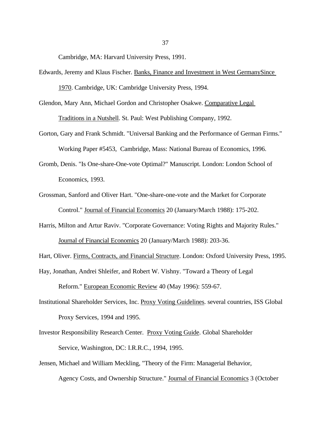Cambridge, MA: Harvard University Press, 1991.

- Edwards, Jeremy and Klaus Fischer. Banks, Finance and Investment in West GermanySince 1970. Cambridge, UK: Cambridge University Press, 1994.
- Glendon, Mary Ann, Michael Gordon and Christopher Osakwe. Comparative Legal Traditions in a Nutshell. St. Paul: West Publishing Company, 1992.
- Gorton, Gary and Frank Schmidt. "Universal Banking and the Performance of German Firms." Working Paper #5453, Cambridge, Mass: National Bureau of Economics, 1996.
- Gromb, Denis. "Is One-share-One-vote Optimal?" Manuscript. London: London School of Economics, 1993.
- Grossman, Sanford and Oliver Hart. "One-share-one-vote and the Market for Corporate Control." Journal of Financial Economics 20 (January/March 1988): 175-202.
- Harris, Milton and Artur Raviv. "Corporate Governance: Voting Rights and Majority Rules." Journal of Financial Economics 20 (January/March 1988): 203-36.
- Hart, Oliver. Firms, Contracts, and Financial Structure. London: Oxford University Press, 1995.
- Hay, Jonathan, Andrei Shleifer, and Robert W. Vishny. "Toward a Theory of Legal Reform." European Economic Review 40 (May 1996): 559-67.
- Institutional Shareholder Services, Inc. Proxy Voting Guidelines. several countries, ISS Global Proxy Services, 1994 and 1995.
- Investor Responsibility Research Center. Proxy Voting Guide. Global Shareholder Service, Washington, DC: I.R.R.C., 1994, 1995.
- Jensen, Michael and William Meckling, "Theory of the Firm: Managerial Behavior, Agency Costs, and Ownership Structure." Journal of Financial Economics 3 (October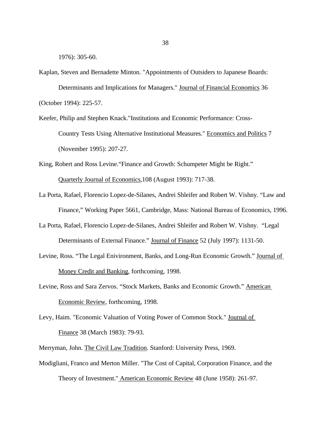1976): 305-60.

- Kaplan, Steven and Bernadette Minton. "Appointments of Outsiders to Japanese Boards: Determinants and Implications for Managers." Journal of Financial Economics 36 (October 1994): 225-57.
- Keefer, Philip and Stephen Knack."Institutions and Economic Performance: Cross-Country Tests Using Alternative Institutional Measures." Economics and Politics 7 (November 1995): 207-27.
- King, Robert and Ross Levine. "Finance and Growth: Schumpeter Might be Right." Quarterly Journal of Economics,108 (August 1993): 717-38.
- La Porta, Rafael, Florencio Lopez-de-Silanes, Andrei Shleifer and Robert W. Vishny. "Law and Finance," Working Paper 5661, Cambridge, Mass: National Bureau of Economics, 1996.
- La Porta, Rafael, Florencio Lopez-de-Silanes, Andrei Shleifer and Robert W. Vishny. "Legal Determinants of External Finance." Journal of Finance 52 (July 1997): 1131-50.
- Levine, Ross. "The Legal Enivironment, Banks, and Long-Run Economic Growth." Journal of Money Credit and Banking, forthcoming, 1998.
- Levine, Ross and Sara Zervos. "Stock Markets, Banks and Economic Growth." American Economic Review, forthcoming, 1998.
- Levy, Haim. "Economic Valuation of Voting Power of Common Stock." Journal of Finance 38 (March 1983): 79-93.
- Merryman, John. The Civil Law Tradition. Stanford: University Press, 1969.
- Modigliani, Franco and Merton Miller. "The Cost of Capital, Corporation Finance, and the Theory of Investment." American Economic Review 48 (June 1958): 261-97.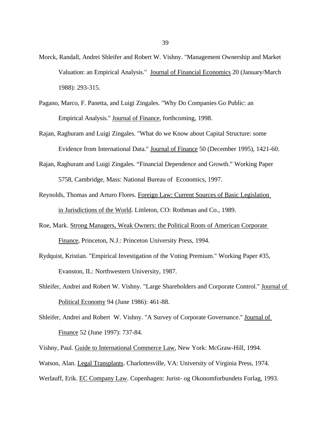- Morck, Randall, Andrei Shleifer and Robert W. Vishny. "Management Ownership and Market Valuation: an Empirical Analysis." Journal of Financial Economics 20 (January/March 1988): 293-315.
- Pagano, Marco, F. Panetta, and Luigi Zingales. "Why Do Companies Go Public: an Empirical Analysis." Journal of Finance, forthcoming, 1998.
- Rajan, Raghuram and Luigi Zingales. "What do we Know about Capital Structure: some Evidence from International Data." Journal of Finance 50 (December 1995), 1421-60.
- Rajan, Raghuram and Luigi Zingales. "Financial Dependence and Growth." Working Paper 5758, Cambridge, Mass: National Bureau of Economics, 1997.
- Reynolds, Thomas and Arturo Flores. Foreign Law: Current Sources of Basic Legislation in Jurisdictions of the World. Littleton, CO: Rothman and Co., 1989.
- Roe, Mark. Strong Managers, Weak Owners: the Political Roots of American Corporate Finance, Princeton, N.J.: Princeton University Press, 1994.
- Rydquist, Kristian. "Empirical Investigation of the Voting Premium." Working Paper #35, Evanston, IL: Northwestern University, 1987.
- Shleifer, Andrei and Robert W. Vishny. "Large Shareholders and Corporate Control." Journal of Political Economy 94 (June 1986): 461-88.
- Shleifer, Andrei and Robert W. Vishny. "A Survey of Corporate Governance." Journal of Finance 52 (June 1997): 737-84.
- Vishny, Paul. Guide to International Commerce Law, New York: McGraw-Hill, 1994.
- Watson, Alan. Legal Transplants. Charlottesville, VA: University of Virginia Press, 1974.
- Werlauff, Erik. EC Company Law. Copenhagen: Jurist- og Okonomforbundets Forlag, 1993.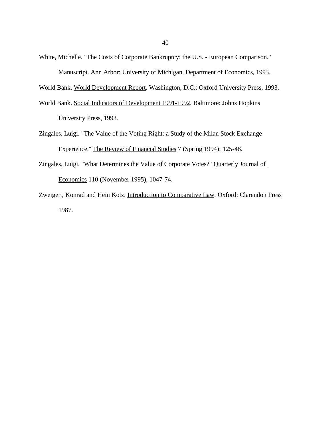White, Michelle. "The Costs of Corporate Bankruptcy: the U.S. - European Comparison." Manuscript. Ann Arbor: University of Michigan, Department of Economics, 1993.

World Bank. World Development Report. Washington, D.C.: Oxford University Press, 1993.

- World Bank. Social Indicators of Development 1991-1992. Baltimore: Johns Hopkins University Press, 1993.
- Zingales, Luigi. "The Value of the Voting Right: a Study of the Milan Stock Exchange Experience." The Review of Financial Studies 7 (Spring 1994): 125-48.
- Zingales, Luigi. "What Determines the Value of Corporate Votes?" Quarterly Journal of Economics 110 (November 1995), 1047-74.
- Zweigert, Konrad and Hein Kotz. Introduction to Comparative Law*.* Oxford: Clarendon Press 1987.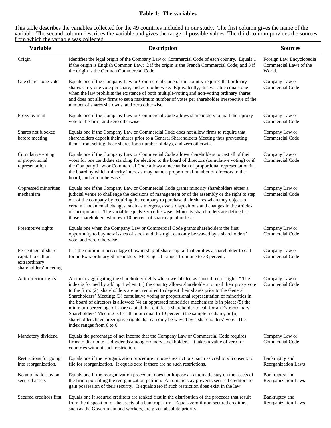# **Table 1: The variables**

This table describes the variables collected for the 49 countries included in our study. The first column gives the name of the variable. The second column describes the variable and gives the range of possible values. The third column provides the sources from which the variable was collected.

| <b>Variable</b>                                                                     | <b>Description</b>                                                                                                                                                                                                                                                                                                                                                                                                                                                                                                                                                                                                                                                                                                                                                                                             | <b>Sources</b>                                               |
|-------------------------------------------------------------------------------------|----------------------------------------------------------------------------------------------------------------------------------------------------------------------------------------------------------------------------------------------------------------------------------------------------------------------------------------------------------------------------------------------------------------------------------------------------------------------------------------------------------------------------------------------------------------------------------------------------------------------------------------------------------------------------------------------------------------------------------------------------------------------------------------------------------------|--------------------------------------------------------------|
| Origin                                                                              | Identifies the legal origin of the Company Law or Commercial Code of each country. Equals 1<br>if the origin is English Common Law; 2 if the origin is the French Commercial Code; and 3 if<br>the origin is the German Commercial Code.                                                                                                                                                                                                                                                                                                                                                                                                                                                                                                                                                                       | Foreign Law Encyclopedia<br>Commercial Laws of the<br>World. |
| One share - one vote                                                                | Equals one if the Company Law or Commercial Code of the country requires that ordinary<br>shares carry one vote per share, and zero otherwise. Equivalently, this variable equals one<br>when the law prohibits the existence of both multiple-voting and non-voting ordinary shares<br>and does not allow firms to set a maximum number of votes per shareholder irrespective of the<br>number of shares she owns, and zero otherwise.                                                                                                                                                                                                                                                                                                                                                                        | Company Law or<br><b>Commercial Code</b>                     |
| Proxy by mail                                                                       | Equals one if the Company Law or Commercial Code allows shareholders to mail their proxy<br>vote to the firm, and zero otherwise.                                                                                                                                                                                                                                                                                                                                                                                                                                                                                                                                                                                                                                                                              | Company Law or<br><b>Commercial Code</b>                     |
| Shares not blocked<br>before meeting                                                | Equals one if the Company Law or Commercial Code does not allow firms to require that<br>shareholders deposit their shares prior to a General Shareholders Meeting thus preventing<br>them from selling those shares for a number of days, and zero otherwise.                                                                                                                                                                                                                                                                                                                                                                                                                                                                                                                                                 | Company Law or<br><b>Commercial Code</b>                     |
| Cumulative voting<br>or proportional<br>representation                              | Equals one if the Company Law or Commercial Code allows shareholders to cast all of their<br>votes for one candidate standing for election to the board of directors (cumulative voting) or if<br>the Company Law or Commercial Code allows a mechanism of proportional representation in<br>the board by which minority interests may name a proportional number of directors to the<br>board, and zero otherwise.                                                                                                                                                                                                                                                                                                                                                                                            | Company Law or<br>Commercial Code                            |
| Oppressed minorities<br>mechanism                                                   | Equals one if the Company Law or Commercial Code grants minority shareholders either a<br>judicial venue to challenge the decisions of management or of the assembly or the right to step<br>out of the company by requiring the company to purchase their shares when they object to<br>certain fundamental changes, such as mergers, assets dispositions and changes in the articles<br>of incorporation. The variable equals zero otherwise. Minority shareholders are defined as<br>those shareholders who own 10 percent of share capital or less.                                                                                                                                                                                                                                                        | Company Law or<br>Commercial Code                            |
| Preemptive rights                                                                   | Equals one when the Company Law or Commercial Code grants shareholders the first<br>opportunity to buy new issues of stock and this right can only be waved by a shareholders'<br>vote, and zero otherwise.                                                                                                                                                                                                                                                                                                                                                                                                                                                                                                                                                                                                    | Company Law or<br>Commercial Code                            |
| Percentage of share<br>capital to call an<br>extraordinary<br>shareholders' meeting | It is the minimum percentage of ownership of share capital that entitles a shareholder to call<br>for an Extraordinary Shareholders' Meeting. It ranges from one to 33 percent.                                                                                                                                                                                                                                                                                                                                                                                                                                                                                                                                                                                                                                | Company Law or<br><b>Commercial Code</b>                     |
| Anti-director rights                                                                | An index aggregating the shareholder rights which we labeled as "anti-director rights." The<br>index is formed by adding 1 when: (1) the country allows shareholders to mail their proxy vote<br>to the firm; (2) shareholders are not required to deposit their shares prior to the General<br>Shareholders' Meeting; (3) cumulative voting or proportional representation of minorities in<br>the board of directors is allowed; (4) an oppressed minorities mechanism is in place; (5) the<br>minimum percentage of share capital that entitles a shareholder to call for an Extraordinary<br>Shareholders' Meeting is less than or equal to 10 percent (the sample median); or (6)<br>shareholders have preemptive rights that can only be waved by a shareholders' vote. The<br>index ranges from 0 to 6. | Company Law or<br><b>Commercial Code</b>                     |
| Mandatory dividend                                                                  | Equals the percentage of net income that the Company Law or Commercial Code requires<br>firms to distribute as dividends among ordinary stockholders. It takes a value of zero for<br>countries without such restriction.                                                                                                                                                                                                                                                                                                                                                                                                                                                                                                                                                                                      | Company Law or<br>Commercial Code                            |
| Restrictions for going<br>into reorganization.                                      | Equals one if the reorganization procedure imposes restrictions, such as creditors' consent, to<br>file for reorganization. It equals zero if there are no such restrictions.                                                                                                                                                                                                                                                                                                                                                                                                                                                                                                                                                                                                                                  | Bankruptcy and<br>Reorganization Laws                        |
| No automatic stay on<br>secured assets                                              | Equals one if the reorganization procedure does not impose an automatic stay on the assets of<br>the firm upon filing the reorganization petition. Automatic stay prevents secured creditors to<br>gain possession of their security. It equals zero if such restriction does exist in the law.                                                                                                                                                                                                                                                                                                                                                                                                                                                                                                                | Bankruptcy and<br>Reorganization Laws                        |
| Secured creditors first                                                             | Equals one if secured creditors are ranked first in the distribution of the proceeds that result<br>from the disposition of the assets of a bankrupt firm. Equals zero if non-secured creditors,<br>such as the Government and workers, are given absolute priority.                                                                                                                                                                                                                                                                                                                                                                                                                                                                                                                                           | Bankruptcy and<br>Reorganization Laws                        |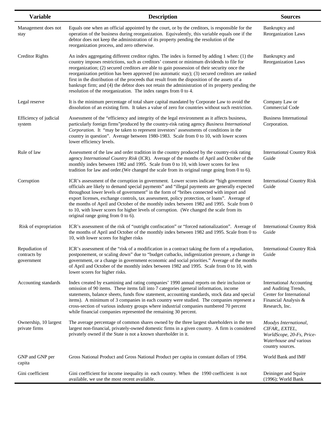| <b>Variable</b>                              | <b>Description</b>                                                                                                                                                                                                                                                                                                                                                                                                                                                                                                                                                                                                                                                    | <b>Sources</b>                                                                                                                |
|----------------------------------------------|-----------------------------------------------------------------------------------------------------------------------------------------------------------------------------------------------------------------------------------------------------------------------------------------------------------------------------------------------------------------------------------------------------------------------------------------------------------------------------------------------------------------------------------------------------------------------------------------------------------------------------------------------------------------------|-------------------------------------------------------------------------------------------------------------------------------|
| Management does not<br>stay                  | Equals one when an official appointed by the court, or by the creditors, is responsible for the<br>operation of the business during reorganization. Equivalently, this variable equals one if the<br>debtor does not keep the administration of its property pending the resolution of the<br>reorganization process, and zero otherwise.                                                                                                                                                                                                                                                                                                                             | Bankruptcy and<br>Reorganization Laws                                                                                         |
| <b>Creditor Rights</b>                       | An index aggregating different creditor rights. The index is formed by adding 1 when: (1) the<br>country imposes restrictions, such as creditors' consent or minimum dividends to file for<br>reorganization; (2) secured creditors are able to gain possession of their security once the<br>reorganization petition has been approved (no automatic stay); (3) secured creditors are ranked<br>first in the distribution of the proceeds that result from the disposition of the assets of a<br>bankrupt firm; and (4) the debtor does not retain the administration of its property pending the<br>resolution of the reorganization. The index ranges from 0 to 4. | Bankruptcy and<br>Reorganization Laws                                                                                         |
| Legal reserve                                | It is the minimum percentage of total share capital mandated by Corporate Law to avoid the<br>dissolution of an existing firm. It takes a value of zero for countries without such restriction.                                                                                                                                                                                                                                                                                                                                                                                                                                                                       | Company Law or<br><b>Commercial Code</b>                                                                                      |
| Efficiency of judicial<br>system             | Assessment of the "efficiency and integrity of the legal environment as it affects business,<br>particularly foreign firms"produced by the country-risk rating agency Business International<br>Corporation. It "may be taken to represent investors' assessments of conditions in the<br>country in question". Average between 1980-1983. Scale from 0 to 10, with lower scores<br>lower efficiency levels.                                                                                                                                                                                                                                                          | <b>Business International</b><br>Corporation.                                                                                 |
| Rule of law                                  | Assessment of the law and order tradition in the country produced by the country-risk rating<br>agency International Country Risk (ICR). Average of the months of April and October of the<br>monthly index between 1982 and 1995. Scale from 0 to 10, with lower scores for less<br>tradition for law and order. (We changed the scale from its original range going from 0 to 6).                                                                                                                                                                                                                                                                                   | <b>International Country Risk</b><br>Guide                                                                                    |
| Corruption                                   | ICR's assessment of the corruption in government. Lower scores indicate "high government<br>officials are likely to demand special payments" and "illegal payments are generally expected<br>throughout lower levels of government" in the form of "bribes connected with import and<br>export licenses, exchange controls, tax assessment, policy protection, or loans". Average of<br>the months of April and October of the monthly index between 1982 and 1995. Scale from 0<br>to 10, with lower scores for higher levels of corruption. (We changed the scale from its<br>original range going from $0$ to $6$ ).                                               | <b>International Country Risk</b><br>Guide                                                                                    |
| Risk of expropriation                        | ICR's assessment of the risk of "outright confiscation" or "forced nationalization". Average of<br>the months of April and October of the monthly index between 1982 and 1995. Scale from 0 to<br>10, with lower scores for higher risks                                                                                                                                                                                                                                                                                                                                                                                                                              | <b>International Country Risk</b><br>Guide                                                                                    |
| Repudiation of<br>contracts by<br>government | ICR's assessment of the "risk of a modification in a contract taking the form of a repudiation,<br>postponement, or scaling down" due to "budget cutbacks, indigenization pressure, a change in<br>government, or a change in government economic and social priorities." Average of the months<br>of April and October of the monthly index between 1982 and 1995. Scale from 0 to 10, with<br>lower scores for higher risks.                                                                                                                                                                                                                                        | <b>International Country Risk</b><br>Guide                                                                                    |
| Accounting standards                         | Index created by examining and rating companies' 1990 annual reports on their inclusion or<br>omission of 90 items. These items fall into 7 categories (general information, income<br>statements, balance sheets, funds flow statement, accounting standards, stock data and special<br>items). A minimum of 3 companies in each country were studied. The companies represent a<br>cross-section of various industry groups where industrial companies numbered 70 percent<br>while financial companies represented the remaining 30 percent.                                                                                                                       | <b>International Accounting</b><br>and Auditing Trends,<br>Center for International<br>Financial Analysis &<br>Research, Inc. |
| Ownership, 10 largest<br>private firms       | The average percentage of common shares owned by the three largest shareholders in the ten<br>largest non-financial, privately-owned domestic firms in a given country. A firm is considered<br>privately owned if the State is not a known shareholder in it.                                                                                                                                                                                                                                                                                                                                                                                                        | Moodys International,<br>CIFAR,, EXTEL,<br>WorldScope, 20-Fs, Price-<br>Waterhouse and various<br>country sources.            |
| GNP and GNP per<br>capita                    | Gross National Product and Gross National Product per capita in constant dollars of 1994.                                                                                                                                                                                                                                                                                                                                                                                                                                                                                                                                                                             | World Bank and IMF                                                                                                            |
| Gini coefficient                             | Gini coefficient for income inequality in each country. When the 1990 coefficient is not<br>available, we use the most recent available.                                                                                                                                                                                                                                                                                                                                                                                                                                                                                                                              | Deininger and Squire<br>(1996); World Bank                                                                                    |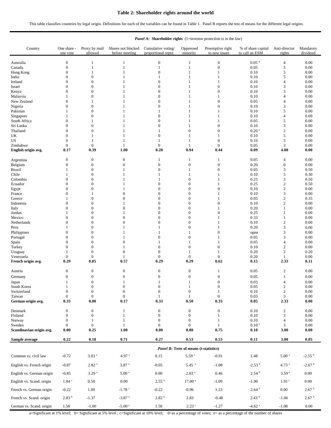## **Table 2: Shareholder rights around the world**

This table classifies countries by legal origin. Definitions for each of the variables can be found in Table 1. Panel B reports the test of means for the different legal origins.

| Country                   | One share -<br>one vote              | Proxy by mail<br>allowed             | Shares not blocked<br>before meeting | Cumulative voting/<br>proportional reptn. | Oppressed<br>minority                  | Preemptive right<br>to new issues    | % of share capital<br>to call an ESM | Anti-director<br>rights      | Mandatory<br>dividend |
|---------------------------|--------------------------------------|--------------------------------------|--------------------------------------|-------------------------------------------|----------------------------------------|--------------------------------------|--------------------------------------|------------------------------|-----------------------|
| Australia                 | $\mathbf{0}$                         | 1                                    | 1                                    | $\boldsymbol{0}$                          | 1                                      | $\boldsymbol{0}$                     | 0.05 <sup>d</sup>                    | 4                            | 0.00                  |
| Canada                    | $\boldsymbol{0}$                     | 1                                    |                                      | 1                                         |                                        | $\boldsymbol{0}$                     | 0.05                                 | 5                            | 0.00                  |
| Hong Kong                 | $\boldsymbol{0}$                     | 1                                    |                                      | $\boldsymbol{0}$                          | $\mathbf{1}$                           | $\mathbf{1}$                         | 0.10                                 | 5                            | 0.00                  |
| India                     | $\boldsymbol{0}$                     | $\boldsymbol{0}$                     |                                      | -1                                        |                                        | 1                                    | 0.10                                 | 5                            | 0.00                  |
| Ireland                   | $\boldsymbol{0}$<br>$\overline{0}$   | $\boldsymbol{0}$<br>$\boldsymbol{0}$ |                                      | $\boldsymbol{0}$<br>$\boldsymbol{0}$      |                                        | 1<br>$\boldsymbol{0}$                | 0.10                                 | 4<br>3                       | 0.00                  |
| Israel<br>Kenya           | $\boldsymbol{0}$                     | $\mathbf{0}$                         |                                      | $\boldsymbol{0}$                          |                                        | $\boldsymbol{0}$                     | 0.10<br>0.10                         | 3                            | 0.00<br>0.00          |
| Malaysia                  | $\mathbf{1}$                         | $\boldsymbol{0}$                     |                                      | $\boldsymbol{0}$                          |                                        | 1                                    | 0.10                                 | 4                            | 0.00                  |
| New Zealand               | $\boldsymbol{0}$                     | 1                                    |                                      | $\boldsymbol{0}$                          |                                        | $\boldsymbol{0}$                     | 0.05                                 | 4                            | 0.00                  |
| Nigeria                   | $\mathbf{0}$                         | $\boldsymbol{0}$                     |                                      | $\boldsymbol{0}$                          |                                        | $\boldsymbol{0}$                     | 0.10                                 | 3                            | 0.00                  |
| Pakistan                  | -1                                   | $\boldsymbol{0}$                     |                                      | $\mathbf{1}$                              |                                        | $\mathbf{1}$                         | 0.10                                 | 5                            | 0.00                  |
| Singapore                 | $\mathbf{1}$                         | $\boldsymbol{0}$                     |                                      | $\boldsymbol{0}$                          |                                        | 1                                    | 0.10                                 | 4                            | 0.00                  |
| South Africa              | $\boldsymbol{0}$                     | $\mathbf{1}$                         |                                      | $\boldsymbol{0}$                          |                                        | 1                                    | 0.05                                 | 5                            | 0.00                  |
| Sri Lanka                 | $\boldsymbol{0}$                     | $\boldsymbol{0}$                     |                                      | $\boldsymbol{0}$                          |                                        | $\boldsymbol{0}$                     | 0.10                                 | 3                            | 0.00                  |
| Thailand                  | $\boldsymbol{0}$                     | $\boldsymbol{0}$                     |                                      | $\mathbf{1}$                              | $\overline{0}$                         | $\boldsymbol{0}$                     | 0.20 <sup>e</sup>                    | $\overline{c}$               | 0.00                  |
| UK                        | $\boldsymbol{0}$<br>$\boldsymbol{0}$ | -1                                   |                                      | $\mathbf{0}$                              | $\mathbf{1}$                           | 1                                    | 0.10                                 | 5                            | 0.00                  |
| US<br>Zimbabwe            | $\mathbf{0}$                         | $\mathbf{1}$<br>$\boldsymbol{0}$     |                                      | 1<br>$\mathbf{0}$                         | -1<br>$\mathbf{1}$                     | $\boldsymbol{0}$<br>$\boldsymbol{0}$ | 0.10<br>0.05                         | 5<br>3                       | 0.00<br>0.00          |
| English origin avg.       | 0.17                                 | 0.39                                 | 1.00                                 | 0.28                                      | 0.94                                   | 0.44                                 | 0.09                                 | 4.00                         | 0.00                  |
|                           | $\boldsymbol{0}$                     | $\boldsymbol{0}$                     | $\mathbf{0}$                         | 1                                         | $\mathbf{1}$                           | 1                                    | 0.05                                 | 4                            | 0.00                  |
| Argentina<br>Belgium      | $\boldsymbol{0}$                     | $\boldsymbol{0}$                     | $\mathbf{0}$                         | $\boldsymbol{0}$                          | $\boldsymbol{0}$                       | $\boldsymbol{0}$                     | 0.20                                 | $\boldsymbol{0}$             | 0.00                  |
| <b>Brazil</b>             | -1                                   | $\boldsymbol{0}$                     |                                      | $\mathbf{0}$                              | 1                                      | $\boldsymbol{0}$                     | 0.05                                 | 3                            | 0.50                  |
| Chile                     | -1                                   | $\boldsymbol{0}$                     |                                      | 1                                         | 1                                      | 1                                    | 0.10                                 | 5                            | 0.30                  |
| Colombia                  | $\boldsymbol{0}$                     | $\boldsymbol{0}$                     |                                      | 1                                         | $\boldsymbol{0}$                       | 1                                    | 0.25                                 | 3                            | 0.50                  |
| Ecuador                   | $\mathbf{0}$                         | $\boldsymbol{0}$                     |                                      | $\boldsymbol{0}$                          | $\mathbf{0}$                           | 1                                    | 0.25                                 | $\sqrt{2}$                   | 0.50                  |
| Egypt                     | $\boldsymbol{0}$                     | $\boldsymbol{0}$                     |                                      | $\boldsymbol{0}$                          | $\overline{0}$                         | $\boldsymbol{0}$                     | 0.10                                 | $\sqrt{2}$                   | 0.00                  |
| France                    | $\boldsymbol{0}$                     | -1                                   | $\mathbf{0}$                         | $\boldsymbol{0}$                          | $\boldsymbol{0}$                       | 1                                    | 0.10                                 | 3                            | 0.00                  |
| Greece                    | -1                                   | $\mathbf{0}$                         | $\mathbf{0}$                         | $\boldsymbol{0}$                          | $\mathbf{0}$                           | 1                                    | 0.05                                 | $\sqrt{2}$                   | 0.35                  |
| Indonesia                 | $\boldsymbol{0}$                     | $\boldsymbol{0}$                     | $\mathbf{1}$                         | $\boldsymbol{0}$                          | $\mathbf{0}$                           | $\boldsymbol{0}$                     | 0.10                                 | $\overline{c}$               | 0.00                  |
| Italy                     | $\boldsymbol{0}$<br>$\mathbf{1}$     | $\mathbf{0}$<br>$\boldsymbol{0}$     | $\mathbf{0}$<br>$\mathbf{1}$         | $\boldsymbol{0}$<br>$\boldsymbol{0}$      | $\mathbf{0}$<br>$\mathbf{0}$           | 1<br>$\boldsymbol{0}$                | 0.20<br>0.25                         | $\mathbf{1}$<br>$\mathbf{1}$ | 0.00<br>0.00          |
| Jordan<br>Mexico          | $\boldsymbol{0}$                     | $\boldsymbol{0}$                     | $\mathbf{0}$                         | $\mathbf{0}$                              | $\mathbf{0}$                           | 1                                    | 0.33                                 | $\mathbf{1}$                 | 0.00                  |
| Netherlands               | $\boldsymbol{0}$                     | $\boldsymbol{0}$                     | $\mathbf{0}$                         | $\boldsymbol{0}$                          | $\mathbf{0}$                           | 1                                    | 0.10                                 | $\boldsymbol{2}$             | 0.00                  |
| Peru                      | -1                                   | $\boldsymbol{0}$                     |                                      |                                           | $\mathbf{0}$                           | 1                                    | 0.20                                 | 3                            | 0.00                  |
| Philippines               | $\boldsymbol{0}$                     | $\boldsymbol{0}$                     |                                      | 1                                         | $\mathbf{1}$                           | $\boldsymbol{0}$                     | open                                 | 3                            | 0.00                  |
| Portugal                  | $\boldsymbol{0}$                     | $\boldsymbol{0}$                     | 1                                    | $\boldsymbol{0}$                          | $\boldsymbol{0}$                       | 1                                    | 0.05                                 | 3                            | 0.00                  |
| Spain                     | $\boldsymbol{0}$                     | $\boldsymbol{0}$                     | $\mathbf{0}$                         | $\mathbf{1}$                              | $\mathbf{1}$                           | 1                                    | 0.05                                 | $\overline{4}$               | 0.00                  |
| Turkey                    | $\boldsymbol{0}$                     | $\mathbf{0}$                         | $\mathbf{1}$                         | $\boldsymbol{0}$                          | $\boldsymbol{0}$                       | $\boldsymbol{0}$                     | 0.10                                 | $\boldsymbol{2}$             | 0.00                  |
| Uruguay                   | 1                                    | $\mathbf{0}$                         | $\boldsymbol{0}$                     | $\mathbf{0}$                              | $\mathbf{1}$                           | 1                                    | 0.20                                 | $\overline{2}$               | 0.20                  |
| Venezuela                 | $\boldsymbol{0}$                     | $\boldsymbol{0}$                     | 1                                    | $\boldsymbol{0}$                          | $\mathbf{0}$                           | $\boldsymbol{0}$                     | 0.20                                 | $\mathbf{1}$                 | 0.00                  |
| French origin avg.        | 0.29                                 | 0.05                                 | 0.57                                 | 0.29                                      | 0.29                                   | 0.62                                 | 0.15                                 | 2.33                         | 0.11                  |
| Austria                   | $\boldsymbol{0}$                     | $\boldsymbol{0}$                     | $\boldsymbol{0}$                     | $\mathbf{0}$                              | $\boldsymbol{0}$                       | 1                                    | 0.05                                 | 2                            | 0.00                  |
| Germany                   | $\boldsymbol{0}$                     | $\boldsymbol{0}$                     | $\mathbf{0}$                         | $\mathbf{0}$                              | $\mathbf{0}$                           | $\boldsymbol{0}$                     | 0.05                                 | $\mathbf{1}$                 | 0.00                  |
| Japan                     |                                      | $\Omega$                             |                                      |                                           |                                        | $\Omega$                             | 0.03                                 | $\overline{4}$               | 0.00                  |
| South Korea               | $\mathbf{1}$                         | $\boldsymbol{0}$                     | $\boldsymbol{0}$                     | $\boldsymbol{0}$                          | $\mathbf{1}$                           | $\boldsymbol{0}$                     | $0.05\,$                             | $\overline{c}$               | $0.00\,$              |
| Switzerland<br>Taiwan     | $\boldsymbol{0}$<br>$\mathbf{0}$     | $\mathbf{0}$<br>$\mathbf{0}$         | $\mathbf{0}$<br>$\mathbf{0}$         | $\mathbf{0}$<br>1                         | $\boldsymbol{0}$<br>$\mathbf{1}$       | $\mathbf{1}$<br>$\mathbf{0}$         | 0.10<br>0.03                         | $\sqrt{2}$<br>3              | 0.00<br>0.00          |
| German origin avg.        | 0.33                                 | 0.00                                 | 0.17                                 | 0.33                                      | 0.50                                   | 0.33                                 | 0.05                                 | 2.33                         | 0.00                  |
|                           |                                      |                                      |                                      |                                           |                                        |                                      |                                      |                              |                       |
| Denmark                   | $\boldsymbol{0}$                     | $\boldsymbol{0}$                     | $\mathbf{1}$                         | $\boldsymbol{0}$                          | $\boldsymbol{0}$                       | $\boldsymbol{0}$                     | 0.10                                 | $\boldsymbol{2}$             | 0.00                  |
| Finland<br>Norway         | $\boldsymbol{0}$<br>$\boldsymbol{0}$ | $\boldsymbol{0}$<br>1                | $\mathbf{1}$                         | $\boldsymbol{0}$<br>$\mathbf{0}$          | $\boldsymbol{0}$<br>$\mathbf{0}$       | $\mathbf{1}$                         | 0.10                                 | $\mathfrak{Z}$               | 0.00                  |
| Sweden                    | $\mathbf{0}$                         | $\mathbf{0}$                         | 1<br>$\mathbf{1}$                    | $\mathbf{0}$                              | $\mathbf{0}$                           | 1<br>1                               | 0.10<br>0.10 <sup>e</sup>            | 4<br>3                       | 0.00<br>0.00          |
| Scandinavian origin avg.  | 0.00                                 | 0.25                                 | 1.00                                 | $0.00\,$                                  | 0.00                                   | 0.75                                 | 0.10                                 | 3.00                         | $\boldsymbol{0.00}$   |
| Sample average            | 0.22                                 | $\bf0.18$                            | 0.71                                 | 0.27                                      | 0.53                                   | 0.53                                 | 0.11                                 | $3.00$                       | 0.05                  |
|                           |                                      |                                      |                                      |                                           | Panel B: Tests of means (t-statistics) |                                      |                                      |                              |                       |
| Common vs. civil law      | $-0.72$                              | 3.03 <sup>a</sup>                    | 4.97 <sup>a</sup>                    | 0.15                                      | 5.59 <sup>a</sup>                      | $-0.91$                              | 1.48                                 | 5.00 <sup>a</sup>            | $-2.55$ b             |
|                           |                                      |                                      |                                      |                                           |                                        |                                      |                                      |                              |                       |
| English vs. French origin | $-0.87$                              | 2.82 <sup>a</sup>                    | 3.87 <sup>a</sup>                    | $-0.05$                                   | $5.45$ <sup>a</sup>                    | $-1.08$                              | $-2.53b$                             | 4.73 <sup>a</sup>            | $-2.67$ b             |
| English vs. German origin | $-0.85$                              | 3.29 <sup>a</sup>                    | 5.00 <sup>a</sup>                    | 0.00                                      | $2.83$ $^{\rm a}$                      | 0.46                                 | 2.54 <sup>b</sup>                    | 3.59 <sup>a</sup>            | 0.00                  |
| English vs. Scand. origin | 1.84 <sup>c</sup>                    | 0.50                                 | 0.00                                 | 2.55 <sup>b</sup>                         | 17.00 <sup>a</sup>                     | $-1.09$                              | $-1.00$                              | 1.91 <sup>c</sup>            | 0.00                  |
| French vs. German origin  | $-0.22$                              | 1.00                                 | $-1.78$ $^{\circ}$                   | $-0.22$                                   | $-0.96$                                | 1.23                                 | 2.64 <sup>b</sup>                    | 0.00                         | 2.67 <sup>b</sup>     |
| French vs. Scand. origin  | 2.83 <sup>b</sup>                    | $-1.37$                              | $-3.87$ $^{\rm a}$                   | $2.82$ $^{\rm b}$                         | 2.83                                   | $-0.48$                              | 2.43 <sup>b</sup>                    | $-1.06$                      | 2.67 <sup>b</sup>     |
| German vs. Scand. origin  | 1.58                                 | $-1.00$                              | $-5.00$ $^{\rm a}$                   | 1.58                                      | $2.23$ $^{\circ}$                      | $-1.27$                              | -4.62 $^{\rm a}$                     | $-1.08$                      | $0.00\,$              |

#### *Panel A:* **Shareholder rights** (1=investor protection is in the law)

a=Significant at 1% level; b= Significant at 5% level ; c=Significant at 10% level; d=as a percentage of votes; e= as a percentage of the number of shares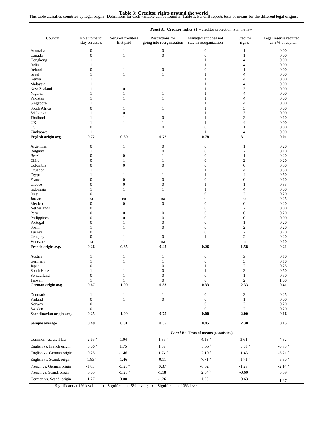| Country<br>Secured creditors<br>Legal reserve required<br>No automatic<br>Restrictions for<br>Management does not<br>Creditor<br>rights<br>first paid<br>going into reorganization<br>stay in reorganization<br>as a % of capital<br>stay on assets<br>$\boldsymbol{0}$<br>Australia<br>$\boldsymbol{0}$<br>$\boldsymbol{0}$<br>0.00<br>$\mathbf{1}$<br>$\mathbf{1}$<br>$\boldsymbol{0}$<br>$\boldsymbol{0}$<br>$\boldsymbol{0}$<br>Canada<br>0.00<br>1<br>$\mathbf{1}$<br>Hongkong<br>0.00<br>1<br>1<br>1<br>1<br>$\overline{4}$<br>India<br>0.00<br>1<br>1<br>$\overline{4}$<br>1<br>1<br>Ireland<br>$\mathbf{0}$<br>$\overline{0}$<br>$\boldsymbol{0}$<br>0.00<br>1<br>1<br>Israel<br>$\mathbf{1}$<br>1<br>0.00<br>1<br>1<br>$\overline{4}$<br>$\mathbf{1}$<br>$\mathbf{1}$<br>0.00<br>Kenya<br>1<br>1<br>$\overline{4}$<br>Malaysia<br>1<br>$\mathbf{1}$<br>0.00<br>$\mathbf{1}$<br>$\mathbf{1}$<br>$\overline{4}$<br>$\mathbf{0}$<br>3<br>0.00<br>New Zealand<br>1<br>1<br>1<br>Nigeria<br>1<br>1<br>1<br>$\overline{4}$<br>0.00<br>1<br>Pakistan<br>1<br>$\mathbf{1}$<br>1<br>1<br>$\overline{4}$<br>0.00<br>$\mathbf{1}$<br>$\mathbf{1}$<br>Singapore<br>1<br>1<br>$\overline{4}$<br>0.00<br>South Africa<br>$\mathbf{0}$<br>$\mathbf{1}$<br>3<br>0.00<br>$\mathbf{1}$<br>1<br>$\mathbf{0}$<br>3<br>Sri Lanka<br>1<br>1<br>1<br>0.00<br>$\overline{0}$<br>Thailand<br>3<br>1<br>1<br>1<br>0.10<br>$\overline{4}$<br>UK<br>1<br>1<br>1<br>1<br>0.00<br>$\mathbf{0}$<br>$\mathbf{0}$<br>$\boldsymbol{0}$<br>US<br>$\mathbf{1}$<br>1<br>0.00<br>Zimbabwe<br>$\mathbf{1}$<br>$\mathbf{1}$<br>$\mathbf{1}$<br>$\mathbf{1}$<br>$\overline{4}$<br>0.00<br>0.89<br>English origin avg.<br>0.72<br>0.72<br>0.78<br>3.11<br>0.01<br>Argentina<br>$\boldsymbol{0}$<br>$\boldsymbol{0}$<br>$\boldsymbol{0}$<br>0.20<br>$\mathbf{1}$<br>$\mathbf{1}$<br>Belgium<br>$\boldsymbol{0}$<br>$\boldsymbol{0}$<br>$\boldsymbol{2}$<br>0.10<br>1<br>1<br>$\mathbf{0}$<br>$\mathbf{0}$<br><b>Brazil</b><br>0<br>1<br>0.20<br>1<br>$\sqrt{2}$<br>Chile<br>$\mathbf{0}$<br>$\boldsymbol{0}$<br>0.20<br>1<br>1<br>$\overline{0}$<br>$\overline{0}$<br>$\mathbf{0}$<br>Colombia<br>$\boldsymbol{0}$<br>$\overline{0}$<br>0.50<br>0.50<br>1<br>1<br>1<br>1<br>$\overline{4}$<br>$\mathbf{1}$<br>$\mathbf{1}$<br>0.50<br>Egypt<br>1<br>1<br>$\overline{4}$<br>$\mathbf{0}$<br>$\mathbf{0}$<br>$\mathbf{0}$<br>$\boldsymbol{0}$<br>$\boldsymbol{0}$<br>0.10<br>France<br>$\boldsymbol{0}$<br>$\mathbf{0}$<br>$\mathbf{0}$<br>0.33<br>Greece<br>1<br>1<br>0.00<br>Indonesia<br>1<br>1<br>1<br>1<br>$\overline{4}$<br>$\boldsymbol{0}$<br>$\boldsymbol{0}$<br>$\sqrt{2}$<br>$\mathbf{1}$<br>Italy<br>$\mathbf{1}$<br>0.20<br>Jordan<br>0.25<br>na<br>na<br>na<br>na<br>na<br>$\boldsymbol{0}$<br>$\boldsymbol{0}$<br>$\boldsymbol{0}$<br>$\boldsymbol{0}$<br>$\boldsymbol{0}$<br>Mexico<br>0.20<br>$\boldsymbol{0}$<br>$\boldsymbol{0}$<br>$\sqrt{2}$<br>0.00<br>Netherlands<br>$\mathbf{1}$<br>1<br>Peru<br>$\mathbf{0}$<br>$\mathbf{0}$<br>$\boldsymbol{0}$<br>$\boldsymbol{0}$<br>$\boldsymbol{0}$<br>0.20<br>Philippines<br>$\mathbf{0}$<br>$\boldsymbol{0}$<br>$\mathbf{0}$<br>$\boldsymbol{0}$<br>$\boldsymbol{0}$<br>0.00<br>Portugal<br>$\boldsymbol{0}$<br>$\boldsymbol{0}$<br>$\boldsymbol{0}$<br>$\mathbf{1}$<br>$\mathbf{1}$<br>0.20<br>Spain<br>$\boldsymbol{0}$<br>$\boldsymbol{0}$<br>$\mathfrak{2}$<br>0.20<br>1<br>1<br>$\sqrt{2}$<br>Turkey<br>$\boldsymbol{0}$<br>$\boldsymbol{0}$<br>1<br>1<br>0.20<br>$\boldsymbol{0}$<br>$\boldsymbol{0}$<br>$\sqrt{2}$<br>Uruguay<br>1<br>1<br>0.20<br>Venezuela<br>$\mathbf{1}$<br>0.10<br>na<br>na<br>na<br>na<br>0.26<br>0.65<br>0.42<br>0.26<br>1.58<br>0.21<br>0.10<br>Austria<br>$\boldsymbol{0}$<br>3<br>1<br>1<br>1<br>3<br>0.10<br>$\boldsymbol{0}$<br>Germany<br>1<br>1<br>1<br>$\theta$<br>$\theta$<br>$\overline{c}$<br>0.25<br>Japan<br>South Korea<br>$\boldsymbol{0}$<br>$\ensuremath{\mathfrak{Z}}$<br>0.50<br>$\mathbf{1}$<br>$\mathbf{1}$<br>$\mathbf{1}$<br>$\boldsymbol{0}$<br>$\mathbf{0}$<br>Switzerland<br>1<br>$\mathbf{0}$<br>$\mathbf{1}$<br>0.50<br>$\sqrt{2}$<br>Taiwan<br>$\mathbf{1}$<br>$\mathbf{0}$<br>$\mathbf{0}$<br>1.00<br>$\mathbf{1}$<br>German origin avg.<br>0.67<br>1.00<br>0.33<br>0.33<br>2.33<br>0.41<br>Denmark<br>3<br>0.25<br>$\mathbf{1}$<br>$\mathbf{1}$<br>$\mathbf{1}$<br>$\boldsymbol{0}$<br>$\boldsymbol{0}$<br>Finland<br>$\mathbf{0}$<br>$\boldsymbol{0}$<br>$\mathbf{1}$<br>0.00<br>1<br>$\sqrt{2}$<br>Norway<br>$\boldsymbol{0}$<br>$\overline{0}$<br>0.20<br>1<br>1<br>$\overline{c}$<br>Sweden<br>$\mathbf{0}$<br>0.20<br>$\mathbf{1}$<br>$\mathbf{0}$<br>1<br>1.00<br>Scandinavian origin avg.<br>0.25<br>0.75<br>0.00<br>2.00<br>0.16<br>0.81<br>0.55<br>2.30<br>Sample average<br>0.49<br>0.45<br>0.15<br>Panel B: Tests of means (t-statistics)<br>2.65 <sup>a</sup><br>1.04<br>$1.86\,^{\circ}$<br>4.13 <sup>a</sup><br>$3.61$ $^{\rm a}$<br>Common vs. civil law<br>$-4.82$ <sup>a</sup><br>1.75 <sup>b</sup><br>1.89 <sup>c</sup><br>3.55 <sup>a</sup><br>$3.61\,$ $^{\rm a}$<br>3.06 <sup>a</sup><br>$-5.75$ <sup>a</sup><br>2.10 <sup>b</sup><br>$1.74$ <sup>c</sup><br>$-5.21$ $^{\rm a}$<br>0.25<br>$-1.46$<br>1.43<br>$1.71$ $^{\circ}$<br>$1.83$ $\degree$<br>$7.71$ <sup>a</sup><br>$-5.90$ <sup>a</sup><br>$-1.46$<br>$-0.11$<br>$-2.14$ b<br>$-1.85$ $\degree$<br>$-3.20$ <sup>a</sup><br>0.37<br>$-0.32$<br>$-1.29$<br>$2.54$ $^{\rm b}$<br>$-3.20$ <sup>a</sup><br>French vs. Scand. origin<br>0.05<br>$-1.18$<br>$-0.60$<br>0.59<br>German vs. Scand. origin<br>1.27<br>$0.00\,$<br>$-1.26$<br>1.58<br>0.63 |                           |  | <b>Panel A:</b> Creditor rights $(1 = \text{creditor protection is in the law})$ |      |
|--------------------------------------------------------------------------------------------------------------------------------------------------------------------------------------------------------------------------------------------------------------------------------------------------------------------------------------------------------------------------------------------------------------------------------------------------------------------------------------------------------------------------------------------------------------------------------------------------------------------------------------------------------------------------------------------------------------------------------------------------------------------------------------------------------------------------------------------------------------------------------------------------------------------------------------------------------------------------------------------------------------------------------------------------------------------------------------------------------------------------------------------------------------------------------------------------------------------------------------------------------------------------------------------------------------------------------------------------------------------------------------------------------------------------------------------------------------------------------------------------------------------------------------------------------------------------------------------------------------------------------------------------------------------------------------------------------------------------------------------------------------------------------------------------------------------------------------------------------------------------------------------------------------------------------------------------------------------------------------------------------------------------------------------------------------------------------------------------------------------------------------------------------------------------------------------------------------------------------------------------------------------------------------------------------------------------------------------------------------------------------------------------------------------------------------------------------------------------------------------------------------------------------------------------------------------------------------------------------------------------------------------------------------------------------------------------------------------------------------------------------------------------------------------------------------------------------------------------------------------------------------------------------------------------------------------------------------------------------------------------------------------------------------------------------------------------------------------------------------------------------------------------------------------------------------------------------------------------------------------------------------------------------------------------------------------------------------------------------------------------------------------------------------------------------------------------------------------------------------------------------------------------------------------------------------------------------------------------------------------------------------------------------------------------------------------------------------------------------------------------------------------------------------------------------------------------------------------------------------------------------------------------------------------------------------------------------------------------------------------------------------------------------------------------------------------------------------------------------------------------------------------------------------------------------------------------------------------------------------------------------------------------------------------------------------------------------------------------------------------------------------------------------------------------------------------------------------------------------------------------------------------------------------------------------------------------------------------------------------------------------------------------------------------------------------------------------------------------------------------------------------------------------------------------------------------------------------------------------------------------------------------------------------------------------------------------------------------------------------------------------------------------------------------------------------------------------------------------------------------------------------------------------------------------------------------------------------------------------------------------------------------------------------------------------------------------------------------------------------------------------------------------------------------------------------------------------------------------------------------------------------------------------------------------------------------------------------------------------------------------|---------------------------|--|----------------------------------------------------------------------------------|------|
|                                                                                                                                                                                                                                                                                                                                                                                                                                                                                                                                                                                                                                                                                                                                                                                                                                                                                                                                                                                                                                                                                                                                                                                                                                                                                                                                                                                                                                                                                                                                                                                                                                                                                                                                                                                                                                                                                                                                                                                                                                                                                                                                                                                                                                                                                                                                                                                                                                                                                                                                                                                                                                                                                                                                                                                                                                                                                                                                                                                                                                                                                                                                                                                                                                                                                                                                                                                                                                                                                                                                                                                                                                                                                                                                                                                                                                                                                                                                                                                                                                                                                                                                                                                                                                                                                                                                                                                                                                                                                                                                                                                                                                                                                                                                                                                                                                                                                                                                                                                                                                                                                                                                                                                                                                                                                                                                                                                                                                                                                                                                                                                                                          |                           |  |                                                                                  |      |
|                                                                                                                                                                                                                                                                                                                                                                                                                                                                                                                                                                                                                                                                                                                                                                                                                                                                                                                                                                                                                                                                                                                                                                                                                                                                                                                                                                                                                                                                                                                                                                                                                                                                                                                                                                                                                                                                                                                                                                                                                                                                                                                                                                                                                                                                                                                                                                                                                                                                                                                                                                                                                                                                                                                                                                                                                                                                                                                                                                                                                                                                                                                                                                                                                                                                                                                                                                                                                                                                                                                                                                                                                                                                                                                                                                                                                                                                                                                                                                                                                                                                                                                                                                                                                                                                                                                                                                                                                                                                                                                                                                                                                                                                                                                                                                                                                                                                                                                                                                                                                                                                                                                                                                                                                                                                                                                                                                                                                                                                                                                                                                                                                          |                           |  |                                                                                  |      |
|                                                                                                                                                                                                                                                                                                                                                                                                                                                                                                                                                                                                                                                                                                                                                                                                                                                                                                                                                                                                                                                                                                                                                                                                                                                                                                                                                                                                                                                                                                                                                                                                                                                                                                                                                                                                                                                                                                                                                                                                                                                                                                                                                                                                                                                                                                                                                                                                                                                                                                                                                                                                                                                                                                                                                                                                                                                                                                                                                                                                                                                                                                                                                                                                                                                                                                                                                                                                                                                                                                                                                                                                                                                                                                                                                                                                                                                                                                                                                                                                                                                                                                                                                                                                                                                                                                                                                                                                                                                                                                                                                                                                                                                                                                                                                                                                                                                                                                                                                                                                                                                                                                                                                                                                                                                                                                                                                                                                                                                                                                                                                                                                                          |                           |  |                                                                                  |      |
|                                                                                                                                                                                                                                                                                                                                                                                                                                                                                                                                                                                                                                                                                                                                                                                                                                                                                                                                                                                                                                                                                                                                                                                                                                                                                                                                                                                                                                                                                                                                                                                                                                                                                                                                                                                                                                                                                                                                                                                                                                                                                                                                                                                                                                                                                                                                                                                                                                                                                                                                                                                                                                                                                                                                                                                                                                                                                                                                                                                                                                                                                                                                                                                                                                                                                                                                                                                                                                                                                                                                                                                                                                                                                                                                                                                                                                                                                                                                                                                                                                                                                                                                                                                                                                                                                                                                                                                                                                                                                                                                                                                                                                                                                                                                                                                                                                                                                                                                                                                                                                                                                                                                                                                                                                                                                                                                                                                                                                                                                                                                                                                                                          |                           |  |                                                                                  |      |
|                                                                                                                                                                                                                                                                                                                                                                                                                                                                                                                                                                                                                                                                                                                                                                                                                                                                                                                                                                                                                                                                                                                                                                                                                                                                                                                                                                                                                                                                                                                                                                                                                                                                                                                                                                                                                                                                                                                                                                                                                                                                                                                                                                                                                                                                                                                                                                                                                                                                                                                                                                                                                                                                                                                                                                                                                                                                                                                                                                                                                                                                                                                                                                                                                                                                                                                                                                                                                                                                                                                                                                                                                                                                                                                                                                                                                                                                                                                                                                                                                                                                                                                                                                                                                                                                                                                                                                                                                                                                                                                                                                                                                                                                                                                                                                                                                                                                                                                                                                                                                                                                                                                                                                                                                                                                                                                                                                                                                                                                                                                                                                                                                          |                           |  |                                                                                  |      |
|                                                                                                                                                                                                                                                                                                                                                                                                                                                                                                                                                                                                                                                                                                                                                                                                                                                                                                                                                                                                                                                                                                                                                                                                                                                                                                                                                                                                                                                                                                                                                                                                                                                                                                                                                                                                                                                                                                                                                                                                                                                                                                                                                                                                                                                                                                                                                                                                                                                                                                                                                                                                                                                                                                                                                                                                                                                                                                                                                                                                                                                                                                                                                                                                                                                                                                                                                                                                                                                                                                                                                                                                                                                                                                                                                                                                                                                                                                                                                                                                                                                                                                                                                                                                                                                                                                                                                                                                                                                                                                                                                                                                                                                                                                                                                                                                                                                                                                                                                                                                                                                                                                                                                                                                                                                                                                                                                                                                                                                                                                                                                                                                                          |                           |  |                                                                                  |      |
|                                                                                                                                                                                                                                                                                                                                                                                                                                                                                                                                                                                                                                                                                                                                                                                                                                                                                                                                                                                                                                                                                                                                                                                                                                                                                                                                                                                                                                                                                                                                                                                                                                                                                                                                                                                                                                                                                                                                                                                                                                                                                                                                                                                                                                                                                                                                                                                                                                                                                                                                                                                                                                                                                                                                                                                                                                                                                                                                                                                                                                                                                                                                                                                                                                                                                                                                                                                                                                                                                                                                                                                                                                                                                                                                                                                                                                                                                                                                                                                                                                                                                                                                                                                                                                                                                                                                                                                                                                                                                                                                                                                                                                                                                                                                                                                                                                                                                                                                                                                                                                                                                                                                                                                                                                                                                                                                                                                                                                                                                                                                                                                                                          |                           |  |                                                                                  |      |
|                                                                                                                                                                                                                                                                                                                                                                                                                                                                                                                                                                                                                                                                                                                                                                                                                                                                                                                                                                                                                                                                                                                                                                                                                                                                                                                                                                                                                                                                                                                                                                                                                                                                                                                                                                                                                                                                                                                                                                                                                                                                                                                                                                                                                                                                                                                                                                                                                                                                                                                                                                                                                                                                                                                                                                                                                                                                                                                                                                                                                                                                                                                                                                                                                                                                                                                                                                                                                                                                                                                                                                                                                                                                                                                                                                                                                                                                                                                                                                                                                                                                                                                                                                                                                                                                                                                                                                                                                                                                                                                                                                                                                                                                                                                                                                                                                                                                                                                                                                                                                                                                                                                                                                                                                                                                                                                                                                                                                                                                                                                                                                                                                          |                           |  |                                                                                  |      |
|                                                                                                                                                                                                                                                                                                                                                                                                                                                                                                                                                                                                                                                                                                                                                                                                                                                                                                                                                                                                                                                                                                                                                                                                                                                                                                                                                                                                                                                                                                                                                                                                                                                                                                                                                                                                                                                                                                                                                                                                                                                                                                                                                                                                                                                                                                                                                                                                                                                                                                                                                                                                                                                                                                                                                                                                                                                                                                                                                                                                                                                                                                                                                                                                                                                                                                                                                                                                                                                                                                                                                                                                                                                                                                                                                                                                                                                                                                                                                                                                                                                                                                                                                                                                                                                                                                                                                                                                                                                                                                                                                                                                                                                                                                                                                                                                                                                                                                                                                                                                                                                                                                                                                                                                                                                                                                                                                                                                                                                                                                                                                                                                                          |                           |  |                                                                                  |      |
|                                                                                                                                                                                                                                                                                                                                                                                                                                                                                                                                                                                                                                                                                                                                                                                                                                                                                                                                                                                                                                                                                                                                                                                                                                                                                                                                                                                                                                                                                                                                                                                                                                                                                                                                                                                                                                                                                                                                                                                                                                                                                                                                                                                                                                                                                                                                                                                                                                                                                                                                                                                                                                                                                                                                                                                                                                                                                                                                                                                                                                                                                                                                                                                                                                                                                                                                                                                                                                                                                                                                                                                                                                                                                                                                                                                                                                                                                                                                                                                                                                                                                                                                                                                                                                                                                                                                                                                                                                                                                                                                                                                                                                                                                                                                                                                                                                                                                                                                                                                                                                                                                                                                                                                                                                                                                                                                                                                                                                                                                                                                                                                                                          |                           |  |                                                                                  |      |
|                                                                                                                                                                                                                                                                                                                                                                                                                                                                                                                                                                                                                                                                                                                                                                                                                                                                                                                                                                                                                                                                                                                                                                                                                                                                                                                                                                                                                                                                                                                                                                                                                                                                                                                                                                                                                                                                                                                                                                                                                                                                                                                                                                                                                                                                                                                                                                                                                                                                                                                                                                                                                                                                                                                                                                                                                                                                                                                                                                                                                                                                                                                                                                                                                                                                                                                                                                                                                                                                                                                                                                                                                                                                                                                                                                                                                                                                                                                                                                                                                                                                                                                                                                                                                                                                                                                                                                                                                                                                                                                                                                                                                                                                                                                                                                                                                                                                                                                                                                                                                                                                                                                                                                                                                                                                                                                                                                                                                                                                                                                                                                                                                          |                           |  |                                                                                  |      |
|                                                                                                                                                                                                                                                                                                                                                                                                                                                                                                                                                                                                                                                                                                                                                                                                                                                                                                                                                                                                                                                                                                                                                                                                                                                                                                                                                                                                                                                                                                                                                                                                                                                                                                                                                                                                                                                                                                                                                                                                                                                                                                                                                                                                                                                                                                                                                                                                                                                                                                                                                                                                                                                                                                                                                                                                                                                                                                                                                                                                                                                                                                                                                                                                                                                                                                                                                                                                                                                                                                                                                                                                                                                                                                                                                                                                                                                                                                                                                                                                                                                                                                                                                                                                                                                                                                                                                                                                                                                                                                                                                                                                                                                                                                                                                                                                                                                                                                                                                                                                                                                                                                                                                                                                                                                                                                                                                                                                                                                                                                                                                                                                                          |                           |  |                                                                                  |      |
|                                                                                                                                                                                                                                                                                                                                                                                                                                                                                                                                                                                                                                                                                                                                                                                                                                                                                                                                                                                                                                                                                                                                                                                                                                                                                                                                                                                                                                                                                                                                                                                                                                                                                                                                                                                                                                                                                                                                                                                                                                                                                                                                                                                                                                                                                                                                                                                                                                                                                                                                                                                                                                                                                                                                                                                                                                                                                                                                                                                                                                                                                                                                                                                                                                                                                                                                                                                                                                                                                                                                                                                                                                                                                                                                                                                                                                                                                                                                                                                                                                                                                                                                                                                                                                                                                                                                                                                                                                                                                                                                                                                                                                                                                                                                                                                                                                                                                                                                                                                                                                                                                                                                                                                                                                                                                                                                                                                                                                                                                                                                                                                                                          |                           |  |                                                                                  |      |
|                                                                                                                                                                                                                                                                                                                                                                                                                                                                                                                                                                                                                                                                                                                                                                                                                                                                                                                                                                                                                                                                                                                                                                                                                                                                                                                                                                                                                                                                                                                                                                                                                                                                                                                                                                                                                                                                                                                                                                                                                                                                                                                                                                                                                                                                                                                                                                                                                                                                                                                                                                                                                                                                                                                                                                                                                                                                                                                                                                                                                                                                                                                                                                                                                                                                                                                                                                                                                                                                                                                                                                                                                                                                                                                                                                                                                                                                                                                                                                                                                                                                                                                                                                                                                                                                                                                                                                                                                                                                                                                                                                                                                                                                                                                                                                                                                                                                                                                                                                                                                                                                                                                                                                                                                                                                                                                                                                                                                                                                                                                                                                                                                          |                           |  |                                                                                  |      |
|                                                                                                                                                                                                                                                                                                                                                                                                                                                                                                                                                                                                                                                                                                                                                                                                                                                                                                                                                                                                                                                                                                                                                                                                                                                                                                                                                                                                                                                                                                                                                                                                                                                                                                                                                                                                                                                                                                                                                                                                                                                                                                                                                                                                                                                                                                                                                                                                                                                                                                                                                                                                                                                                                                                                                                                                                                                                                                                                                                                                                                                                                                                                                                                                                                                                                                                                                                                                                                                                                                                                                                                                                                                                                                                                                                                                                                                                                                                                                                                                                                                                                                                                                                                                                                                                                                                                                                                                                                                                                                                                                                                                                                                                                                                                                                                                                                                                                                                                                                                                                                                                                                                                                                                                                                                                                                                                                                                                                                                                                                                                                                                                                          |                           |  |                                                                                  |      |
|                                                                                                                                                                                                                                                                                                                                                                                                                                                                                                                                                                                                                                                                                                                                                                                                                                                                                                                                                                                                                                                                                                                                                                                                                                                                                                                                                                                                                                                                                                                                                                                                                                                                                                                                                                                                                                                                                                                                                                                                                                                                                                                                                                                                                                                                                                                                                                                                                                                                                                                                                                                                                                                                                                                                                                                                                                                                                                                                                                                                                                                                                                                                                                                                                                                                                                                                                                                                                                                                                                                                                                                                                                                                                                                                                                                                                                                                                                                                                                                                                                                                                                                                                                                                                                                                                                                                                                                                                                                                                                                                                                                                                                                                                                                                                                                                                                                                                                                                                                                                                                                                                                                                                                                                                                                                                                                                                                                                                                                                                                                                                                                                                          |                           |  |                                                                                  |      |
|                                                                                                                                                                                                                                                                                                                                                                                                                                                                                                                                                                                                                                                                                                                                                                                                                                                                                                                                                                                                                                                                                                                                                                                                                                                                                                                                                                                                                                                                                                                                                                                                                                                                                                                                                                                                                                                                                                                                                                                                                                                                                                                                                                                                                                                                                                                                                                                                                                                                                                                                                                                                                                                                                                                                                                                                                                                                                                                                                                                                                                                                                                                                                                                                                                                                                                                                                                                                                                                                                                                                                                                                                                                                                                                                                                                                                                                                                                                                                                                                                                                                                                                                                                                                                                                                                                                                                                                                                                                                                                                                                                                                                                                                                                                                                                                                                                                                                                                                                                                                                                                                                                                                                                                                                                                                                                                                                                                                                                                                                                                                                                                                                          |                           |  |                                                                                  |      |
|                                                                                                                                                                                                                                                                                                                                                                                                                                                                                                                                                                                                                                                                                                                                                                                                                                                                                                                                                                                                                                                                                                                                                                                                                                                                                                                                                                                                                                                                                                                                                                                                                                                                                                                                                                                                                                                                                                                                                                                                                                                                                                                                                                                                                                                                                                                                                                                                                                                                                                                                                                                                                                                                                                                                                                                                                                                                                                                                                                                                                                                                                                                                                                                                                                                                                                                                                                                                                                                                                                                                                                                                                                                                                                                                                                                                                                                                                                                                                                                                                                                                                                                                                                                                                                                                                                                                                                                                                                                                                                                                                                                                                                                                                                                                                                                                                                                                                                                                                                                                                                                                                                                                                                                                                                                                                                                                                                                                                                                                                                                                                                                                                          |                           |  |                                                                                  |      |
|                                                                                                                                                                                                                                                                                                                                                                                                                                                                                                                                                                                                                                                                                                                                                                                                                                                                                                                                                                                                                                                                                                                                                                                                                                                                                                                                                                                                                                                                                                                                                                                                                                                                                                                                                                                                                                                                                                                                                                                                                                                                                                                                                                                                                                                                                                                                                                                                                                                                                                                                                                                                                                                                                                                                                                                                                                                                                                                                                                                                                                                                                                                                                                                                                                                                                                                                                                                                                                                                                                                                                                                                                                                                                                                                                                                                                                                                                                                                                                                                                                                                                                                                                                                                                                                                                                                                                                                                                                                                                                                                                                                                                                                                                                                                                                                                                                                                                                                                                                                                                                                                                                                                                                                                                                                                                                                                                                                                                                                                                                                                                                                                                          |                           |  |                                                                                  |      |
|                                                                                                                                                                                                                                                                                                                                                                                                                                                                                                                                                                                                                                                                                                                                                                                                                                                                                                                                                                                                                                                                                                                                                                                                                                                                                                                                                                                                                                                                                                                                                                                                                                                                                                                                                                                                                                                                                                                                                                                                                                                                                                                                                                                                                                                                                                                                                                                                                                                                                                                                                                                                                                                                                                                                                                                                                                                                                                                                                                                                                                                                                                                                                                                                                                                                                                                                                                                                                                                                                                                                                                                                                                                                                                                                                                                                                                                                                                                                                                                                                                                                                                                                                                                                                                                                                                                                                                                                                                                                                                                                                                                                                                                                                                                                                                                                                                                                                                                                                                                                                                                                                                                                                                                                                                                                                                                                                                                                                                                                                                                                                                                                                          |                           |  |                                                                                  |      |
|                                                                                                                                                                                                                                                                                                                                                                                                                                                                                                                                                                                                                                                                                                                                                                                                                                                                                                                                                                                                                                                                                                                                                                                                                                                                                                                                                                                                                                                                                                                                                                                                                                                                                                                                                                                                                                                                                                                                                                                                                                                                                                                                                                                                                                                                                                                                                                                                                                                                                                                                                                                                                                                                                                                                                                                                                                                                                                                                                                                                                                                                                                                                                                                                                                                                                                                                                                                                                                                                                                                                                                                                                                                                                                                                                                                                                                                                                                                                                                                                                                                                                                                                                                                                                                                                                                                                                                                                                                                                                                                                                                                                                                                                                                                                                                                                                                                                                                                                                                                                                                                                                                                                                                                                                                                                                                                                                                                                                                                                                                                                                                                                                          |                           |  |                                                                                  |      |
|                                                                                                                                                                                                                                                                                                                                                                                                                                                                                                                                                                                                                                                                                                                                                                                                                                                                                                                                                                                                                                                                                                                                                                                                                                                                                                                                                                                                                                                                                                                                                                                                                                                                                                                                                                                                                                                                                                                                                                                                                                                                                                                                                                                                                                                                                                                                                                                                                                                                                                                                                                                                                                                                                                                                                                                                                                                                                                                                                                                                                                                                                                                                                                                                                                                                                                                                                                                                                                                                                                                                                                                                                                                                                                                                                                                                                                                                                                                                                                                                                                                                                                                                                                                                                                                                                                                                                                                                                                                                                                                                                                                                                                                                                                                                                                                                                                                                                                                                                                                                                                                                                                                                                                                                                                                                                                                                                                                                                                                                                                                                                                                                                          |                           |  |                                                                                  |      |
|                                                                                                                                                                                                                                                                                                                                                                                                                                                                                                                                                                                                                                                                                                                                                                                                                                                                                                                                                                                                                                                                                                                                                                                                                                                                                                                                                                                                                                                                                                                                                                                                                                                                                                                                                                                                                                                                                                                                                                                                                                                                                                                                                                                                                                                                                                                                                                                                                                                                                                                                                                                                                                                                                                                                                                                                                                                                                                                                                                                                                                                                                                                                                                                                                                                                                                                                                                                                                                                                                                                                                                                                                                                                                                                                                                                                                                                                                                                                                                                                                                                                                                                                                                                                                                                                                                                                                                                                                                                                                                                                                                                                                                                                                                                                                                                                                                                                                                                                                                                                                                                                                                                                                                                                                                                                                                                                                                                                                                                                                                                                                                                                                          | Ecuador                   |  |                                                                                  |      |
|                                                                                                                                                                                                                                                                                                                                                                                                                                                                                                                                                                                                                                                                                                                                                                                                                                                                                                                                                                                                                                                                                                                                                                                                                                                                                                                                                                                                                                                                                                                                                                                                                                                                                                                                                                                                                                                                                                                                                                                                                                                                                                                                                                                                                                                                                                                                                                                                                                                                                                                                                                                                                                                                                                                                                                                                                                                                                                                                                                                                                                                                                                                                                                                                                                                                                                                                                                                                                                                                                                                                                                                                                                                                                                                                                                                                                                                                                                                                                                                                                                                                                                                                                                                                                                                                                                                                                                                                                                                                                                                                                                                                                                                                                                                                                                                                                                                                                                                                                                                                                                                                                                                                                                                                                                                                                                                                                                                                                                                                                                                                                                                                                          |                           |  |                                                                                  |      |
|                                                                                                                                                                                                                                                                                                                                                                                                                                                                                                                                                                                                                                                                                                                                                                                                                                                                                                                                                                                                                                                                                                                                                                                                                                                                                                                                                                                                                                                                                                                                                                                                                                                                                                                                                                                                                                                                                                                                                                                                                                                                                                                                                                                                                                                                                                                                                                                                                                                                                                                                                                                                                                                                                                                                                                                                                                                                                                                                                                                                                                                                                                                                                                                                                                                                                                                                                                                                                                                                                                                                                                                                                                                                                                                                                                                                                                                                                                                                                                                                                                                                                                                                                                                                                                                                                                                                                                                                                                                                                                                                                                                                                                                                                                                                                                                                                                                                                                                                                                                                                                                                                                                                                                                                                                                                                                                                                                                                                                                                                                                                                                                                                          |                           |  |                                                                                  |      |
|                                                                                                                                                                                                                                                                                                                                                                                                                                                                                                                                                                                                                                                                                                                                                                                                                                                                                                                                                                                                                                                                                                                                                                                                                                                                                                                                                                                                                                                                                                                                                                                                                                                                                                                                                                                                                                                                                                                                                                                                                                                                                                                                                                                                                                                                                                                                                                                                                                                                                                                                                                                                                                                                                                                                                                                                                                                                                                                                                                                                                                                                                                                                                                                                                                                                                                                                                                                                                                                                                                                                                                                                                                                                                                                                                                                                                                                                                                                                                                                                                                                                                                                                                                                                                                                                                                                                                                                                                                                                                                                                                                                                                                                                                                                                                                                                                                                                                                                                                                                                                                                                                                                                                                                                                                                                                                                                                                                                                                                                                                                                                                                                                          |                           |  |                                                                                  |      |
|                                                                                                                                                                                                                                                                                                                                                                                                                                                                                                                                                                                                                                                                                                                                                                                                                                                                                                                                                                                                                                                                                                                                                                                                                                                                                                                                                                                                                                                                                                                                                                                                                                                                                                                                                                                                                                                                                                                                                                                                                                                                                                                                                                                                                                                                                                                                                                                                                                                                                                                                                                                                                                                                                                                                                                                                                                                                                                                                                                                                                                                                                                                                                                                                                                                                                                                                                                                                                                                                                                                                                                                                                                                                                                                                                                                                                                                                                                                                                                                                                                                                                                                                                                                                                                                                                                                                                                                                                                                                                                                                                                                                                                                                                                                                                                                                                                                                                                                                                                                                                                                                                                                                                                                                                                                                                                                                                                                                                                                                                                                                                                                                                          |                           |  |                                                                                  |      |
|                                                                                                                                                                                                                                                                                                                                                                                                                                                                                                                                                                                                                                                                                                                                                                                                                                                                                                                                                                                                                                                                                                                                                                                                                                                                                                                                                                                                                                                                                                                                                                                                                                                                                                                                                                                                                                                                                                                                                                                                                                                                                                                                                                                                                                                                                                                                                                                                                                                                                                                                                                                                                                                                                                                                                                                                                                                                                                                                                                                                                                                                                                                                                                                                                                                                                                                                                                                                                                                                                                                                                                                                                                                                                                                                                                                                                                                                                                                                                                                                                                                                                                                                                                                                                                                                                                                                                                                                                                                                                                                                                                                                                                                                                                                                                                                                                                                                                                                                                                                                                                                                                                                                                                                                                                                                                                                                                                                                                                                                                                                                                                                                                          |                           |  |                                                                                  |      |
|                                                                                                                                                                                                                                                                                                                                                                                                                                                                                                                                                                                                                                                                                                                                                                                                                                                                                                                                                                                                                                                                                                                                                                                                                                                                                                                                                                                                                                                                                                                                                                                                                                                                                                                                                                                                                                                                                                                                                                                                                                                                                                                                                                                                                                                                                                                                                                                                                                                                                                                                                                                                                                                                                                                                                                                                                                                                                                                                                                                                                                                                                                                                                                                                                                                                                                                                                                                                                                                                                                                                                                                                                                                                                                                                                                                                                                                                                                                                                                                                                                                                                                                                                                                                                                                                                                                                                                                                                                                                                                                                                                                                                                                                                                                                                                                                                                                                                                                                                                                                                                                                                                                                                                                                                                                                                                                                                                                                                                                                                                                                                                                                                          |                           |  |                                                                                  |      |
|                                                                                                                                                                                                                                                                                                                                                                                                                                                                                                                                                                                                                                                                                                                                                                                                                                                                                                                                                                                                                                                                                                                                                                                                                                                                                                                                                                                                                                                                                                                                                                                                                                                                                                                                                                                                                                                                                                                                                                                                                                                                                                                                                                                                                                                                                                                                                                                                                                                                                                                                                                                                                                                                                                                                                                                                                                                                                                                                                                                                                                                                                                                                                                                                                                                                                                                                                                                                                                                                                                                                                                                                                                                                                                                                                                                                                                                                                                                                                                                                                                                                                                                                                                                                                                                                                                                                                                                                                                                                                                                                                                                                                                                                                                                                                                                                                                                                                                                                                                                                                                                                                                                                                                                                                                                                                                                                                                                                                                                                                                                                                                                                                          |                           |  |                                                                                  |      |
|                                                                                                                                                                                                                                                                                                                                                                                                                                                                                                                                                                                                                                                                                                                                                                                                                                                                                                                                                                                                                                                                                                                                                                                                                                                                                                                                                                                                                                                                                                                                                                                                                                                                                                                                                                                                                                                                                                                                                                                                                                                                                                                                                                                                                                                                                                                                                                                                                                                                                                                                                                                                                                                                                                                                                                                                                                                                                                                                                                                                                                                                                                                                                                                                                                                                                                                                                                                                                                                                                                                                                                                                                                                                                                                                                                                                                                                                                                                                                                                                                                                                                                                                                                                                                                                                                                                                                                                                                                                                                                                                                                                                                                                                                                                                                                                                                                                                                                                                                                                                                                                                                                                                                                                                                                                                                                                                                                                                                                                                                                                                                                                                                          |                           |  |                                                                                  |      |
|                                                                                                                                                                                                                                                                                                                                                                                                                                                                                                                                                                                                                                                                                                                                                                                                                                                                                                                                                                                                                                                                                                                                                                                                                                                                                                                                                                                                                                                                                                                                                                                                                                                                                                                                                                                                                                                                                                                                                                                                                                                                                                                                                                                                                                                                                                                                                                                                                                                                                                                                                                                                                                                                                                                                                                                                                                                                                                                                                                                                                                                                                                                                                                                                                                                                                                                                                                                                                                                                                                                                                                                                                                                                                                                                                                                                                                                                                                                                                                                                                                                                                                                                                                                                                                                                                                                                                                                                                                                                                                                                                                                                                                                                                                                                                                                                                                                                                                                                                                                                                                                                                                                                                                                                                                                                                                                                                                                                                                                                                                                                                                                                                          |                           |  |                                                                                  |      |
|                                                                                                                                                                                                                                                                                                                                                                                                                                                                                                                                                                                                                                                                                                                                                                                                                                                                                                                                                                                                                                                                                                                                                                                                                                                                                                                                                                                                                                                                                                                                                                                                                                                                                                                                                                                                                                                                                                                                                                                                                                                                                                                                                                                                                                                                                                                                                                                                                                                                                                                                                                                                                                                                                                                                                                                                                                                                                                                                                                                                                                                                                                                                                                                                                                                                                                                                                                                                                                                                                                                                                                                                                                                                                                                                                                                                                                                                                                                                                                                                                                                                                                                                                                                                                                                                                                                                                                                                                                                                                                                                                                                                                                                                                                                                                                                                                                                                                                                                                                                                                                                                                                                                                                                                                                                                                                                                                                                                                                                                                                                                                                                                                          |                           |  |                                                                                  |      |
|                                                                                                                                                                                                                                                                                                                                                                                                                                                                                                                                                                                                                                                                                                                                                                                                                                                                                                                                                                                                                                                                                                                                                                                                                                                                                                                                                                                                                                                                                                                                                                                                                                                                                                                                                                                                                                                                                                                                                                                                                                                                                                                                                                                                                                                                                                                                                                                                                                                                                                                                                                                                                                                                                                                                                                                                                                                                                                                                                                                                                                                                                                                                                                                                                                                                                                                                                                                                                                                                                                                                                                                                                                                                                                                                                                                                                                                                                                                                                                                                                                                                                                                                                                                                                                                                                                                                                                                                                                                                                                                                                                                                                                                                                                                                                                                                                                                                                                                                                                                                                                                                                                                                                                                                                                                                                                                                                                                                                                                                                                                                                                                                                          |                           |  |                                                                                  |      |
|                                                                                                                                                                                                                                                                                                                                                                                                                                                                                                                                                                                                                                                                                                                                                                                                                                                                                                                                                                                                                                                                                                                                                                                                                                                                                                                                                                                                                                                                                                                                                                                                                                                                                                                                                                                                                                                                                                                                                                                                                                                                                                                                                                                                                                                                                                                                                                                                                                                                                                                                                                                                                                                                                                                                                                                                                                                                                                                                                                                                                                                                                                                                                                                                                                                                                                                                                                                                                                                                                                                                                                                                                                                                                                                                                                                                                                                                                                                                                                                                                                                                                                                                                                                                                                                                                                                                                                                                                                                                                                                                                                                                                                                                                                                                                                                                                                                                                                                                                                                                                                                                                                                                                                                                                                                                                                                                                                                                                                                                                                                                                                                                                          |                           |  |                                                                                  |      |
|                                                                                                                                                                                                                                                                                                                                                                                                                                                                                                                                                                                                                                                                                                                                                                                                                                                                                                                                                                                                                                                                                                                                                                                                                                                                                                                                                                                                                                                                                                                                                                                                                                                                                                                                                                                                                                                                                                                                                                                                                                                                                                                                                                                                                                                                                                                                                                                                                                                                                                                                                                                                                                                                                                                                                                                                                                                                                                                                                                                                                                                                                                                                                                                                                                                                                                                                                                                                                                                                                                                                                                                                                                                                                                                                                                                                                                                                                                                                                                                                                                                                                                                                                                                                                                                                                                                                                                                                                                                                                                                                                                                                                                                                                                                                                                                                                                                                                                                                                                                                                                                                                                                                                                                                                                                                                                                                                                                                                                                                                                                                                                                                                          |                           |  |                                                                                  |      |
|                                                                                                                                                                                                                                                                                                                                                                                                                                                                                                                                                                                                                                                                                                                                                                                                                                                                                                                                                                                                                                                                                                                                                                                                                                                                                                                                                                                                                                                                                                                                                                                                                                                                                                                                                                                                                                                                                                                                                                                                                                                                                                                                                                                                                                                                                                                                                                                                                                                                                                                                                                                                                                                                                                                                                                                                                                                                                                                                                                                                                                                                                                                                                                                                                                                                                                                                                                                                                                                                                                                                                                                                                                                                                                                                                                                                                                                                                                                                                                                                                                                                                                                                                                                                                                                                                                                                                                                                                                                                                                                                                                                                                                                                                                                                                                                                                                                                                                                                                                                                                                                                                                                                                                                                                                                                                                                                                                                                                                                                                                                                                                                                                          | French origin avg.        |  |                                                                                  |      |
|                                                                                                                                                                                                                                                                                                                                                                                                                                                                                                                                                                                                                                                                                                                                                                                                                                                                                                                                                                                                                                                                                                                                                                                                                                                                                                                                                                                                                                                                                                                                                                                                                                                                                                                                                                                                                                                                                                                                                                                                                                                                                                                                                                                                                                                                                                                                                                                                                                                                                                                                                                                                                                                                                                                                                                                                                                                                                                                                                                                                                                                                                                                                                                                                                                                                                                                                                                                                                                                                                                                                                                                                                                                                                                                                                                                                                                                                                                                                                                                                                                                                                                                                                                                                                                                                                                                                                                                                                                                                                                                                                                                                                                                                                                                                                                                                                                                                                                                                                                                                                                                                                                                                                                                                                                                                                                                                                                                                                                                                                                                                                                                                                          |                           |  |                                                                                  |      |
|                                                                                                                                                                                                                                                                                                                                                                                                                                                                                                                                                                                                                                                                                                                                                                                                                                                                                                                                                                                                                                                                                                                                                                                                                                                                                                                                                                                                                                                                                                                                                                                                                                                                                                                                                                                                                                                                                                                                                                                                                                                                                                                                                                                                                                                                                                                                                                                                                                                                                                                                                                                                                                                                                                                                                                                                                                                                                                                                                                                                                                                                                                                                                                                                                                                                                                                                                                                                                                                                                                                                                                                                                                                                                                                                                                                                                                                                                                                                                                                                                                                                                                                                                                                                                                                                                                                                                                                                                                                                                                                                                                                                                                                                                                                                                                                                                                                                                                                                                                                                                                                                                                                                                                                                                                                                                                                                                                                                                                                                                                                                                                                                                          |                           |  |                                                                                  |      |
|                                                                                                                                                                                                                                                                                                                                                                                                                                                                                                                                                                                                                                                                                                                                                                                                                                                                                                                                                                                                                                                                                                                                                                                                                                                                                                                                                                                                                                                                                                                                                                                                                                                                                                                                                                                                                                                                                                                                                                                                                                                                                                                                                                                                                                                                                                                                                                                                                                                                                                                                                                                                                                                                                                                                                                                                                                                                                                                                                                                                                                                                                                                                                                                                                                                                                                                                                                                                                                                                                                                                                                                                                                                                                                                                                                                                                                                                                                                                                                                                                                                                                                                                                                                                                                                                                                                                                                                                                                                                                                                                                                                                                                                                                                                                                                                                                                                                                                                                                                                                                                                                                                                                                                                                                                                                                                                                                                                                                                                                                                                                                                                                                          |                           |  |                                                                                  |      |
|                                                                                                                                                                                                                                                                                                                                                                                                                                                                                                                                                                                                                                                                                                                                                                                                                                                                                                                                                                                                                                                                                                                                                                                                                                                                                                                                                                                                                                                                                                                                                                                                                                                                                                                                                                                                                                                                                                                                                                                                                                                                                                                                                                                                                                                                                                                                                                                                                                                                                                                                                                                                                                                                                                                                                                                                                                                                                                                                                                                                                                                                                                                                                                                                                                                                                                                                                                                                                                                                                                                                                                                                                                                                                                                                                                                                                                                                                                                                                                                                                                                                                                                                                                                                                                                                                                                                                                                                                                                                                                                                                                                                                                                                                                                                                                                                                                                                                                                                                                                                                                                                                                                                                                                                                                                                                                                                                                                                                                                                                                                                                                                                                          |                           |  |                                                                                  |      |
|                                                                                                                                                                                                                                                                                                                                                                                                                                                                                                                                                                                                                                                                                                                                                                                                                                                                                                                                                                                                                                                                                                                                                                                                                                                                                                                                                                                                                                                                                                                                                                                                                                                                                                                                                                                                                                                                                                                                                                                                                                                                                                                                                                                                                                                                                                                                                                                                                                                                                                                                                                                                                                                                                                                                                                                                                                                                                                                                                                                                                                                                                                                                                                                                                                                                                                                                                                                                                                                                                                                                                                                                                                                                                                                                                                                                                                                                                                                                                                                                                                                                                                                                                                                                                                                                                                                                                                                                                                                                                                                                                                                                                                                                                                                                                                                                                                                                                                                                                                                                                                                                                                                                                                                                                                                                                                                                                                                                                                                                                                                                                                                                                          |                           |  |                                                                                  |      |
|                                                                                                                                                                                                                                                                                                                                                                                                                                                                                                                                                                                                                                                                                                                                                                                                                                                                                                                                                                                                                                                                                                                                                                                                                                                                                                                                                                                                                                                                                                                                                                                                                                                                                                                                                                                                                                                                                                                                                                                                                                                                                                                                                                                                                                                                                                                                                                                                                                                                                                                                                                                                                                                                                                                                                                                                                                                                                                                                                                                                                                                                                                                                                                                                                                                                                                                                                                                                                                                                                                                                                                                                                                                                                                                                                                                                                                                                                                                                                                                                                                                                                                                                                                                                                                                                                                                                                                                                                                                                                                                                                                                                                                                                                                                                                                                                                                                                                                                                                                                                                                                                                                                                                                                                                                                                                                                                                                                                                                                                                                                                                                                                                          |                           |  |                                                                                  |      |
|                                                                                                                                                                                                                                                                                                                                                                                                                                                                                                                                                                                                                                                                                                                                                                                                                                                                                                                                                                                                                                                                                                                                                                                                                                                                                                                                                                                                                                                                                                                                                                                                                                                                                                                                                                                                                                                                                                                                                                                                                                                                                                                                                                                                                                                                                                                                                                                                                                                                                                                                                                                                                                                                                                                                                                                                                                                                                                                                                                                                                                                                                                                                                                                                                                                                                                                                                                                                                                                                                                                                                                                                                                                                                                                                                                                                                                                                                                                                                                                                                                                                                                                                                                                                                                                                                                                                                                                                                                                                                                                                                                                                                                                                                                                                                                                                                                                                                                                                                                                                                                                                                                                                                                                                                                                                                                                                                                                                                                                                                                                                                                                                                          |                           |  |                                                                                  |      |
|                                                                                                                                                                                                                                                                                                                                                                                                                                                                                                                                                                                                                                                                                                                                                                                                                                                                                                                                                                                                                                                                                                                                                                                                                                                                                                                                                                                                                                                                                                                                                                                                                                                                                                                                                                                                                                                                                                                                                                                                                                                                                                                                                                                                                                                                                                                                                                                                                                                                                                                                                                                                                                                                                                                                                                                                                                                                                                                                                                                                                                                                                                                                                                                                                                                                                                                                                                                                                                                                                                                                                                                                                                                                                                                                                                                                                                                                                                                                                                                                                                                                                                                                                                                                                                                                                                                                                                                                                                                                                                                                                                                                                                                                                                                                                                                                                                                                                                                                                                                                                                                                                                                                                                                                                                                                                                                                                                                                                                                                                                                                                                                                                          |                           |  |                                                                                  |      |
|                                                                                                                                                                                                                                                                                                                                                                                                                                                                                                                                                                                                                                                                                                                                                                                                                                                                                                                                                                                                                                                                                                                                                                                                                                                                                                                                                                                                                                                                                                                                                                                                                                                                                                                                                                                                                                                                                                                                                                                                                                                                                                                                                                                                                                                                                                                                                                                                                                                                                                                                                                                                                                                                                                                                                                                                                                                                                                                                                                                                                                                                                                                                                                                                                                                                                                                                                                                                                                                                                                                                                                                                                                                                                                                                                                                                                                                                                                                                                                                                                                                                                                                                                                                                                                                                                                                                                                                                                                                                                                                                                                                                                                                                                                                                                                                                                                                                                                                                                                                                                                                                                                                                                                                                                                                                                                                                                                                                                                                                                                                                                                                                                          |                           |  |                                                                                  |      |
|                                                                                                                                                                                                                                                                                                                                                                                                                                                                                                                                                                                                                                                                                                                                                                                                                                                                                                                                                                                                                                                                                                                                                                                                                                                                                                                                                                                                                                                                                                                                                                                                                                                                                                                                                                                                                                                                                                                                                                                                                                                                                                                                                                                                                                                                                                                                                                                                                                                                                                                                                                                                                                                                                                                                                                                                                                                                                                                                                                                                                                                                                                                                                                                                                                                                                                                                                                                                                                                                                                                                                                                                                                                                                                                                                                                                                                                                                                                                                                                                                                                                                                                                                                                                                                                                                                                                                                                                                                                                                                                                                                                                                                                                                                                                                                                                                                                                                                                                                                                                                                                                                                                                                                                                                                                                                                                                                                                                                                                                                                                                                                                                                          |                           |  |                                                                                  |      |
|                                                                                                                                                                                                                                                                                                                                                                                                                                                                                                                                                                                                                                                                                                                                                                                                                                                                                                                                                                                                                                                                                                                                                                                                                                                                                                                                                                                                                                                                                                                                                                                                                                                                                                                                                                                                                                                                                                                                                                                                                                                                                                                                                                                                                                                                                                                                                                                                                                                                                                                                                                                                                                                                                                                                                                                                                                                                                                                                                                                                                                                                                                                                                                                                                                                                                                                                                                                                                                                                                                                                                                                                                                                                                                                                                                                                                                                                                                                                                                                                                                                                                                                                                                                                                                                                                                                                                                                                                                                                                                                                                                                                                                                                                                                                                                                                                                                                                                                                                                                                                                                                                                                                                                                                                                                                                                                                                                                                                                                                                                                                                                                                                          |                           |  |                                                                                  |      |
|                                                                                                                                                                                                                                                                                                                                                                                                                                                                                                                                                                                                                                                                                                                                                                                                                                                                                                                                                                                                                                                                                                                                                                                                                                                                                                                                                                                                                                                                                                                                                                                                                                                                                                                                                                                                                                                                                                                                                                                                                                                                                                                                                                                                                                                                                                                                                                                                                                                                                                                                                                                                                                                                                                                                                                                                                                                                                                                                                                                                                                                                                                                                                                                                                                                                                                                                                                                                                                                                                                                                                                                                                                                                                                                                                                                                                                                                                                                                                                                                                                                                                                                                                                                                                                                                                                                                                                                                                                                                                                                                                                                                                                                                                                                                                                                                                                                                                                                                                                                                                                                                                                                                                                                                                                                                                                                                                                                                                                                                                                                                                                                                                          |                           |  |                                                                                  |      |
|                                                                                                                                                                                                                                                                                                                                                                                                                                                                                                                                                                                                                                                                                                                                                                                                                                                                                                                                                                                                                                                                                                                                                                                                                                                                                                                                                                                                                                                                                                                                                                                                                                                                                                                                                                                                                                                                                                                                                                                                                                                                                                                                                                                                                                                                                                                                                                                                                                                                                                                                                                                                                                                                                                                                                                                                                                                                                                                                                                                                                                                                                                                                                                                                                                                                                                                                                                                                                                                                                                                                                                                                                                                                                                                                                                                                                                                                                                                                                                                                                                                                                                                                                                                                                                                                                                                                                                                                                                                                                                                                                                                                                                                                                                                                                                                                                                                                                                                                                                                                                                                                                                                                                                                                                                                                                                                                                                                                                                                                                                                                                                                                                          |                           |  |                                                                                  |      |
|                                                                                                                                                                                                                                                                                                                                                                                                                                                                                                                                                                                                                                                                                                                                                                                                                                                                                                                                                                                                                                                                                                                                                                                                                                                                                                                                                                                                                                                                                                                                                                                                                                                                                                                                                                                                                                                                                                                                                                                                                                                                                                                                                                                                                                                                                                                                                                                                                                                                                                                                                                                                                                                                                                                                                                                                                                                                                                                                                                                                                                                                                                                                                                                                                                                                                                                                                                                                                                                                                                                                                                                                                                                                                                                                                                                                                                                                                                                                                                                                                                                                                                                                                                                                                                                                                                                                                                                                                                                                                                                                                                                                                                                                                                                                                                                                                                                                                                                                                                                                                                                                                                                                                                                                                                                                                                                                                                                                                                                                                                                                                                                                                          | English vs. French origin |  |                                                                                  |      |
|                                                                                                                                                                                                                                                                                                                                                                                                                                                                                                                                                                                                                                                                                                                                                                                                                                                                                                                                                                                                                                                                                                                                                                                                                                                                                                                                                                                                                                                                                                                                                                                                                                                                                                                                                                                                                                                                                                                                                                                                                                                                                                                                                                                                                                                                                                                                                                                                                                                                                                                                                                                                                                                                                                                                                                                                                                                                                                                                                                                                                                                                                                                                                                                                                                                                                                                                                                                                                                                                                                                                                                                                                                                                                                                                                                                                                                                                                                                                                                                                                                                                                                                                                                                                                                                                                                                                                                                                                                                                                                                                                                                                                                                                                                                                                                                                                                                                                                                                                                                                                                                                                                                                                                                                                                                                                                                                                                                                                                                                                                                                                                                                                          | English vs. German origin |  |                                                                                  |      |
|                                                                                                                                                                                                                                                                                                                                                                                                                                                                                                                                                                                                                                                                                                                                                                                                                                                                                                                                                                                                                                                                                                                                                                                                                                                                                                                                                                                                                                                                                                                                                                                                                                                                                                                                                                                                                                                                                                                                                                                                                                                                                                                                                                                                                                                                                                                                                                                                                                                                                                                                                                                                                                                                                                                                                                                                                                                                                                                                                                                                                                                                                                                                                                                                                                                                                                                                                                                                                                                                                                                                                                                                                                                                                                                                                                                                                                                                                                                                                                                                                                                                                                                                                                                                                                                                                                                                                                                                                                                                                                                                                                                                                                                                                                                                                                                                                                                                                                                                                                                                                                                                                                                                                                                                                                                                                                                                                                                                                                                                                                                                                                                                                          | English vs. Scand. origin |  |                                                                                  |      |
|                                                                                                                                                                                                                                                                                                                                                                                                                                                                                                                                                                                                                                                                                                                                                                                                                                                                                                                                                                                                                                                                                                                                                                                                                                                                                                                                                                                                                                                                                                                                                                                                                                                                                                                                                                                                                                                                                                                                                                                                                                                                                                                                                                                                                                                                                                                                                                                                                                                                                                                                                                                                                                                                                                                                                                                                                                                                                                                                                                                                                                                                                                                                                                                                                                                                                                                                                                                                                                                                                                                                                                                                                                                                                                                                                                                                                                                                                                                                                                                                                                                                                                                                                                                                                                                                                                                                                                                                                                                                                                                                                                                                                                                                                                                                                                                                                                                                                                                                                                                                                                                                                                                                                                                                                                                                                                                                                                                                                                                                                                                                                                                                                          | French vs. German origin  |  |                                                                                  |      |
|                                                                                                                                                                                                                                                                                                                                                                                                                                                                                                                                                                                                                                                                                                                                                                                                                                                                                                                                                                                                                                                                                                                                                                                                                                                                                                                                                                                                                                                                                                                                                                                                                                                                                                                                                                                                                                                                                                                                                                                                                                                                                                                                                                                                                                                                                                                                                                                                                                                                                                                                                                                                                                                                                                                                                                                                                                                                                                                                                                                                                                                                                                                                                                                                                                                                                                                                                                                                                                                                                                                                                                                                                                                                                                                                                                                                                                                                                                                                                                                                                                                                                                                                                                                                                                                                                                                                                                                                                                                                                                                                                                                                                                                                                                                                                                                                                                                                                                                                                                                                                                                                                                                                                                                                                                                                                                                                                                                                                                                                                                                                                                                                                          |                           |  |                                                                                  |      |
|                                                                                                                                                                                                                                                                                                                                                                                                                                                                                                                                                                                                                                                                                                                                                                                                                                                                                                                                                                                                                                                                                                                                                                                                                                                                                                                                                                                                                                                                                                                                                                                                                                                                                                                                                                                                                                                                                                                                                                                                                                                                                                                                                                                                                                                                                                                                                                                                                                                                                                                                                                                                                                                                                                                                                                                                                                                                                                                                                                                                                                                                                                                                                                                                                                                                                                                                                                                                                                                                                                                                                                                                                                                                                                                                                                                                                                                                                                                                                                                                                                                                                                                                                                                                                                                                                                                                                                                                                                                                                                                                                                                                                                                                                                                                                                                                                                                                                                                                                                                                                                                                                                                                                                                                                                                                                                                                                                                                                                                                                                                                                                                                                          |                           |  |                                                                                  | 1.37 |

a = Significant at 1% level ; b =Significant at 5% level ; c =Significant at 10% level.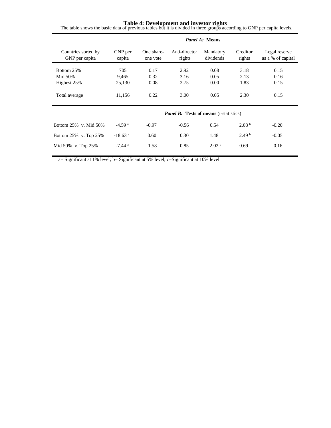**Table 4: Development and investor rights**<br>The table shows the basic data of previous tables but it is divided in three groups according to GNP per capita levels.

|                                                       |                                  |                              |                                               | Panel A: Means               |                              |                                    |
|-------------------------------------------------------|----------------------------------|------------------------------|-----------------------------------------------|------------------------------|------------------------------|------------------------------------|
| Countries sorted by<br>GNP per capita                 | GNP per<br>capita                | One share-<br>one vote       | Anti-director<br>rights                       | Mandatory<br>dividends       | Creditor<br>rights           | Legal reserve<br>as a % of capital |
| Bottom 25%<br>Mid 50%<br>Highest 25%<br>Total average | 705<br>9,465<br>25,130<br>11,156 | 0.17<br>0.32<br>0.08<br>0.22 | 2.92<br>3.16<br>2.75<br>3.00                  | 0.08<br>0.05<br>0.00<br>0.05 | 3.18<br>2.13<br>1.83<br>2.30 | 0.15<br>0.16<br>0.15<br>0.15       |
|                                                       |                                  |                              | <b>Panel B:</b> Tests of means (t-statistics) |                              |                              |                                    |
| Bottom 25% v. Mid 50%                                 | $-4.59$ <sup>a</sup>             | $-0.97$                      | $-0.56$                                       | 0.54                         | 2.08 <sup>b</sup>            | $-0.20$                            |
| Bottom 25% v. Top 25%                                 | $-18.63$ <sup>a</sup>            | 0.60                         | 0.30                                          | 1.48                         | 2.49 <sup>b</sup>            | $-0.05$                            |
| Mid $50\%$ v. Top $25\%$                              | $-7.44$ <sup>a</sup>             | 1.58                         | 0.85                                          | 2.02 °                       | 0.69                         | 0.16                               |

a= Significant at 1% level; b= Significant at 5% level; c=Significant at 10% level.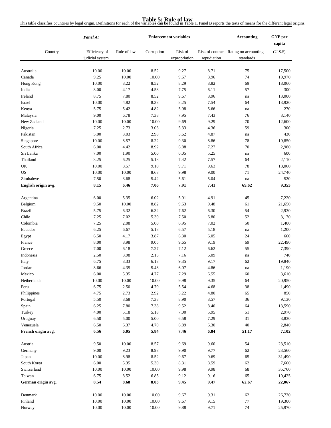|                     | Panel A:                         |             | <b>Enforcement variables</b> |                          |             | <b>Accounting</b>                                  | <b>GNP</b> per<br>capita |
|---------------------|----------------------------------|-------------|------------------------------|--------------------------|-------------|----------------------------------------------------|--------------------------|
| Country             | Efficiency of<br>judicial system | Rule of law | Corruption                   | Risk of<br>expropriation | repudiation | Risk of contract Rating on accounting<br>standards | $(U.S.$ \$)              |
| Australia           | 10.00                            | 10.00       | 8.52                         | 9.27                     | 8.71        | 75                                                 | 17,500                   |
| Canada              | 9.25                             | 10.00       | 10.00                        | 9.67                     | 8.96        | 74                                                 | 19,970                   |
| Hong Kong           | 10.00                            | 8.22        | 8.52                         | 8.29                     | 8.82        | 69                                                 | 18,060                   |
| India               | 8.00                             | 4.17        | 4.58                         | 7.75                     | 6.11        | 57                                                 | 300                      |
| Ireland             | 8.75                             | 7.80        | 8.52                         | 9.67                     | 8.96        | na                                                 | 13,000                   |
| Israel              | 10.00                            | 4.82        | 8.33                         | 8.25                     | 7.54        | 64                                                 | 13,920                   |
| Kenya               | 5.75                             | 5.42        | 4.82                         | 5.98                     | 5.66        |                                                    | 270                      |
| Malaysia            | 9.00                             | 6.78        | 7.38                         | 7.95                     | 7.43        | na<br>76                                           | 3,140                    |
| New Zealand         | 10.00                            | 10.00       | 10.00                        | 9.69                     | 9.29        | 70                                                 | 12,600                   |
|                     |                                  |             |                              |                          |             |                                                    |                          |
| Nigeria             | 7.25                             | 2.73        | 3.03                         | 5.33                     | 4.36        | 59                                                 | 300                      |
| Pakistan            | 5.00                             | 3.03        | 2.98                         | 5.62                     | 4.87        | na                                                 | 430                      |
| Singapore           | 10.00                            | 8.57        | 8.22                         | 9.30                     | 8.86        | 78                                                 | 19,850                   |
| South Africa        | 6.00                             | 4.42        | 8.92                         | 6.88                     | 7.27        | 70                                                 | 2,980                    |
| Sri Lanka           | 7.00                             | 1.90        | 5.00                         | 6.05                     | 5.25        | na                                                 | 600                      |
| Thailand            | 3.25                             | 6.25        | 5.18                         | 7.42                     | 7.57        | 64                                                 | 2,110                    |
| UK                  | 10.00                            | 8.57        | 9.10                         | 9.71                     | 9.63        | 78                                                 | 18,060                   |
| <b>US</b>           | 10.00                            | 10.00       | 8.63                         | 9.98                     | 9.00        | 71                                                 | 24,740                   |
| Zimbabwe            | 7.50                             | 3.68        | 5.42                         | 5.61                     | 5.04        | na                                                 | 520                      |
| English origin avg. | 8.15                             | 6.46        | 7.06                         | 7.91                     | 7.41        | 69.62                                              | 9,353                    |
| Argentina           | 6.00                             | 5.35        | 6.02                         | 5.91                     | 4.91        | 45                                                 | 7,220                    |
| Belgium             | 9.50                             | 10.00       | 8.82                         | 9.63                     | 9.48        | 61                                                 | 21,650                   |
| <b>Brazil</b>       | 5.75                             | 6.32        | 6.32                         | 7.62                     | 6.30        | 54                                                 | 2,930                    |
| Chile               | 7.25                             | 7.02        | 5.30                         | 7.50                     | 6.80        | 52                                                 | 3,170                    |
| Colombia            | 7.25                             | 2.08        | 5.00                         | 6.95                     | 7.02        | 50                                                 | 1,400                    |
| Ecuador             | 6.25                             | 6.67        | 5.18                         | 6.57                     | 5.18        | na                                                 | 1,200                    |
| Egypt               | 6.50                             | 4.17        | 3.87                         | 6.30                     | 6.05        | 24                                                 | 660                      |
| France              | 8.00                             | 8.98        | 9.05                         | 9.65                     | 9.19        | 69                                                 | 22,490                   |
| Greece              | 7.00                             | 6.18        | 7.27                         | 7.12                     | 6.62        | 55                                                 | 7,390                    |
| Indonesia           | 2.50                             | 3.98        | 2.15                         | 7.16                     | 6.09        | na                                                 | 740                      |
| Italy               | 6.75                             | 8.33        | 6.13                         | 9.35                     | 9.17        | 62                                                 | 19,840                   |
| Jordan              | 8.66                             | 4.35        | 5.48                         | 6.07                     | 4.86        | na                                                 | 1,190                    |
| Mexico              | 6.00                             | 5.35        | 4.77                         | 7.29                     | 6.55        | 60                                                 | 3,610                    |
| Netherlands         | 10.00                            | 10.00       | 10.00                        | 9.98                     | 9.35        | 64                                                 | 20,950                   |
| Peru                | 6.75                             | 2.50        | 4.70                         | 5.54                     | 4.68        | 38                                                 | 1,490                    |
| Philippines         | 4.75                             | 2.73        | 2.92                         | 5.22                     | 4.80        | 65                                                 | 850                      |
| Portugal            | 5.50                             | 8.68        | 7.38                         | 8.90                     | 8.57        | 36                                                 | 9,130                    |
| Spain               | 6.25                             | 7.80        | 7.38                         | 9.52                     | 8.40        | 64                                                 | 13,590                   |
| Turkey              | 4.00                             | 5.18        | 5.18                         | 7.00                     | 5.95        | 51                                                 | 2,970                    |
| Uruguay             | 6.50                             | 5.00        | 5.00                         | 6.58                     | 7.29        | 31                                                 | 3,830                    |
| Venezuela           | 6.50                             | 6.37        | 4.70                         | 6.89                     | 6.30        | $40\,$                                             | 2,840                    |
| French origin avg.  | 6.56                             | 6.05        | 5.84                         | 7.46                     | 6.84        | 51.17                                              | 7,102                    |
| Austria             | 9.50                             | 10.00       | 8.57                         | 9.69                     | 9.60        | 54                                                 | 23,510                   |
|                     |                                  |             |                              |                          |             |                                                    |                          |
| Germany             | 9.00                             | 9.23        | 8.93                         | 9.90                     | 9.77        | 62                                                 | 23,560                   |
| Japan               | 10.00                            | 8.98        | 8.52                         | 9.67                     | 9.69        | 65                                                 | 31,490                   |
| South Korea         | 6.00                             | 5.35        | 5.30                         | 8.31                     | 8.59        | 62                                                 | 7,660                    |
| Switzerland         | 10.00                            | 10.00       | 10.00                        | 9.98                     | 9.98        | 68                                                 | 35,760                   |
| Taiwan              | 6.75                             | 8.52        | 6.85                         | 9.12                     | 9.16        | 65                                                 | 10,425                   |
| German origin avg.  | 8.54                             | 8.68        | 8.03                         | 9.45                     | 9.47        | 62.67                                              | 22,067                   |
| Denmark             | 10.00                            | 10.00       | 10.00                        | 9.67                     | 9.31        | 62                                                 | 26,730                   |
| Finland             | 10.00                            | 10.00       | 10.00                        | 9.67                     | 9.15        | 77                                                 | 19,300                   |
| Norway              | 10.00                            | 10.00       | 10.00                        | 9.88                     | 9.71        | $74\,$                                             | 25,970                   |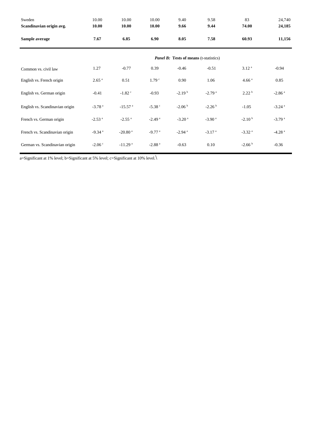| Sweden<br>Scandinavian origin avg. | 10.00<br>10.00       | 10.00<br>10.00        | 10.00<br>10.00       | 9.40<br>9.66                                  | 9.58<br>9.44         | 83<br>74.00          | 24,740<br>24,185     |
|------------------------------------|----------------------|-----------------------|----------------------|-----------------------------------------------|----------------------|----------------------|----------------------|
| Sample average                     | 7.67                 | 6.85                  | 6.90                 | 8.05                                          | 7.58                 | 60.93                | 11,156               |
|                                    |                      |                       |                      | <b>Panel B:</b> Tests of means (t-statistics) |                      |                      |                      |
| Common vs. civil law               | 1.27                 | $-0.77$               | 0.39                 | $-0.46$                                       | $-0.51$              | 3.12 <sup>a</sup>    | $-0.94$              |
| English vs. French origin          | 2.65 <sup>a</sup>    | 0.51                  | 1.79 <sup>c</sup>    | 0.90                                          | 1.06                 | 4.66 <sup>a</sup>    | 0.85                 |
| English vs. German origin          | $-0.41$              | $-1.82$ <sup>c</sup>  | $-0.93$              | $-2.19b$                                      | $-2.79$ <sup>a</sup> | 2.22 <sup>b</sup>    | $-2.86$ <sup>a</sup> |
| English vs. Scandinavian origin    | $-3.78$ <sup>a</sup> | $-15.57$ <sup>a</sup> | $-5.38$ °            | $-2.06b$                                      | $-2.26b$             | $-1.05$              | $-3.24$ <sup>a</sup> |
| French vs. German origin           | $-2.53$ <sup>a</sup> | $-2.55$ <sup>a</sup>  | $-2.49$ <sup>a</sup> | $-3.20$ <sup>a</sup>                          | $-3.90$ <sup>a</sup> | $-2.10b$             | $-3.79$ <sup>a</sup> |
| French vs. Scandinavian origin     | $-9.34$ <sup>a</sup> | $-20.80$ <sup>a</sup> | $-9.77$ <sup>a</sup> | $-2.94$ <sup>a</sup>                          | $-3.17$ <sup>a</sup> | $-3.32$ <sup>a</sup> | $-4.28$ <sup>a</sup> |
| German vs. Scandinavian origin     | $-2.06$ $\degree$    | $-11.29$ <sup>a</sup> | $-2.88a$             | $-0.63$                                       | 0.10                 | $-2.66b$             | $-0.36$              |

a=Significant at 1% level; b=Significant at 5% level; c=Significant at 10% level. $\backslash$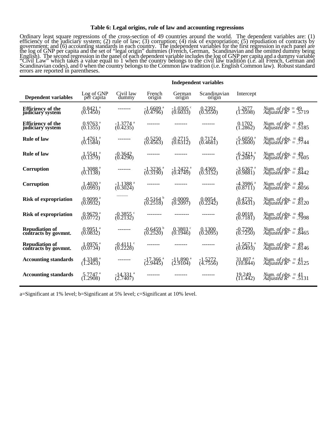### **Table 6: Legal origins, rule of law and accounting regressions**

Ordinary least square regressions of the cross-section of 49 countries around the world. The dependent variables are: (1) efficiency of the judiciary system; (2) rule of law; (3) corruption; (4) risk of expropriation; (5) repudiation of contracts by government; and (6) accounting standards in each country. The independent variables for the first regression in each panel are the log of GNP per capita and the set of "legal origin" dummies (French, German, Scandinavian and the omitted dummy being English). The second regression in the panel of each dependent variable includes the log of GNP per capita and a dummy variable "Civil Law" which takes a value equal to 1 when the country belongs to the civil law tradition (i.e. all French, German and Scandinavian codes), and 0 when the country belongs to the Common law tradition (i.e. English Common law). Robust standard errors are reported in parentheses.

|                                              | <b>Independent variables</b>             |                                      |                            |                            |                                                   |                                    |                                              |
|----------------------------------------------|------------------------------------------|--------------------------------------|----------------------------|----------------------------|---------------------------------------------------|------------------------------------|----------------------------------------------|
| <b>Dependent variables</b>                   | Log of GNP<br>per capita                 | Civil law<br>dummy                   | French<br>origin           | German<br>origin           | Scandinavian<br>origin                            | Intercept                          |                                              |
| Efficiency of the<br>judiciary system        | $(0.8421)^4$                             |                                      | $\frac{-1.6609}{(0.4796)}$ | $-1.0305$ °<br>(0.6033)    | (0.2392)                                          | $\frac{1.2677}{1.3598}$            | Num. of $obs = 49$<br>Adjusted $R^2 = .5719$ |
| <b>Efficiency of the</b><br>judiciary system | $0.9763$ <sup>a</sup><br>(0.1355)        | $\frac{-1.3774}{(0.4235)}$           |                            |                            |                                                   | (1.2862)                           | Num. of obs. = 49<br>Adjusted $R^2$ = .5185  |
| <b>Rule of law</b>                           | $\left(\frac{1.4761}{0.1584}\right)^{a}$ |                                      | $-0.5250$<br>(0.4563)      | $\frac{1}{2}$ (0.6312)     | (0.7174)                                          | $-5.6050$ <sup>a</sup><br>(1.3600) | Num. of obs. = 49<br>Adjusted $R^2 = .7744$  |
| <b>Rule of law</b>                           | $\frac{1.5541}{(0.1379)}$                | $-0.3642$<br>(0.4290)                |                            |                            |                                                   | $-6.2421$ <sup>a</sup><br>(1.2087) | Num. of obs. = 49<br>Adjusted $R^2$ = .7605  |
| <b>Corruption</b>                            | $\frac{1.3088}{(0.1138)}$                |                                      | $\frac{-1.3236}{(0.3190)}$ | $\frac{-1.2422}{(0.4749)}$ | $\begin{array}{c} 0.4369 \\ (0.3152) \end{array}$ | $-3.6367$ <sup>a</sup><br>(0.9881) | Num. of obs. = 49<br>Adjusted $R^2$ = .8442  |
| <b>Corruption</b>                            | $1.4020a$<br>(0.0993)                    | $-1.1388$ <sup>a</sup><br>(0.3024)   |                            |                            |                                                   | $-4.3986$ <sup>a</sup><br>(0.8711) | Num. of obs. = 49<br>Adjusted $R^2$ = .8056  |
| <b>Risk of expropriation</b>                 | $0.9099$ <sup>a</sup><br>(0.0932)        |                                      | $-0.5164$ by $(0.2518)$    | $-0.0009$<br>(0.2097)      | $0.0054$<br>$(0.2242)$                            | (0.4732)                           | Num. of obs. = 49<br>Adjusted $R^2 = .8120$  |
| <b>Risk of expropriation</b>                 | $(0.9679)^4$                             | $\frac{1}{2}$ (0.3855 <sup>c</sup> ) | --------                   |                            |                                                   | $-0.0018$ <sub>(0.7181)</sub>      | Num. of obs. = 49<br>Adjusted $R^2 = .7998$  |
| <b>Repudiation of contracts by govmnt.</b>   | $(0.9951)^{a}$                           |                                      | $-0.6459$                  | $(0.3803)^{\circ}$         | (0.1300)                                          | $\frac{1}{2}$ (0.7250)             | Num. of obs. = 49<br>Adjusted $R^2$ = .8465  |
| <b>Repudiation of contracts by govmnt.</b>   | $\frac{1.0976}{(0.0734)}$                | $-0.4111$ °<br>(0.2228)              |                            |                            |                                                   | $\frac{-1.5671}{(0.6493)}$         | Num. of obs. = 49<br>Adjusted $R^2$ = .8146  |
| <b>Accounting standards</b>                  | $(1.3348)^4$<br>$(1.2453)^4$             |                                      | $\frac{-17.366}{(2.9445)}$ | $\frac{-11.890}{(2.9104)}$ | $\frac{-1.5272}{(4.7556)}$                        | $31.807$ <sup>a</sup><br>(10.844)  | Num. of obs. = 41<br>Adjusted $R^2$ = .6125  |
| <b>Accounting standards</b>                  | $\left( \frac{5.7747}{1.2908} \right)$   | $\frac{-14.331}{(2.7407)}$           |                            |                            |                                                   | 19.249<br>(11.442)                 | Num. of obs. = 41<br>Adjusted $R^2$ = .5131  |

a=Significant at 1% level; b=Significant at 5% level; c=Significant at 10% level.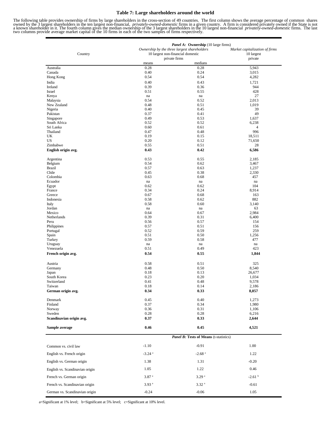#### **Table 7: Large shareholders around the world**

The following table provides ownership of firms by large shareholders in the cross-section of 49 countries. The first column shows the average percentage of common shares owned by the 3 largest shareholders in the ten larg

| Market capitalization of firms<br>Ownership by the three largest shareholders<br>Country<br>10 largest non-financial domestic<br>10 largest<br>private firms<br>private<br>medians<br>means<br>0.28<br>0.28<br>5,943<br>Australia<br>0.24<br>Canada<br>0.40<br>3,015<br>0.54<br>0.54<br>4,282<br>Hong Kong<br>India<br>0.40<br>0.43<br>1,721<br>Ireland<br>0.39<br>0.36<br>944<br>0.55<br>428<br>Israel<br>0.51<br>Kenya<br>27<br>na<br>na<br>0.54<br>0.52<br>2,013<br>Malaysia<br>0.51<br>New Zealand<br>0.48<br>1,019<br>0.45<br>39<br>Nigeria<br>0.40<br>49<br>Pakistan<br>0.37<br>0.41<br>0.49<br>0.53<br>1,637<br>Singapore<br>0.52<br>South Africa<br>0.52<br>6,238<br>0.61<br>$\overline{4}$<br>Sri Lanka<br>0.60<br>Thailand<br>0.48<br>996<br>0.47<br>0.19<br>UK<br>0.15<br>18,511<br>US<br>0.20<br>0.12<br>71,650<br>0.55<br>0.51<br>Zimbabwe<br>28<br>0.43<br>0.42<br>6,586<br>English origin avg.<br>Argentina<br>0.53<br>0.55<br>2,185<br>Belgium<br>0.54<br>0.62<br>3,467<br><b>Brazil</b><br>0.57<br>0.63<br>1,237<br>Chile<br>0.38<br>2,330<br>0.45<br>Colombia<br>0.63<br>0.68<br>457<br>Ecuador<br>na<br>na<br>na<br>104<br>Egypt<br>0.62<br>0.62<br>0.34<br>0.24<br>8,914<br>France<br>Greece<br>0.67<br>0.68<br>163<br>0.62<br>882<br>Indonesia<br>0.58<br>0.60<br>Italy<br>0.58<br>3,140<br>Jordan<br>63<br>na<br>na<br>0.64<br>2,984<br>Mexico<br>0.67<br>0.39<br>0.31<br>6,400<br>Netherlands<br>0.57<br>Peru<br>0.56<br>154<br>0.51<br>156<br>Philippines<br>0.57<br>0.59<br>259<br>Portugal<br>0.52<br>Spain<br>0.51<br>0.50<br>1,256<br>0.59<br>0.58<br>477<br>Turkey<br>Uruguay<br>na<br>na<br>na<br>0.49<br>423<br>Venezuela<br>0.51<br>0.54<br>0.55<br>1,844<br>French origin avg.<br>0.58<br>0.51<br>325<br>Austria<br>0.48<br>0.50<br>8,540<br>Germany<br>0.18<br>0.13<br>26,677<br>Japan<br>0.23<br>0.20<br>South Korea<br>1,034<br>0.48<br>Switzerland<br>0.41<br>9,578<br>Taiwan<br>0.18<br>0.14<br>2,186<br>0.33<br>8,057<br>German origin avg.<br>0.34<br>0.40<br>Denmark<br>0.45<br>1,273<br>0.34<br>Finland<br>0.37<br>1,980<br>Norway<br>0.36<br>1,106<br>0.31<br>Sweden<br>0.28<br>0.28<br>6,216<br>Scandinavian origin avg.<br>0.37<br>0.33<br>2,644<br>0.46<br>0.45<br>Sample average<br>4,521<br><b>Panel B: Tests of Means (t-statistics)</b><br>$-1.10$<br>$-0.91$<br>1.00<br>Common vs. civil law<br>$-3.24$ <sup>a</sup><br>English vs. French origin<br>$-2.68$ <sup>a</sup><br>1.22<br>English vs. German origin<br>1.38<br>1.31<br>$-0.20$<br>1.05<br>1.22<br>0.46<br>English vs. Scandinavian origin<br>$-2.61$ b<br>3.87 <sup>a</sup><br>French vs. German origin<br>3.29 <sup>a</sup><br>3.93 <sup>a</sup><br>French vs. Scandinavian origin<br>3.32 <sup>a</sup><br>$-0.61$<br>German vs. Scandinavian origin<br>$-0.24$<br>$-0.06$<br>1.05 | <b>Panel A:</b> Ownership (10 large firms) |  |  |  |  |  |
|---------------------------------------------------------------------------------------------------------------------------------------------------------------------------------------------------------------------------------------------------------------------------------------------------------------------------------------------------------------------------------------------------------------------------------------------------------------------------------------------------------------------------------------------------------------------------------------------------------------------------------------------------------------------------------------------------------------------------------------------------------------------------------------------------------------------------------------------------------------------------------------------------------------------------------------------------------------------------------------------------------------------------------------------------------------------------------------------------------------------------------------------------------------------------------------------------------------------------------------------------------------------------------------------------------------------------------------------------------------------------------------------------------------------------------------------------------------------------------------------------------------------------------------------------------------------------------------------------------------------------------------------------------------------------------------------------------------------------------------------------------------------------------------------------------------------------------------------------------------------------------------------------------------------------------------------------------------------------------------------------------------------------------------------------------------------------------------------------------------------------------------------------------------------------------------------------------------------------------------------------------------------------------------------------------------------------------------------------------------------------------------------------------------------------------------------------------------------------------------------------------------------------------------------------------------------------------------------------------------------------------------------------------------------------------------------------------------------------------------------------------------------------------------------------|--------------------------------------------|--|--|--|--|--|
|                                                                                                                                                                                                                                                                                                                                                                                                                                                                                                                                                                                                                                                                                                                                                                                                                                                                                                                                                                                                                                                                                                                                                                                                                                                                                                                                                                                                                                                                                                                                                                                                                                                                                                                                                                                                                                                                                                                                                                                                                                                                                                                                                                                                                                                                                                                                                                                                                                                                                                                                                                                                                                                                                                                                                                                                   |                                            |  |  |  |  |  |
|                                                                                                                                                                                                                                                                                                                                                                                                                                                                                                                                                                                                                                                                                                                                                                                                                                                                                                                                                                                                                                                                                                                                                                                                                                                                                                                                                                                                                                                                                                                                                                                                                                                                                                                                                                                                                                                                                                                                                                                                                                                                                                                                                                                                                                                                                                                                                                                                                                                                                                                                                                                                                                                                                                                                                                                                   |                                            |  |  |  |  |  |
|                                                                                                                                                                                                                                                                                                                                                                                                                                                                                                                                                                                                                                                                                                                                                                                                                                                                                                                                                                                                                                                                                                                                                                                                                                                                                                                                                                                                                                                                                                                                                                                                                                                                                                                                                                                                                                                                                                                                                                                                                                                                                                                                                                                                                                                                                                                                                                                                                                                                                                                                                                                                                                                                                                                                                                                                   |                                            |  |  |  |  |  |
|                                                                                                                                                                                                                                                                                                                                                                                                                                                                                                                                                                                                                                                                                                                                                                                                                                                                                                                                                                                                                                                                                                                                                                                                                                                                                                                                                                                                                                                                                                                                                                                                                                                                                                                                                                                                                                                                                                                                                                                                                                                                                                                                                                                                                                                                                                                                                                                                                                                                                                                                                                                                                                                                                                                                                                                                   |                                            |  |  |  |  |  |
|                                                                                                                                                                                                                                                                                                                                                                                                                                                                                                                                                                                                                                                                                                                                                                                                                                                                                                                                                                                                                                                                                                                                                                                                                                                                                                                                                                                                                                                                                                                                                                                                                                                                                                                                                                                                                                                                                                                                                                                                                                                                                                                                                                                                                                                                                                                                                                                                                                                                                                                                                                                                                                                                                                                                                                                                   |                                            |  |  |  |  |  |
|                                                                                                                                                                                                                                                                                                                                                                                                                                                                                                                                                                                                                                                                                                                                                                                                                                                                                                                                                                                                                                                                                                                                                                                                                                                                                                                                                                                                                                                                                                                                                                                                                                                                                                                                                                                                                                                                                                                                                                                                                                                                                                                                                                                                                                                                                                                                                                                                                                                                                                                                                                                                                                                                                                                                                                                                   |                                            |  |  |  |  |  |
|                                                                                                                                                                                                                                                                                                                                                                                                                                                                                                                                                                                                                                                                                                                                                                                                                                                                                                                                                                                                                                                                                                                                                                                                                                                                                                                                                                                                                                                                                                                                                                                                                                                                                                                                                                                                                                                                                                                                                                                                                                                                                                                                                                                                                                                                                                                                                                                                                                                                                                                                                                                                                                                                                                                                                                                                   |                                            |  |  |  |  |  |
|                                                                                                                                                                                                                                                                                                                                                                                                                                                                                                                                                                                                                                                                                                                                                                                                                                                                                                                                                                                                                                                                                                                                                                                                                                                                                                                                                                                                                                                                                                                                                                                                                                                                                                                                                                                                                                                                                                                                                                                                                                                                                                                                                                                                                                                                                                                                                                                                                                                                                                                                                                                                                                                                                                                                                                                                   |                                            |  |  |  |  |  |
|                                                                                                                                                                                                                                                                                                                                                                                                                                                                                                                                                                                                                                                                                                                                                                                                                                                                                                                                                                                                                                                                                                                                                                                                                                                                                                                                                                                                                                                                                                                                                                                                                                                                                                                                                                                                                                                                                                                                                                                                                                                                                                                                                                                                                                                                                                                                                                                                                                                                                                                                                                                                                                                                                                                                                                                                   |                                            |  |  |  |  |  |
|                                                                                                                                                                                                                                                                                                                                                                                                                                                                                                                                                                                                                                                                                                                                                                                                                                                                                                                                                                                                                                                                                                                                                                                                                                                                                                                                                                                                                                                                                                                                                                                                                                                                                                                                                                                                                                                                                                                                                                                                                                                                                                                                                                                                                                                                                                                                                                                                                                                                                                                                                                                                                                                                                                                                                                                                   |                                            |  |  |  |  |  |
|                                                                                                                                                                                                                                                                                                                                                                                                                                                                                                                                                                                                                                                                                                                                                                                                                                                                                                                                                                                                                                                                                                                                                                                                                                                                                                                                                                                                                                                                                                                                                                                                                                                                                                                                                                                                                                                                                                                                                                                                                                                                                                                                                                                                                                                                                                                                                                                                                                                                                                                                                                                                                                                                                                                                                                                                   |                                            |  |  |  |  |  |
|                                                                                                                                                                                                                                                                                                                                                                                                                                                                                                                                                                                                                                                                                                                                                                                                                                                                                                                                                                                                                                                                                                                                                                                                                                                                                                                                                                                                                                                                                                                                                                                                                                                                                                                                                                                                                                                                                                                                                                                                                                                                                                                                                                                                                                                                                                                                                                                                                                                                                                                                                                                                                                                                                                                                                                                                   |                                            |  |  |  |  |  |
|                                                                                                                                                                                                                                                                                                                                                                                                                                                                                                                                                                                                                                                                                                                                                                                                                                                                                                                                                                                                                                                                                                                                                                                                                                                                                                                                                                                                                                                                                                                                                                                                                                                                                                                                                                                                                                                                                                                                                                                                                                                                                                                                                                                                                                                                                                                                                                                                                                                                                                                                                                                                                                                                                                                                                                                                   |                                            |  |  |  |  |  |
|                                                                                                                                                                                                                                                                                                                                                                                                                                                                                                                                                                                                                                                                                                                                                                                                                                                                                                                                                                                                                                                                                                                                                                                                                                                                                                                                                                                                                                                                                                                                                                                                                                                                                                                                                                                                                                                                                                                                                                                                                                                                                                                                                                                                                                                                                                                                                                                                                                                                                                                                                                                                                                                                                                                                                                                                   |                                            |  |  |  |  |  |
|                                                                                                                                                                                                                                                                                                                                                                                                                                                                                                                                                                                                                                                                                                                                                                                                                                                                                                                                                                                                                                                                                                                                                                                                                                                                                                                                                                                                                                                                                                                                                                                                                                                                                                                                                                                                                                                                                                                                                                                                                                                                                                                                                                                                                                                                                                                                                                                                                                                                                                                                                                                                                                                                                                                                                                                                   |                                            |  |  |  |  |  |
|                                                                                                                                                                                                                                                                                                                                                                                                                                                                                                                                                                                                                                                                                                                                                                                                                                                                                                                                                                                                                                                                                                                                                                                                                                                                                                                                                                                                                                                                                                                                                                                                                                                                                                                                                                                                                                                                                                                                                                                                                                                                                                                                                                                                                                                                                                                                                                                                                                                                                                                                                                                                                                                                                                                                                                                                   |                                            |  |  |  |  |  |
|                                                                                                                                                                                                                                                                                                                                                                                                                                                                                                                                                                                                                                                                                                                                                                                                                                                                                                                                                                                                                                                                                                                                                                                                                                                                                                                                                                                                                                                                                                                                                                                                                                                                                                                                                                                                                                                                                                                                                                                                                                                                                                                                                                                                                                                                                                                                                                                                                                                                                                                                                                                                                                                                                                                                                                                                   |                                            |  |  |  |  |  |
|                                                                                                                                                                                                                                                                                                                                                                                                                                                                                                                                                                                                                                                                                                                                                                                                                                                                                                                                                                                                                                                                                                                                                                                                                                                                                                                                                                                                                                                                                                                                                                                                                                                                                                                                                                                                                                                                                                                                                                                                                                                                                                                                                                                                                                                                                                                                                                                                                                                                                                                                                                                                                                                                                                                                                                                                   |                                            |  |  |  |  |  |
|                                                                                                                                                                                                                                                                                                                                                                                                                                                                                                                                                                                                                                                                                                                                                                                                                                                                                                                                                                                                                                                                                                                                                                                                                                                                                                                                                                                                                                                                                                                                                                                                                                                                                                                                                                                                                                                                                                                                                                                                                                                                                                                                                                                                                                                                                                                                                                                                                                                                                                                                                                                                                                                                                                                                                                                                   |                                            |  |  |  |  |  |
|                                                                                                                                                                                                                                                                                                                                                                                                                                                                                                                                                                                                                                                                                                                                                                                                                                                                                                                                                                                                                                                                                                                                                                                                                                                                                                                                                                                                                                                                                                                                                                                                                                                                                                                                                                                                                                                                                                                                                                                                                                                                                                                                                                                                                                                                                                                                                                                                                                                                                                                                                                                                                                                                                                                                                                                                   |                                            |  |  |  |  |  |
|                                                                                                                                                                                                                                                                                                                                                                                                                                                                                                                                                                                                                                                                                                                                                                                                                                                                                                                                                                                                                                                                                                                                                                                                                                                                                                                                                                                                                                                                                                                                                                                                                                                                                                                                                                                                                                                                                                                                                                                                                                                                                                                                                                                                                                                                                                                                                                                                                                                                                                                                                                                                                                                                                                                                                                                                   |                                            |  |  |  |  |  |
|                                                                                                                                                                                                                                                                                                                                                                                                                                                                                                                                                                                                                                                                                                                                                                                                                                                                                                                                                                                                                                                                                                                                                                                                                                                                                                                                                                                                                                                                                                                                                                                                                                                                                                                                                                                                                                                                                                                                                                                                                                                                                                                                                                                                                                                                                                                                                                                                                                                                                                                                                                                                                                                                                                                                                                                                   |                                            |  |  |  |  |  |
|                                                                                                                                                                                                                                                                                                                                                                                                                                                                                                                                                                                                                                                                                                                                                                                                                                                                                                                                                                                                                                                                                                                                                                                                                                                                                                                                                                                                                                                                                                                                                                                                                                                                                                                                                                                                                                                                                                                                                                                                                                                                                                                                                                                                                                                                                                                                                                                                                                                                                                                                                                                                                                                                                                                                                                                                   |                                            |  |  |  |  |  |
|                                                                                                                                                                                                                                                                                                                                                                                                                                                                                                                                                                                                                                                                                                                                                                                                                                                                                                                                                                                                                                                                                                                                                                                                                                                                                                                                                                                                                                                                                                                                                                                                                                                                                                                                                                                                                                                                                                                                                                                                                                                                                                                                                                                                                                                                                                                                                                                                                                                                                                                                                                                                                                                                                                                                                                                                   |                                            |  |  |  |  |  |
|                                                                                                                                                                                                                                                                                                                                                                                                                                                                                                                                                                                                                                                                                                                                                                                                                                                                                                                                                                                                                                                                                                                                                                                                                                                                                                                                                                                                                                                                                                                                                                                                                                                                                                                                                                                                                                                                                                                                                                                                                                                                                                                                                                                                                                                                                                                                                                                                                                                                                                                                                                                                                                                                                                                                                                                                   |                                            |  |  |  |  |  |
|                                                                                                                                                                                                                                                                                                                                                                                                                                                                                                                                                                                                                                                                                                                                                                                                                                                                                                                                                                                                                                                                                                                                                                                                                                                                                                                                                                                                                                                                                                                                                                                                                                                                                                                                                                                                                                                                                                                                                                                                                                                                                                                                                                                                                                                                                                                                                                                                                                                                                                                                                                                                                                                                                                                                                                                                   |                                            |  |  |  |  |  |
|                                                                                                                                                                                                                                                                                                                                                                                                                                                                                                                                                                                                                                                                                                                                                                                                                                                                                                                                                                                                                                                                                                                                                                                                                                                                                                                                                                                                                                                                                                                                                                                                                                                                                                                                                                                                                                                                                                                                                                                                                                                                                                                                                                                                                                                                                                                                                                                                                                                                                                                                                                                                                                                                                                                                                                                                   |                                            |  |  |  |  |  |
|                                                                                                                                                                                                                                                                                                                                                                                                                                                                                                                                                                                                                                                                                                                                                                                                                                                                                                                                                                                                                                                                                                                                                                                                                                                                                                                                                                                                                                                                                                                                                                                                                                                                                                                                                                                                                                                                                                                                                                                                                                                                                                                                                                                                                                                                                                                                                                                                                                                                                                                                                                                                                                                                                                                                                                                                   |                                            |  |  |  |  |  |
|                                                                                                                                                                                                                                                                                                                                                                                                                                                                                                                                                                                                                                                                                                                                                                                                                                                                                                                                                                                                                                                                                                                                                                                                                                                                                                                                                                                                                                                                                                                                                                                                                                                                                                                                                                                                                                                                                                                                                                                                                                                                                                                                                                                                                                                                                                                                                                                                                                                                                                                                                                                                                                                                                                                                                                                                   |                                            |  |  |  |  |  |
|                                                                                                                                                                                                                                                                                                                                                                                                                                                                                                                                                                                                                                                                                                                                                                                                                                                                                                                                                                                                                                                                                                                                                                                                                                                                                                                                                                                                                                                                                                                                                                                                                                                                                                                                                                                                                                                                                                                                                                                                                                                                                                                                                                                                                                                                                                                                                                                                                                                                                                                                                                                                                                                                                                                                                                                                   |                                            |  |  |  |  |  |
|                                                                                                                                                                                                                                                                                                                                                                                                                                                                                                                                                                                                                                                                                                                                                                                                                                                                                                                                                                                                                                                                                                                                                                                                                                                                                                                                                                                                                                                                                                                                                                                                                                                                                                                                                                                                                                                                                                                                                                                                                                                                                                                                                                                                                                                                                                                                                                                                                                                                                                                                                                                                                                                                                                                                                                                                   |                                            |  |  |  |  |  |
|                                                                                                                                                                                                                                                                                                                                                                                                                                                                                                                                                                                                                                                                                                                                                                                                                                                                                                                                                                                                                                                                                                                                                                                                                                                                                                                                                                                                                                                                                                                                                                                                                                                                                                                                                                                                                                                                                                                                                                                                                                                                                                                                                                                                                                                                                                                                                                                                                                                                                                                                                                                                                                                                                                                                                                                                   |                                            |  |  |  |  |  |
|                                                                                                                                                                                                                                                                                                                                                                                                                                                                                                                                                                                                                                                                                                                                                                                                                                                                                                                                                                                                                                                                                                                                                                                                                                                                                                                                                                                                                                                                                                                                                                                                                                                                                                                                                                                                                                                                                                                                                                                                                                                                                                                                                                                                                                                                                                                                                                                                                                                                                                                                                                                                                                                                                                                                                                                                   |                                            |  |  |  |  |  |
|                                                                                                                                                                                                                                                                                                                                                                                                                                                                                                                                                                                                                                                                                                                                                                                                                                                                                                                                                                                                                                                                                                                                                                                                                                                                                                                                                                                                                                                                                                                                                                                                                                                                                                                                                                                                                                                                                                                                                                                                                                                                                                                                                                                                                                                                                                                                                                                                                                                                                                                                                                                                                                                                                                                                                                                                   |                                            |  |  |  |  |  |
|                                                                                                                                                                                                                                                                                                                                                                                                                                                                                                                                                                                                                                                                                                                                                                                                                                                                                                                                                                                                                                                                                                                                                                                                                                                                                                                                                                                                                                                                                                                                                                                                                                                                                                                                                                                                                                                                                                                                                                                                                                                                                                                                                                                                                                                                                                                                                                                                                                                                                                                                                                                                                                                                                                                                                                                                   |                                            |  |  |  |  |  |
|                                                                                                                                                                                                                                                                                                                                                                                                                                                                                                                                                                                                                                                                                                                                                                                                                                                                                                                                                                                                                                                                                                                                                                                                                                                                                                                                                                                                                                                                                                                                                                                                                                                                                                                                                                                                                                                                                                                                                                                                                                                                                                                                                                                                                                                                                                                                                                                                                                                                                                                                                                                                                                                                                                                                                                                                   |                                            |  |  |  |  |  |
|                                                                                                                                                                                                                                                                                                                                                                                                                                                                                                                                                                                                                                                                                                                                                                                                                                                                                                                                                                                                                                                                                                                                                                                                                                                                                                                                                                                                                                                                                                                                                                                                                                                                                                                                                                                                                                                                                                                                                                                                                                                                                                                                                                                                                                                                                                                                                                                                                                                                                                                                                                                                                                                                                                                                                                                                   |                                            |  |  |  |  |  |
|                                                                                                                                                                                                                                                                                                                                                                                                                                                                                                                                                                                                                                                                                                                                                                                                                                                                                                                                                                                                                                                                                                                                                                                                                                                                                                                                                                                                                                                                                                                                                                                                                                                                                                                                                                                                                                                                                                                                                                                                                                                                                                                                                                                                                                                                                                                                                                                                                                                                                                                                                                                                                                                                                                                                                                                                   |                                            |  |  |  |  |  |
|                                                                                                                                                                                                                                                                                                                                                                                                                                                                                                                                                                                                                                                                                                                                                                                                                                                                                                                                                                                                                                                                                                                                                                                                                                                                                                                                                                                                                                                                                                                                                                                                                                                                                                                                                                                                                                                                                                                                                                                                                                                                                                                                                                                                                                                                                                                                                                                                                                                                                                                                                                                                                                                                                                                                                                                                   |                                            |  |  |  |  |  |
|                                                                                                                                                                                                                                                                                                                                                                                                                                                                                                                                                                                                                                                                                                                                                                                                                                                                                                                                                                                                                                                                                                                                                                                                                                                                                                                                                                                                                                                                                                                                                                                                                                                                                                                                                                                                                                                                                                                                                                                                                                                                                                                                                                                                                                                                                                                                                                                                                                                                                                                                                                                                                                                                                                                                                                                                   |                                            |  |  |  |  |  |
|                                                                                                                                                                                                                                                                                                                                                                                                                                                                                                                                                                                                                                                                                                                                                                                                                                                                                                                                                                                                                                                                                                                                                                                                                                                                                                                                                                                                                                                                                                                                                                                                                                                                                                                                                                                                                                                                                                                                                                                                                                                                                                                                                                                                                                                                                                                                                                                                                                                                                                                                                                                                                                                                                                                                                                                                   |                                            |  |  |  |  |  |
|                                                                                                                                                                                                                                                                                                                                                                                                                                                                                                                                                                                                                                                                                                                                                                                                                                                                                                                                                                                                                                                                                                                                                                                                                                                                                                                                                                                                                                                                                                                                                                                                                                                                                                                                                                                                                                                                                                                                                                                                                                                                                                                                                                                                                                                                                                                                                                                                                                                                                                                                                                                                                                                                                                                                                                                                   |                                            |  |  |  |  |  |
|                                                                                                                                                                                                                                                                                                                                                                                                                                                                                                                                                                                                                                                                                                                                                                                                                                                                                                                                                                                                                                                                                                                                                                                                                                                                                                                                                                                                                                                                                                                                                                                                                                                                                                                                                                                                                                                                                                                                                                                                                                                                                                                                                                                                                                                                                                                                                                                                                                                                                                                                                                                                                                                                                                                                                                                                   |                                            |  |  |  |  |  |
|                                                                                                                                                                                                                                                                                                                                                                                                                                                                                                                                                                                                                                                                                                                                                                                                                                                                                                                                                                                                                                                                                                                                                                                                                                                                                                                                                                                                                                                                                                                                                                                                                                                                                                                                                                                                                                                                                                                                                                                                                                                                                                                                                                                                                                                                                                                                                                                                                                                                                                                                                                                                                                                                                                                                                                                                   |                                            |  |  |  |  |  |
|                                                                                                                                                                                                                                                                                                                                                                                                                                                                                                                                                                                                                                                                                                                                                                                                                                                                                                                                                                                                                                                                                                                                                                                                                                                                                                                                                                                                                                                                                                                                                                                                                                                                                                                                                                                                                                                                                                                                                                                                                                                                                                                                                                                                                                                                                                                                                                                                                                                                                                                                                                                                                                                                                                                                                                                                   |                                            |  |  |  |  |  |
|                                                                                                                                                                                                                                                                                                                                                                                                                                                                                                                                                                                                                                                                                                                                                                                                                                                                                                                                                                                                                                                                                                                                                                                                                                                                                                                                                                                                                                                                                                                                                                                                                                                                                                                                                                                                                                                                                                                                                                                                                                                                                                                                                                                                                                                                                                                                                                                                                                                                                                                                                                                                                                                                                                                                                                                                   |                                            |  |  |  |  |  |
|                                                                                                                                                                                                                                                                                                                                                                                                                                                                                                                                                                                                                                                                                                                                                                                                                                                                                                                                                                                                                                                                                                                                                                                                                                                                                                                                                                                                                                                                                                                                                                                                                                                                                                                                                                                                                                                                                                                                                                                                                                                                                                                                                                                                                                                                                                                                                                                                                                                                                                                                                                                                                                                                                                                                                                                                   |                                            |  |  |  |  |  |
|                                                                                                                                                                                                                                                                                                                                                                                                                                                                                                                                                                                                                                                                                                                                                                                                                                                                                                                                                                                                                                                                                                                                                                                                                                                                                                                                                                                                                                                                                                                                                                                                                                                                                                                                                                                                                                                                                                                                                                                                                                                                                                                                                                                                                                                                                                                                                                                                                                                                                                                                                                                                                                                                                                                                                                                                   |                                            |  |  |  |  |  |
|                                                                                                                                                                                                                                                                                                                                                                                                                                                                                                                                                                                                                                                                                                                                                                                                                                                                                                                                                                                                                                                                                                                                                                                                                                                                                                                                                                                                                                                                                                                                                                                                                                                                                                                                                                                                                                                                                                                                                                                                                                                                                                                                                                                                                                                                                                                                                                                                                                                                                                                                                                                                                                                                                                                                                                                                   |                                            |  |  |  |  |  |
|                                                                                                                                                                                                                                                                                                                                                                                                                                                                                                                                                                                                                                                                                                                                                                                                                                                                                                                                                                                                                                                                                                                                                                                                                                                                                                                                                                                                                                                                                                                                                                                                                                                                                                                                                                                                                                                                                                                                                                                                                                                                                                                                                                                                                                                                                                                                                                                                                                                                                                                                                                                                                                                                                                                                                                                                   |                                            |  |  |  |  |  |
|                                                                                                                                                                                                                                                                                                                                                                                                                                                                                                                                                                                                                                                                                                                                                                                                                                                                                                                                                                                                                                                                                                                                                                                                                                                                                                                                                                                                                                                                                                                                                                                                                                                                                                                                                                                                                                                                                                                                                                                                                                                                                                                                                                                                                                                                                                                                                                                                                                                                                                                                                                                                                                                                                                                                                                                                   |                                            |  |  |  |  |  |
|                                                                                                                                                                                                                                                                                                                                                                                                                                                                                                                                                                                                                                                                                                                                                                                                                                                                                                                                                                                                                                                                                                                                                                                                                                                                                                                                                                                                                                                                                                                                                                                                                                                                                                                                                                                                                                                                                                                                                                                                                                                                                                                                                                                                                                                                                                                                                                                                                                                                                                                                                                                                                                                                                                                                                                                                   |                                            |  |  |  |  |  |
|                                                                                                                                                                                                                                                                                                                                                                                                                                                                                                                                                                                                                                                                                                                                                                                                                                                                                                                                                                                                                                                                                                                                                                                                                                                                                                                                                                                                                                                                                                                                                                                                                                                                                                                                                                                                                                                                                                                                                                                                                                                                                                                                                                                                                                                                                                                                                                                                                                                                                                                                                                                                                                                                                                                                                                                                   |                                            |  |  |  |  |  |
|                                                                                                                                                                                                                                                                                                                                                                                                                                                                                                                                                                                                                                                                                                                                                                                                                                                                                                                                                                                                                                                                                                                                                                                                                                                                                                                                                                                                                                                                                                                                                                                                                                                                                                                                                                                                                                                                                                                                                                                                                                                                                                                                                                                                                                                                                                                                                                                                                                                                                                                                                                                                                                                                                                                                                                                                   |                                            |  |  |  |  |  |
|                                                                                                                                                                                                                                                                                                                                                                                                                                                                                                                                                                                                                                                                                                                                                                                                                                                                                                                                                                                                                                                                                                                                                                                                                                                                                                                                                                                                                                                                                                                                                                                                                                                                                                                                                                                                                                                                                                                                                                                                                                                                                                                                                                                                                                                                                                                                                                                                                                                                                                                                                                                                                                                                                                                                                                                                   |                                            |  |  |  |  |  |
|                                                                                                                                                                                                                                                                                                                                                                                                                                                                                                                                                                                                                                                                                                                                                                                                                                                                                                                                                                                                                                                                                                                                                                                                                                                                                                                                                                                                                                                                                                                                                                                                                                                                                                                                                                                                                                                                                                                                                                                                                                                                                                                                                                                                                                                                                                                                                                                                                                                                                                                                                                                                                                                                                                                                                                                                   |                                            |  |  |  |  |  |
|                                                                                                                                                                                                                                                                                                                                                                                                                                                                                                                                                                                                                                                                                                                                                                                                                                                                                                                                                                                                                                                                                                                                                                                                                                                                                                                                                                                                                                                                                                                                                                                                                                                                                                                                                                                                                                                                                                                                                                                                                                                                                                                                                                                                                                                                                                                                                                                                                                                                                                                                                                                                                                                                                                                                                                                                   |                                            |  |  |  |  |  |
|                                                                                                                                                                                                                                                                                                                                                                                                                                                                                                                                                                                                                                                                                                                                                                                                                                                                                                                                                                                                                                                                                                                                                                                                                                                                                                                                                                                                                                                                                                                                                                                                                                                                                                                                                                                                                                                                                                                                                                                                                                                                                                                                                                                                                                                                                                                                                                                                                                                                                                                                                                                                                                                                                                                                                                                                   |                                            |  |  |  |  |  |
|                                                                                                                                                                                                                                                                                                                                                                                                                                                                                                                                                                                                                                                                                                                                                                                                                                                                                                                                                                                                                                                                                                                                                                                                                                                                                                                                                                                                                                                                                                                                                                                                                                                                                                                                                                                                                                                                                                                                                                                                                                                                                                                                                                                                                                                                                                                                                                                                                                                                                                                                                                                                                                                                                                                                                                                                   |                                            |  |  |  |  |  |
|                                                                                                                                                                                                                                                                                                                                                                                                                                                                                                                                                                                                                                                                                                                                                                                                                                                                                                                                                                                                                                                                                                                                                                                                                                                                                                                                                                                                                                                                                                                                                                                                                                                                                                                                                                                                                                                                                                                                                                                                                                                                                                                                                                                                                                                                                                                                                                                                                                                                                                                                                                                                                                                                                                                                                                                                   |                                            |  |  |  |  |  |
|                                                                                                                                                                                                                                                                                                                                                                                                                                                                                                                                                                                                                                                                                                                                                                                                                                                                                                                                                                                                                                                                                                                                                                                                                                                                                                                                                                                                                                                                                                                                                                                                                                                                                                                                                                                                                                                                                                                                                                                                                                                                                                                                                                                                                                                                                                                                                                                                                                                                                                                                                                                                                                                                                                                                                                                                   |                                            |  |  |  |  |  |
|                                                                                                                                                                                                                                                                                                                                                                                                                                                                                                                                                                                                                                                                                                                                                                                                                                                                                                                                                                                                                                                                                                                                                                                                                                                                                                                                                                                                                                                                                                                                                                                                                                                                                                                                                                                                                                                                                                                                                                                                                                                                                                                                                                                                                                                                                                                                                                                                                                                                                                                                                                                                                                                                                                                                                                                                   |                                            |  |  |  |  |  |
|                                                                                                                                                                                                                                                                                                                                                                                                                                                                                                                                                                                                                                                                                                                                                                                                                                                                                                                                                                                                                                                                                                                                                                                                                                                                                                                                                                                                                                                                                                                                                                                                                                                                                                                                                                                                                                                                                                                                                                                                                                                                                                                                                                                                                                                                                                                                                                                                                                                                                                                                                                                                                                                                                                                                                                                                   |                                            |  |  |  |  |  |
|                                                                                                                                                                                                                                                                                                                                                                                                                                                                                                                                                                                                                                                                                                                                                                                                                                                                                                                                                                                                                                                                                                                                                                                                                                                                                                                                                                                                                                                                                                                                                                                                                                                                                                                                                                                                                                                                                                                                                                                                                                                                                                                                                                                                                                                                                                                                                                                                                                                                                                                                                                                                                                                                                                                                                                                                   |                                            |  |  |  |  |  |
|                                                                                                                                                                                                                                                                                                                                                                                                                                                                                                                                                                                                                                                                                                                                                                                                                                                                                                                                                                                                                                                                                                                                                                                                                                                                                                                                                                                                                                                                                                                                                                                                                                                                                                                                                                                                                                                                                                                                                                                                                                                                                                                                                                                                                                                                                                                                                                                                                                                                                                                                                                                                                                                                                                                                                                                                   |                                            |  |  |  |  |  |
|                                                                                                                                                                                                                                                                                                                                                                                                                                                                                                                                                                                                                                                                                                                                                                                                                                                                                                                                                                                                                                                                                                                                                                                                                                                                                                                                                                                                                                                                                                                                                                                                                                                                                                                                                                                                                                                                                                                                                                                                                                                                                                                                                                                                                                                                                                                                                                                                                                                                                                                                                                                                                                                                                                                                                                                                   |                                            |  |  |  |  |  |

a=Significant at 1% level; b=Significant at 5% level; c=Significant at 10% level.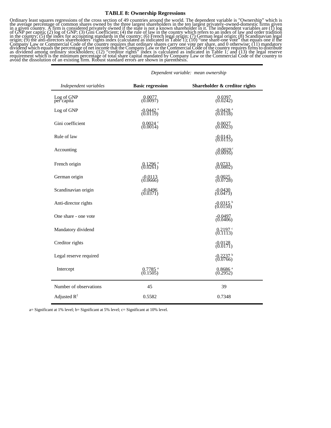#### **TABLE 8: Ownership Regressions**

Ordinary least squares regressions of the cross section of 49 countries around the world. The dependent variable is "Ownership" which is<br>the average percentage of common shares owned by the three largest shareholders in th

| Independent variables    | <b>Basic regression</b>             | Shareholder & creditor rights        |
|--------------------------|-------------------------------------|--------------------------------------|
| Log of GNP<br>per capita | (0.0077)                            | (0.0397)                             |
| Log of GNP               | $-0.0442$ <sup>a</sup><br>(0.0119)  | $-0.0428$ <sup>a</sup><br>(0.0118)   |
| Gini coefficient         | $0.0024$ ° $(0.0014)$               | (0.0027)                             |
| Rule of law              |                                     | $-0.0143$                            |
| Accounting               |                                     | $-0.0029$ <sup>c</sup><br>(0.0016)   |
| French origin            | $(0.1296)^{a}$                      | (0.0733)                             |
| German origin            | $-0.0113$<br>(0.0666)               | $-0.0025$<br>(0.0728)                |
| Scandinavian origin      | $-0.0496$<br>$(0.0371)$             | $-0.0430$<br>$(0.0473)$              |
| Anti-director rights     |                                     | $\left(\frac{0.0315}{0.0150}\right)$ |
| One share - one vote     |                                     | $-0.0497$<br>(0.0406)                |
| Mandatory dividend       |                                     | (0.2197)                             |
| Creditor rights          |                                     | $-0.0128$<br>(0.0171)                |
| Legal reserve required   |                                     | $-0.2237$ <sup>b</sup><br>(0.0766)   |
| Intercept                | $0.7785$ <sup>a</sup><br>$(0.1505)$ | $0.8686a$<br>(0.2952)                |
| Number of observations   | 45                                  | 39                                   |
| Adjusted $\mathbb{R}^2$  | 0.5582                              | 0.7348                               |

*Dependent variable: mean ownership*

a= Significant at 1% level; b= Significant at 5% level; c= Significant at 10% level.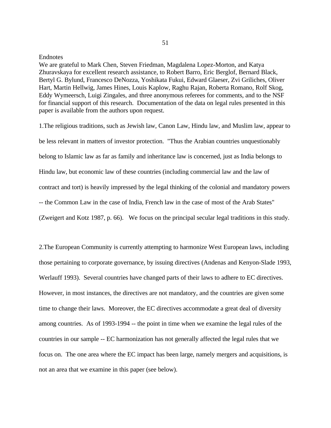# Endnotes

We are grateful to Mark Chen, Steven Friedman, Magdalena Lopez-Morton, and Katya Zhuravskaya for excellent research assistance, to Robert Barro, Eric Berglof, Bernard Black, Bertyl G. Bylund, Francesco DeNozza, Yoshikata Fukui, Edward Glaeser, Zvi Griliches, Oliver Hart, Martin Hellwig, James Hines, Louis Kaplow, Raghu Rajan, Roberta Romano, Rolf Skog, Eddy Wymeersch, Luigi Zingales, and three anonymous referees for comments, and to the NSF for financial support of this research. Documentation of the data on legal rules presented in this paper is available from the authors upon request.

1.The religious traditions, such as Jewish law, Canon Law, Hindu law, and Muslim law, appear to be less relevant in matters of investor protection. "Thus the Arabian countries unquestionably belong to Islamic law as far as family and inheritance law is concerned, just as India belongs to Hindu law, but economic law of these countries (including commercial law and the law of contract and tort) is heavily impressed by the legal thinking of the colonial and mandatory powers -- the Common Law in the case of India, French law in the case of most of the Arab States" (Zweigert and Kotz 1987, p. 66). We focus on the principal secular legal traditions in this study.

2.The European Community is currently attempting to harmonize West European laws, including those pertaining to corporate governance, by issuing directives (Andenas and Kenyon-Slade 1993, Werlauff 1993). Several countries have changed parts of their laws to adhere to EC directives. However, in most instances, the directives are not mandatory, and the countries are given some time to change their laws. Moreover, the EC directives accommodate a great deal of diversity among countries. As of 1993-1994 -- the point in time when we examine the legal rules of the countries in our sample -- EC harmonization has not generally affected the legal rules that we focus on. The one area where the EC impact has been large, namely mergers and acquisitions, is not an area that we examine in this paper (see below).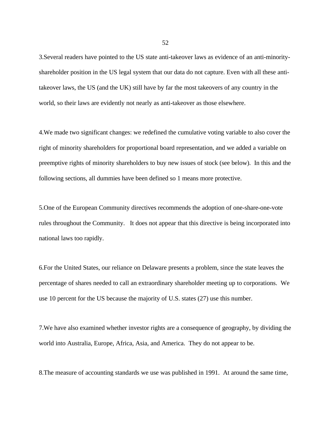3.Several readers have pointed to the US state anti-takeover laws as evidence of an anti-minorityshareholder position in the US legal system that our data do not capture. Even with all these antitakeover laws, the US (and the UK) still have by far the most takeovers of any country in the world, so their laws are evidently not nearly as anti-takeover as those elsewhere.

4.We made two significant changes: we redefined the cumulative voting variable to also cover the right of minority shareholders for proportional board representation, and we added a variable on preemptive rights of minority shareholders to buy new issues of stock (see below). In this and the following sections, all dummies have been defined so 1 means more protective.

5.One of the European Community directives recommends the adoption of one-share-one-vote rules throughout the Community. It does not appear that this directive is being incorporated into national laws too rapidly.

6.For the United States, our reliance on Delaware presents a problem, since the state leaves the percentage of shares needed to call an extraordinary shareholder meeting up to corporations. We use 10 percent for the US because the majority of U.S. states (27) use this number.

7.We have also examined whether investor rights are a consequence of geography, by dividing the world into Australia, Europe, Africa, Asia, and America. They do not appear to be.

8.The measure of accounting standards we use was published in 1991. At around the same time,